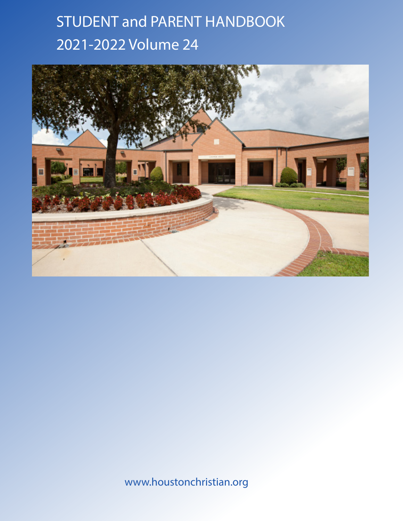### STUDENT and PARENT HANDBOOK 2021-2022 Volume 24



www.houstonchristian.org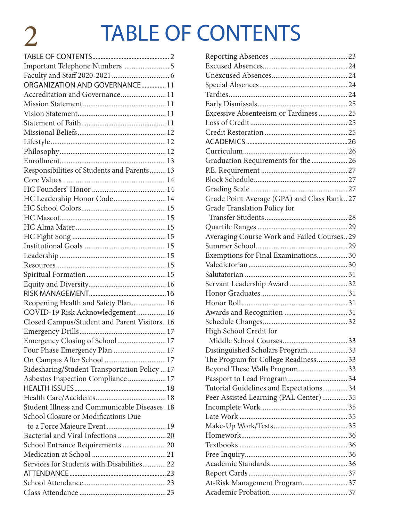### TABLE OF CONTENTS

| ORGANIZATION AND GOVERNANCE11                 |  |
|-----------------------------------------------|--|
| Accreditation and Governance11                |  |
|                                               |  |
|                                               |  |
|                                               |  |
|                                               |  |
|                                               |  |
|                                               |  |
|                                               |  |
| Responsibilities of Students and Parents 13   |  |
|                                               |  |
|                                               |  |
| HC Leadership Honor Code  14                  |  |
|                                               |  |
|                                               |  |
|                                               |  |
|                                               |  |
|                                               |  |
|                                               |  |
|                                               |  |
|                                               |  |
|                                               |  |
|                                               |  |
| Reopening Health and Safety Plan 16           |  |
| COVID-19 Risk Acknowledgement  16             |  |
| Closed Campus/Student and Parent Visitors16   |  |
|                                               |  |
| Emergency Closing of School 17                |  |
| Four Phase Emergency Plan  17                 |  |
|                                               |  |
| Ridesharing/Student Transportation Policy  17 |  |
| Asbestos Inspection Compliance  17            |  |
|                                               |  |
|                                               |  |
| Student Illness and Communicable Diseases. 18 |  |
| School Closure or Modifications Due           |  |
|                                               |  |
|                                               |  |
| School Entrance Requirements  20              |  |
|                                               |  |
| Services for Students with Disabilities 22    |  |
|                                               |  |
|                                               |  |
|                                               |  |

| Excessive Absenteeism or Tardiness  25     |  |
|--------------------------------------------|--|
|                                            |  |
|                                            |  |
|                                            |  |
|                                            |  |
| Graduation Requirements for the 26         |  |
|                                            |  |
|                                            |  |
|                                            |  |
| Grade Point Average (GPA) and Class Rank27 |  |
| Grade Translation Policy for               |  |
|                                            |  |
|                                            |  |
| Averaging Course Work and Failed Courses29 |  |
|                                            |  |
| Exemptions for Final Examinations 30       |  |
|                                            |  |
|                                            |  |
| Servant Leadership Award 32                |  |
|                                            |  |
|                                            |  |
|                                            |  |
|                                            |  |
| High School Credit for                     |  |
|                                            |  |
| Distinguished Scholars Program 33          |  |
| The Program for College Readiness 33       |  |
| Beyond These Walls Program  33             |  |
|                                            |  |
| Tutorial Guidelines and Expectations 34    |  |
| Peer Assisted Learning (PAL Center)  35    |  |
|                                            |  |
|                                            |  |
|                                            |  |
|                                            |  |
|                                            |  |
|                                            |  |
|                                            |  |
|                                            |  |
| At-Risk Management Program 37              |  |
|                                            |  |
|                                            |  |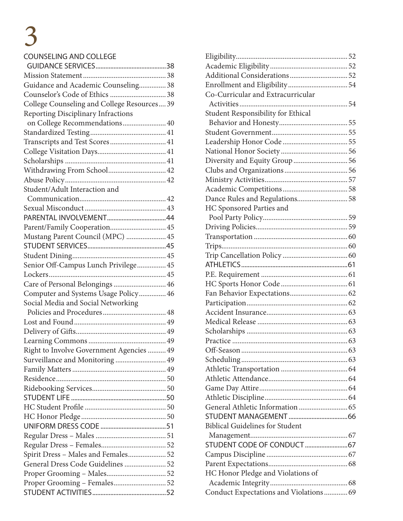#### COUNSELING AND COLLEGE

| Guidance and Academic Counseling 38         |  |
|---------------------------------------------|--|
|                                             |  |
| College Counseling and College Resources 39 |  |
| Reporting Disciplinary Infractions          |  |
| on College Recommendations 40               |  |
|                                             |  |
| Transcripts and Test Scores 41              |  |
|                                             |  |
|                                             |  |
| Withdrawing From School 42                  |  |
|                                             |  |
| Student/Adult Interaction and               |  |
|                                             |  |
|                                             |  |
|                                             |  |
| Parent/Family Cooperation 45                |  |
| Mustang Parent Council (MPC)  45            |  |
|                                             |  |
|                                             |  |
| Senior Off-Campus Lunch Privilege 45        |  |
|                                             |  |
|                                             |  |
| Computer and Systems Usage Policy 46        |  |
| Social Media and Social Networking          |  |
|                                             |  |
|                                             |  |
|                                             |  |
|                                             |  |
| Right to Involve Government Agencies  49    |  |
| Surveillance and Monitoring 49              |  |
|                                             |  |
|                                             |  |
|                                             |  |
|                                             |  |
|                                             |  |
|                                             |  |
|                                             |  |
|                                             |  |
|                                             |  |
| Spirit Dress - Males and Females 52         |  |
| General Dress Code Guidelines  52           |  |
|                                             |  |
| Proper Grooming - Females52                 |  |
|                                             |  |
|                                             |  |

| Co-Curricular and Extracurricular      |  |
|----------------------------------------|--|
|                                        |  |
| Student Responsibility for Ethical     |  |
|                                        |  |
|                                        |  |
|                                        |  |
|                                        |  |
| Diversity and Equity Group  56         |  |
|                                        |  |
|                                        |  |
|                                        |  |
| Dance Rules and Regulations 58         |  |
| HC Sponsored Parties and               |  |
|                                        |  |
|                                        |  |
|                                        |  |
|                                        |  |
|                                        |  |
|                                        |  |
|                                        |  |
|                                        |  |
|                                        |  |
|                                        |  |
|                                        |  |
|                                        |  |
|                                        |  |
|                                        |  |
|                                        |  |
|                                        |  |
|                                        |  |
|                                        |  |
|                                        |  |
|                                        |  |
|                                        |  |
|                                        |  |
| <b>Biblical Guidelines for Student</b> |  |
|                                        |  |
| STUDENT CODE OF CONDUCT  67            |  |
|                                        |  |
|                                        |  |
| HC Honor Pledge and Violations of      |  |
|                                        |  |
| Conduct Expectations and Violations 69 |  |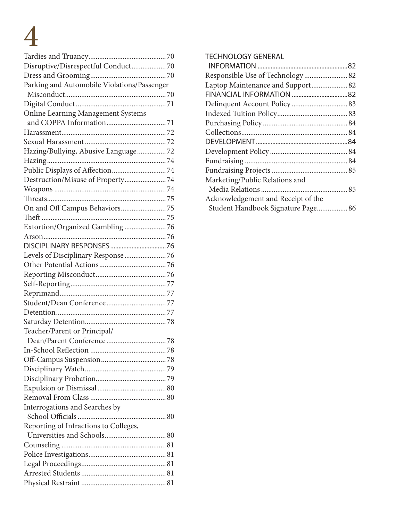|                                             | TE           |
|---------------------------------------------|--------------|
| Disruptive/Disrespectful Conduct 70         | Ш            |
|                                             | $R_6$        |
| Parking and Automobile Violations/Passenger | La           |
|                                             | FI           |
|                                             | D            |
| <b>Online Learning Management Systems</b>   | In           |
|                                             | Pı           |
|                                             | $\mathsf{C}$ |
|                                             | $D \mid$     |
| Hazing/Bullying, Abusive Language72         | D            |
|                                             | Fı           |
|                                             | Fı           |
| Destruction/Misuse of Property74            | М            |
|                                             | Þ            |
|                                             | A            |
|                                             | S            |
|                                             |              |
| Extortion/Organized Gambling  76            |              |
|                                             |              |
|                                             |              |
|                                             |              |
| Levels of Disciplinary Response  76         |              |
|                                             |              |
|                                             |              |
|                                             |              |
|                                             |              |
|                                             |              |
|                                             |              |
|                                             |              |
| Teacher/Parent or Principal/                |              |
|                                             |              |
|                                             |              |
|                                             |              |
|                                             |              |
|                                             |              |
|                                             |              |
|                                             |              |
| Interrogations and Searches by              |              |
|                                             |              |
| Reporting of Infractions to Colleges,       |              |
|                                             |              |
|                                             |              |
|                                             |              |
|                                             |              |
|                                             |              |
|                                             |              |
|                                             |              |

#### 70 TECHNOLOGY GENERAL

| Responsible Use of Technology 82   |  |
|------------------------------------|--|
|                                    |  |
|                                    |  |
|                                    |  |
|                                    |  |
|                                    |  |
|                                    |  |
|                                    |  |
|                                    |  |
|                                    |  |
|                                    |  |
| Marketing/Public Relations and     |  |
|                                    |  |
| Acknowledgement and Receipt of the |  |
|                                    |  |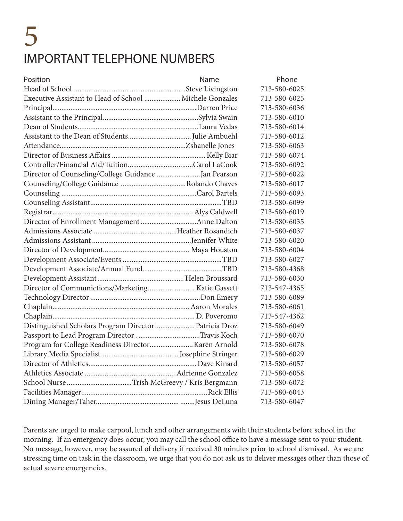### 5 IMPORTANT TELEPHONE NUMBERS

| Position                                                | Name | Phone        |
|---------------------------------------------------------|------|--------------|
|                                                         |      | 713-580-6025 |
| Executive Assistant to Head of School  Michele Gonzales |      | 713-580-6025 |
|                                                         |      | 713-580-6036 |
|                                                         |      | 713-580-6010 |
|                                                         |      | 713-580-6014 |
|                                                         |      | 713-580-6012 |
|                                                         |      | 713-580-6063 |
|                                                         |      | 713-580-6074 |
|                                                         |      | 713-580-6092 |
| Director of Counseling/College Guidance  Jan Pearson    |      | 713-580-6022 |
|                                                         |      | 713-580-6017 |
|                                                         |      | 713-580-6093 |
|                                                         |      | 713-580-6099 |
|                                                         |      | 713-580-6019 |
|                                                         |      | 713-580-6035 |
|                                                         |      | 713-580-6037 |
|                                                         |      | 713-580-6020 |
|                                                         |      | 713-580-6004 |
|                                                         |      | 713-580-6027 |
|                                                         |      | 713-580-4368 |
|                                                         |      | 713-580-6030 |
|                                                         |      | 713-547-4365 |
|                                                         |      | 713-580-6089 |
|                                                         |      | 713-580-6061 |
|                                                         |      | 713-547-4362 |
| Distinguished Scholars Program Director  Patricia Droz  |      | 713-580-6049 |
|                                                         |      | 713-580-6070 |
|                                                         |      | 713-580-6078 |
|                                                         |      | 713-580-6029 |
|                                                         |      | 713-580-6057 |
|                                                         |      | 713-580-6058 |
|                                                         |      | 713-580-6072 |
|                                                         |      | 713-580-6043 |
|                                                         |      | 713-580-6047 |

Parents are urged to make carpool, lunch and other arrangements with their students before school in the morning. If an emergency does occur, you may call the school office to have a message sent to your student. No message, however, may be assured of delivery if received 30 minutes prior to school dismissal. As we are stressing time on task in the classroom, we urge that you do not ask us to deliver messages other than those of actual severe emergencies.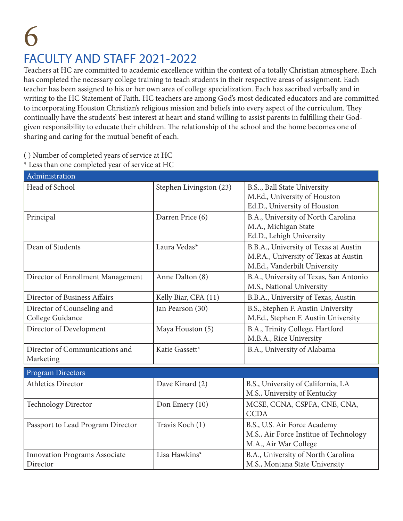### 6 FACULTY AND STAFF 2021-2022

Teachers at HC are committed to academic excellence within the context of a totally Christian atmosphere. Each has completed the necessary college training to teach students in their respective areas of assignment. Each teacher has been assigned to his or her own area of college specialization. Each has ascribed verbally and in writing to the HC Statement of Faith. HC teachers are among God's most dedicated educators and are committed to incorporating Houston Christian's religious mission and beliefs into every aspect of the curriculum. They continually have the students' best interest at heart and stand willing to assist parents in fulfilling their Godgiven responsibility to educate their children. The relationship of the school and the home becomes one of sharing and caring for the mutual benefit of each.

( ) Number of completed years of service at HC

\* Less than one completed year of service at HC

| Administration                                   |                         |                                                                                                                |  |
|--------------------------------------------------|-------------------------|----------------------------------------------------------------------------------------------------------------|--|
| Head of School                                   | Stephen Livingston (23) | B.S., Ball State University<br>M.Ed., University of Houston<br>Ed.D., University of Houston                    |  |
| Principal                                        | Darren Price (6)        | B.A., University of North Carolina<br>M.A., Michigan State<br>Ed.D., Lehigh University                         |  |
| Dean of Students                                 | Laura Vedas*            | B.B.A., University of Texas at Austin<br>M.P.A., University of Texas at Austin<br>M.Ed., Vanderbilt University |  |
| Director of Enrollment Management                | Anne Dalton (8)         | B.A., University of Texas, San Antonio<br>M.S., National University                                            |  |
| Director of Business Affairs                     | Kelly Biar, CPA (11)    | B.B.A., University of Texas, Austin                                                                            |  |
| Director of Counseling and<br>College Guidance   | Jan Pearson (30)        | B.S., Stephen F. Austin University<br>M.Ed., Stephen F. Austin University                                      |  |
| Director of Development                          | Maya Houston (5)        | B.A., Trinity College, Hartford<br>M.B.A., Rice University                                                     |  |
| Director of Communications and<br>Marketing      | Katie Gassett*          | B.A., University of Alabama                                                                                    |  |
| <b>Program Directors</b>                         |                         |                                                                                                                |  |
| <b>Athletics Director</b>                        | Dave Kinard (2)         | B.S., University of California, LA<br>M.S., University of Kentucky                                             |  |
| <b>Technology Director</b>                       | Don Emery (10)          | MCSE, CCNA, CSPFA, CNE, CNA,<br><b>CCDA</b>                                                                    |  |
| Passport to Lead Program Director                | Travis Koch (1)         | B.S., U.S. Air Force Academy<br>M.S., Air Force Institue of Technology<br>M.A., Air War College                |  |
| <b>Innovation Programs Associate</b><br>Director | Lisa Hawkins*           | B.A., University of North Carolina<br>M.S., Montana State University                                           |  |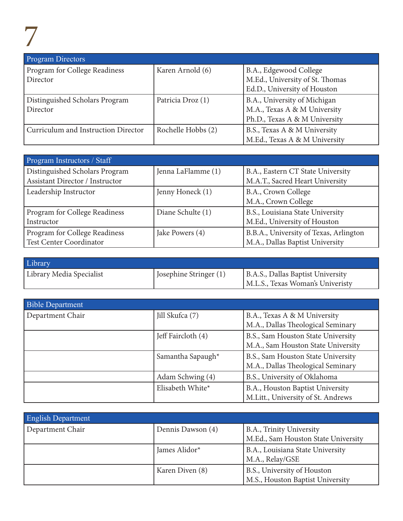| <b>Program Directors</b>            |                    |                                                                 |
|-------------------------------------|--------------------|-----------------------------------------------------------------|
| Program for College Readiness       | Karen Arnold (6)   | B.A., Edgewood College                                          |
| Director                            |                    | M.Ed., University of St. Thomas<br>Ed.D., University of Houston |
|                                     |                    |                                                                 |
| Distinguished Scholars Program      | Patricia Droz (1)  | B.A., University of Michigan                                    |
| Director                            |                    | M.A., Texas A & M University                                    |
|                                     |                    | Ph.D., Texas A & M University                                   |
| Curriculum and Instruction Director | Rochelle Hobbs (2) | B.S., Texas A & M University                                    |
|                                     |                    | M.Ed., Texas A & M University                                   |

| Program Instructors / Staff            |                    |                                        |
|----------------------------------------|--------------------|----------------------------------------|
| Distinguished Scholars Program         | Jenna LaFlamme (1) | B.A., Eastern CT State University      |
| <b>Assistant Director / Instructor</b> |                    | M.A.T., Sacred Heart University        |
| Leadership Instructor                  | Jenny Honeck (1)   | B.A., Crown College                    |
|                                        |                    | M.A., Crown College                    |
| Program for College Readiness          | Diane Schulte (1)  | B.S., Louisiana State University       |
| Instructor                             |                    | M.Ed., University of Houston           |
| Program for College Readiness          | Jake Powers (4)    | B.B.A., University of Texas, Arlington |
| <b>Test Center Coordinator</b>         |                    | M.A., Dallas Baptist University        |

| Library                  |                        |                                   |
|--------------------------|------------------------|-----------------------------------|
| Library Media Specialist | Josephine Stringer (1) | B.A.S., Dallas Baptist University |
|                          |                        | M.L.S., Texas Woman's Univeristy  |

| <b>Bible Department</b> |                    |                                    |
|-------------------------|--------------------|------------------------------------|
| Department Chair        | Jill Skufca (7)    | B.A., Texas A & M University       |
|                         |                    | M.A., Dallas Theological Seminary  |
|                         | Jeff Faircloth (4) | B.S., Sam Houston State University |
|                         |                    | M.A., Sam Houston State University |
|                         | Samantha Sapaugh*  | B.S., Sam Houston State University |
|                         |                    | M.A., Dallas Theological Seminary  |
|                         | Adam Schwing (4)   | B.S., University of Oklahoma       |
|                         | Elisabeth White*   | B.A., Houston Baptist University   |
|                         |                    | M.Litt., University of St. Andrews |

| <b>English Department</b> |                   |                                     |
|---------------------------|-------------------|-------------------------------------|
| Department Chair          | Dennis Dawson (4) | B.A., Trinity University            |
|                           |                   | M.Ed., Sam Houston State University |
|                           | James Alidor*     | B.A., Louisiana State University    |
|                           |                   | M.A., Relay/GSE                     |
|                           | Karen Diven (8)   | B.S., University of Houston         |
|                           |                   | M.S., Houston Baptist University    |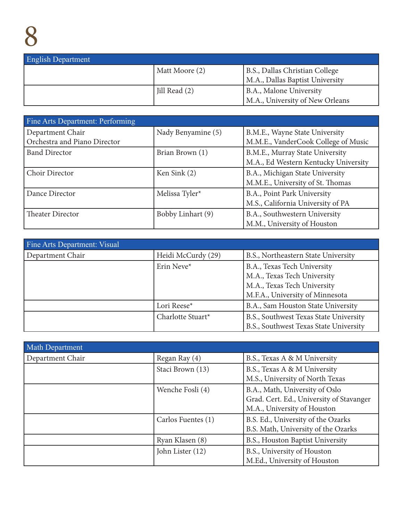| <b>English Department</b> |                |                                 |
|---------------------------|----------------|---------------------------------|
|                           | Matt Moore (2) | B.S., Dallas Christian College  |
|                           |                | M.A., Dallas Baptist University |
|                           | Jill Read (2)  | <b>B.A., Malone University</b>  |
|                           |                | M.A., University of New Orleans |

| Fine Arts Department: Performing |                    |                                      |
|----------------------------------|--------------------|--------------------------------------|
| Department Chair                 | Nady Benyamine (5) | B.M.E., Wayne State University       |
| Orchestra and Piano Director     |                    | M.M.E., VanderCook College of Music  |
| <b>Band Director</b>             | Brian Brown (1)    | B.M.E., Murray State University      |
|                                  |                    | M.A., Ed Western Kentucky University |
| Choir Director                   | Ken Sink (2)       | B.A., Michigan State University      |
|                                  |                    | M.M.E., University of St. Thomas     |
| Dance Director                   | Melissa Tyler*     | B.A., Point Park University          |
|                                  |                    | M.S., California University of PA    |
| Theater Director                 | Bobby Linhart (9)  | B.A., Southwestern University        |
|                                  |                    | M.M., University of Houston          |

| Fine Arts Department: Visual |                    |                                        |
|------------------------------|--------------------|----------------------------------------|
| Department Chair             | Heidi McCurdy (29) | B.S., Northeastern State University    |
|                              | Erin Neve*         | B.A., Texas Tech University            |
|                              |                    | M.A., Texas Tech University            |
|                              |                    | M.A., Texas Tech University            |
|                              |                    | M.F.A., University of Minnesota        |
|                              | Lori Reese*        | B.A., Sam Houston State University     |
|                              | Charlotte Stuart*  | B.S., Southwest Texas State University |
|                              |                    | B.S., Southwest Texas State University |

| <b>Math Department</b> |                    |                                                                                                           |
|------------------------|--------------------|-----------------------------------------------------------------------------------------------------------|
| Department Chair       | Regan Ray (4)      | B.S., Texas A & M University                                                                              |
|                        | Staci Brown (13)   | B.S., Texas A & M University<br>M.S., University of North Texas                                           |
|                        | Wenche Fosli (4)   | B.A., Math, University of Oslo<br>Grad. Cert. Ed., University of Stavanger<br>M.A., University of Houston |
|                        | Carlos Fuentes (1) | B.S. Ed., University of the Ozarks<br>B.S. Math, University of the Ozarks                                 |
|                        | Ryan Klasen (8)    | B.S., Houston Baptist University                                                                          |
|                        | John Lister (12)   | B.S., University of Houston<br>M.Ed., University of Houston                                               |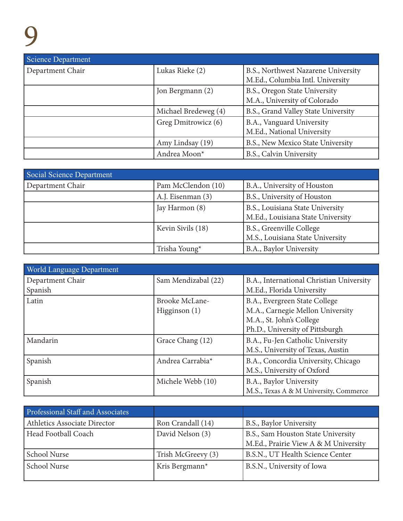| Science Department |                      |                                                                         |
|--------------------|----------------------|-------------------------------------------------------------------------|
| Department Chair   | Lukas Rieke (2)      | B.S., Northwest Nazarene University<br>M.Ed., Columbia Intl. University |
|                    | Jon Bergmann (2)     | B.S., Oregon State University<br>M.A., University of Colorado           |
|                    | Michael Bredeweg (4) | B.S., Grand Valley State University                                     |
|                    | Greg Dmitrowicz (6)  | B.A., Vanguard University<br>M.Ed., National University                 |
|                    | Amy Lindsay (19)     | B.S., New Mexico State University                                       |
|                    | Andrea Moon*         | B.S., Calvin University                                                 |

| <b>Social Science Department</b> |                    |                                   |
|----------------------------------|--------------------|-----------------------------------|
| Department Chair                 | Pam McClendon (10) | B.A., University of Houston       |
|                                  | A.J. Eisenman (3)  | B.S., University of Houston       |
|                                  | Jay Harmon (8)     | B.S., Louisiana State University  |
|                                  |                    | M.Ed., Louisiana State University |
|                                  | Kevin Sivils (18)  | B.S., Greenville College          |
|                                  |                    | M.S., Louisiana State University  |
|                                  | Trisha Young*      | B.A., Baylor University           |

| World Language Department |                       |                                          |
|---------------------------|-----------------------|------------------------------------------|
| Department Chair          | Sam Mendizabal (22)   | B.A., International Christian University |
| Spanish                   |                       | M.Ed., Florida University                |
| Latin                     | <b>Brooke McLane-</b> | B.A., Evergreen State College            |
|                           | Higginson $(1)$       | M.A., Carnegie Mellon University         |
|                           |                       | M.A., St. John's College                 |
|                           |                       | Ph.D., University of Pittsburgh          |
| Mandarin                  | Grace Chang (12)      | B.A., Fu-Jen Catholic University         |
|                           |                       | M.S., University of Texas, Austin        |
| Spanish                   | Andrea Carrabia*      | B.A., Concordia University, Chicago      |
|                           |                       | M.S., University of Oxford               |
| Spanish                   | Michele Webb (10)     | B.A., Baylor University                  |
|                           |                       | M.S., Texas A & M University, Commerce   |

| Professional Staff and Associates |                            |                                                                            |
|-----------------------------------|----------------------------|----------------------------------------------------------------------------|
| Athletics Associate Director      | Ron Crandall (14)          | B.S., Baylor University                                                    |
| Head Football Coach               | David Nelson (3)           | B.S., Sam Houston State University<br>M.Ed., Prairie View A & M University |
| School Nurse                      | Trish McGreevy (3)         | B.S.N., UT Health Science Center                                           |
| School Nurse                      | Kris Bergmann <sup>*</sup> | B.S.N., University of Iowa                                                 |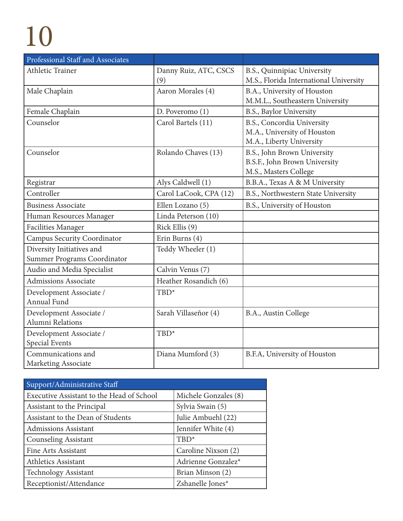| Professional Staff and Associates  |                        |                                        |
|------------------------------------|------------------------|----------------------------------------|
| Athletic Trainer                   | Danny Ruiz, ATC, CSCS  | B.S., Quinnipiac University            |
|                                    | (9)                    | M.S., Florida International University |
| Male Chaplain                      | Aaron Morales (4)      | B.A., University of Houston            |
|                                    |                        | M.M.L., Southeastern University        |
| Female Chaplain                    | D. Poveromo (1)        | B.S., Baylor University                |
| Counselor                          | Carol Bartels (11)     | B.S., Concordia University             |
|                                    |                        | M.A., University of Houston            |
|                                    |                        | M.A., Liberty University               |
| Counselor                          | Rolando Chaves (13)    | B.S., John Brown University            |
|                                    |                        | B.S.F., John Brown University          |
|                                    |                        | M.S., Masters College                  |
| Registrar                          | Alys Caldwell (1)      | B.B.A., Texas A & M University         |
| Controller                         | Carol LaCook, CPA (12) | B.S., Northwestern State University    |
| <b>Business Associate</b>          | Ellen Lozano (5)       | B.S., University of Houston            |
| Human Resources Manager            | Linda Peterson (10)    |                                        |
| <b>Facilities Manager</b>          | Rick Ellis (9)         |                                        |
| <b>Campus Security Coordinator</b> | Erin Burns (4)         |                                        |
| Diversity Initiatives and          | Teddy Wheeler (1)      |                                        |
| Summer Programs Coordinator        |                        |                                        |
| Audio and Media Specialist         | Calvin Venus (7)       |                                        |
| <b>Admissions Associate</b>        | Heather Rosandich (6)  |                                        |
| Development Associate /            | TBD*                   |                                        |
| <b>Annual Fund</b>                 |                        |                                        |
| Development Associate /            | Sarah Villaseñor (4)   | B.A., Austin College                   |
| Alumni Relations                   |                        |                                        |
| Development Associate /            | TBD*                   |                                        |
| Special Events                     |                        |                                        |
| Communications and                 | Diana Mumford (3)      | B.F.A, University of Houston           |
| Marketing Associate                |                        |                                        |

| Support/Administrative Staff              |                      |
|-------------------------------------------|----------------------|
| Executive Assistant to the Head of School | Michele Gonzales (8) |
| Assistant to the Principal                | Sylvia Swain (5)     |
| Assistant to the Dean of Students         | Julie Ambuehl (22)   |
| Admissions Assistant                      | Jennifer White (4)   |
| <b>Counseling Assistant</b>               | $TBD^*$              |
| Fine Arts Assistant                       | Caroline Nixson (2)  |
| <b>Athletics Assistant</b>                | Adrienne Gonzalez*   |
| <b>Technology Assistant</b>               | Brian Minson (2)     |
| Receptionist/Attendance                   | Zshanelle Jones*     |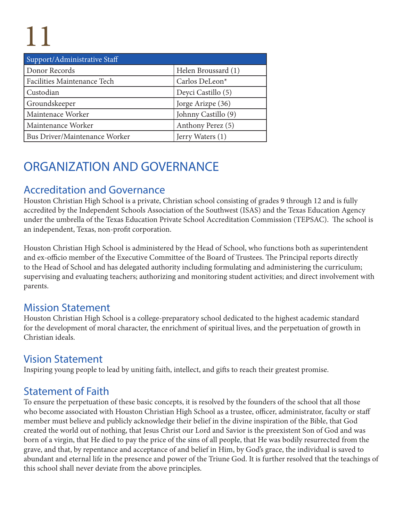| Support/Administrative Staff  |                     |
|-------------------------------|---------------------|
| Donor Records                 | Helen Broussard (1) |
| Facilities Maintenance Tech   | Carlos DeLeon*      |
| Custodian                     | Deyci Castillo (5)  |
| Groundskeeper                 | Jorge Arizpe (36)   |
| Maintenace Worker             | Johnny Castillo (9) |
| Maintenance Worker            | Anthony Perez (5)   |
| Bus Driver/Maintenance Worker | Jerry Waters (1)    |

### ORGANIZATION AND GOVERNANCE

### Accreditation and Governance

Houston Christian High School is a private, Christian school consisting of grades 9 through 12 and is fully accredited by the Independent Schools Association of the Southwest (ISAS) and the Texas Education Agency under the umbrella of the Texas Education Private School Accreditation Commission (TEPSAC). The school is an independent, Texas, non-profit corporation.

Houston Christian High School is administered by the Head of School, who functions both as superintendent and ex-officio member of the Executive Committee of the Board of Trustees. The Principal reports directly to the Head of School and has delegated authority including formulating and administering the curriculum; supervising and evaluating teachers; authorizing and monitoring student activities; and direct involvement with parents.

#### Mission Statement

Houston Christian High School is a college-preparatory school dedicated to the highest academic standard for the development of moral character, the enrichment of spiritual lives, and the perpetuation of growth in Christian ideals.

#### Vision Statement

Inspiring young people to lead by uniting faith, intellect, and gifts to reach their greatest promise.

### Statement of Faith

To ensure the perpetuation of these basic concepts, it is resolved by the founders of the school that all those who become associated with Houston Christian High School as a trustee, officer, administrator, faculty or staff member must believe and publicly acknowledge their belief in the divine inspiration of the Bible, that God created the world out of nothing, that Jesus Christ our Lord and Savior is the preexistent Son of God and was born of a virgin, that He died to pay the price of the sins of all people, that He was bodily resurrected from the grave, and that, by repentance and acceptance of and belief in Him, by God's grace, the individual is saved to abundant and eternal life in the presence and power of the Triune God. It is further resolved that the teachings of this school shall never deviate from the above principles.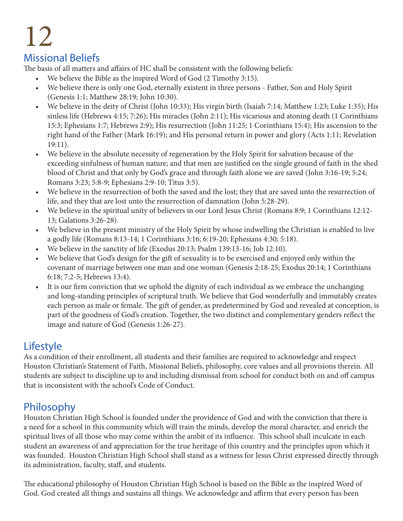#### Missional Beliefs

The basis of all matters and affairs of HC shall be consistent with the following beliefs:

- We believe the Bible as the inspired Word of God (2 Timothy 3:15).
- We believe there is only one God, eternally existent in three persons Father, Son and Holy Spirit (Genesis 1:1; Matthew 28:19; John 10:30).
- We believe in the deity of Christ (John 10:33); His virgin birth (Isaiah 7:14; Matthew 1:23; Luke 1:35); His sinless life (Hebrews 4:15; 7:26); His miracles (John 2:11); His vicarious and atoning death (1 Corinthians 15:3; Ephesians 1:7; Hebrews 2:9); His resurrection (John 11:25; 1 Corinthians 15:4); His ascension to the right hand of the Father (Mark 16:19); and His personal return in power and glory (Acts 1:11; Revelation 19:11).
- We believe in the absolute necessity of regeneration by the Holy Spirit for salvation because of the exceeding sinfulness of human nature; and that men are justified on the single ground of faith in the shed blood of Christ and that only by God's grace and through faith alone we are saved (John 3:16-19; 5:24; Romans 3:23; 5:8-9; Ephesians 2:9-10; Titus 3:5).
- We believe in the resurrection of both the saved and the lost; they that are saved unto the resurrection of life, and they that are lost unto the resurrection of damnation (John 5:28-29).
- We believe in the spiritual unity of believers in our Lord Jesus Christ (Romans 8:9; 1 Corinthians 12:12- 13; Galations 3:26-28).
- We believe in the present ministry of the Holy Spirit by whose indwelling the Christian is enabled to live a godly life (Romans 8:13-14; 1 Corinthians 3:16; 6:19-20; Ephesians 4:30; 5:18).
- We believe in the sanctity of life (Exodus 20:13; Psalm 139:13-16; Job 12:10).
- We believe that God's design for the gift of sexuality is to be exercised and enjoyed only within the covenant of marriage between one man and one woman (Genesis 2:18-25; Exodus 20:14; 1 Corinthians 6:18; 7:2-5; Hebrews 13:4).
- It is our firm conviction that we uphold the dignity of each individual as we embrace the unchanging and long-standing principles of scriptural truth. We believe that God wonderfully and immutably creates each person as male or female. The gift of gender, as predetermined by God and revealed at conception, is part of the goodness of God's creation. Together, the two distinct and complementary genders reflect the image and nature of God (Genesis 1:26-27).

#### Lifestyle

As a condition of their enrollment, all students and their families are required to acknowledge and respect Houston Christian's Statement of Faith, Missional Beliefs, philosophy, core values and all provisions therein. All students are subject to discipline up to and including dismissal from school for conduct both on and off campus that is inconsistent with the school's Code of Conduct.

### Philosophy

Houston Christian High School is founded under the providence of God and with the conviction that there is a need for a school in this community which will train the minds, develop the moral character, and enrich the spiritual lives of all those who may come within the ambit of its influence. This school shall inculcate in each student an awareness of and appreciation for the true heritage of this country and the principles upon which it was founded. Houston Christian High School shall stand as a witness for Jesus Christ expressed directly through its administration, faculty, staff, and students.

The educational philosophy of Houston Christian High School is based on the Bible as the inspired Word of God. God created all things and sustains all things. We acknowledge and affirm that every person has been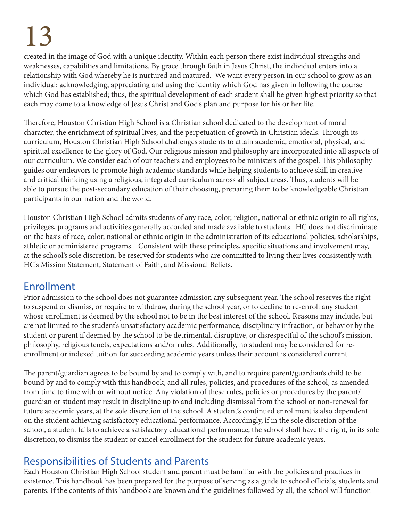created in the image of God with a unique identity. Within each person there exist individual strengths and weaknesses, capabilities and limitations. By grace through faith in Jesus Christ, the individual enters into a relationship with God whereby he is nurtured and matured. We want every person in our school to grow as an individual; acknowledging, appreciating and using the identity which God has given in following the course which God has established; thus, the spiritual development of each student shall be given highest priority so that each may come to a knowledge of Jesus Christ and God's plan and purpose for his or her life.

Therefore, Houston Christian High School is a Christian school dedicated to the development of moral character, the enrichment of spiritual lives, and the perpetuation of growth in Christian ideals. Through its curriculum, Houston Christian High School challenges students to attain academic, emotional, physical, and spiritual excellence to the glory of God. Our religious mission and philosophy are incorporated into all aspects of our curriculum. We consider each of our teachers and employees to be ministers of the gospel. This philosophy guides our endeavors to promote high academic standards while helping students to achieve skill in creative and critical thinking using a religious, integrated curriculum across all subject areas. Thus, students will be able to pursue the post-secondary education of their choosing, preparing them to be knowledgeable Christian participants in our nation and the world.

Houston Christian High School admits students of any race, color, religion, national or ethnic origin to all rights, privileges, programs and activities generally accorded and made available to students. HC does not discriminate on the basis of race, color, national or ethnic origin in the administration of its educational policies, scholarships, athletic or administered programs. Consistent with these principles, specific situations and involvement may, at the school's sole discretion, be reserved for students who are committed to living their lives consistently with HC's Mission Statement, Statement of Faith, and Missional Beliefs.

#### Enrollment

Prior admission to the school does not guarantee admission any subsequent year. The school reserves the right to suspend or dismiss, or require to withdraw, during the school year, or to decline to re-enroll any student whose enrollment is deemed by the school not to be in the best interest of the school. Reasons may include, but are not limited to the student's unsatisfactory academic performance, disciplinary infraction, or behavior by the student or parent if deemed by the school to be detrimental, disruptive, or disrespectful of the school's mission, philosophy, religious tenets, expectations and/or rules. Additionally, no student may be considered for reenrollment or indexed tuition for succeeding academic years unless their account is considered current.

The parent/guardian agrees to be bound by and to comply with, and to require parent/guardian's child to be bound by and to comply with this handbook, and all rules, policies, and procedures of the school, as amended from time to time with or without notice. Any violation of these rules, policies or procedures by the parent/ guardian or student may result in discipline up to and including dismissal from the school or non-renewal for future academic years, at the sole discretion of the school. A student's continued enrollment is also dependent on the student achieving satisfactory educational performance. Accordingly, if in the sole discretion of the school, a student fails to achieve a satisfactory educational performance, the school shall have the right, in its sole discretion, to dismiss the student or cancel enrollment for the student for future academic years.

### Responsibilities of Students and Parents

Each Houston Christian High School student and parent must be familiar with the policies and practices in existence. This handbook has been prepared for the purpose of serving as a guide to school officials, students and parents. If the contents of this handbook are known and the guidelines followed by all, the school will function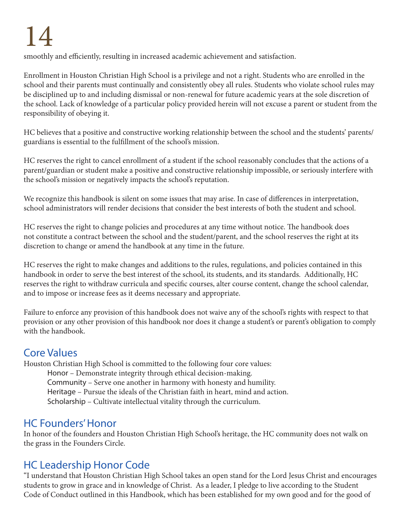smoothly and efficiently, resulting in increased academic achievement and satisfaction.

Enrollment in Houston Christian High School is a privilege and not a right. Students who are enrolled in the school and their parents must continually and consistently obey all rules. Students who violate school rules may be disciplined up to and including dismissal or non-renewal for future academic years at the sole discretion of the school. Lack of knowledge of a particular policy provided herein will not excuse a parent or student from the responsibility of obeying it.

HC believes that a positive and constructive working relationship between the school and the students' parents/ guardians is essential to the fulfillment of the school's mission.

HC reserves the right to cancel enrollment of a student if the school reasonably concludes that the actions of a parent/guardian or student make a positive and constructive relationship impossible, or seriously interfere with the school's mission or negatively impacts the school's reputation.

We recognize this handbook is silent on some issues that may arise. In case of differences in interpretation, school administrators will render decisions that consider the best interests of both the student and school.

HC reserves the right to change policies and procedures at any time without notice. The handbook does not constitute a contract between the school and the student/parent, and the school reserves the right at its discretion to change or amend the handbook at any time in the future.

HC reserves the right to make changes and additions to the rules, regulations, and policies contained in this handbook in order to serve the best interest of the school, its students, and its standards. Additionally, HC reserves the right to withdraw curricula and specific courses, alter course content, change the school calendar, and to impose or increase fees as it deems necessary and appropriate.

Failure to enforce any provision of this handbook does not waive any of the school's rights with respect to that provision or any other provision of this handbook nor does it change a student's or parent's obligation to comply with the handbook.

### Core Values

Houston Christian High School is committed to the following four core values: Honor – Demonstrate integrity through ethical decision-making. Community – Serve one another in harmony with honesty and humility. Heritage – Pursue the ideals of the Christian faith in heart, mind and action. Scholarship – Cultivate intellectual vitality through the curriculum.

#### HC Founders' Honor

In honor of the founders and Houston Christian High School's heritage, the HC community does not walk on the grass in the Founders Circle.

### HC Leadership Honor Code

"I understand that Houston Christian High School takes an open stand for the Lord Jesus Christ and encourages students to grow in grace and in knowledge of Christ. As a leader, I pledge to live according to the Student Code of Conduct outlined in this Handbook, which has been established for my own good and for the good of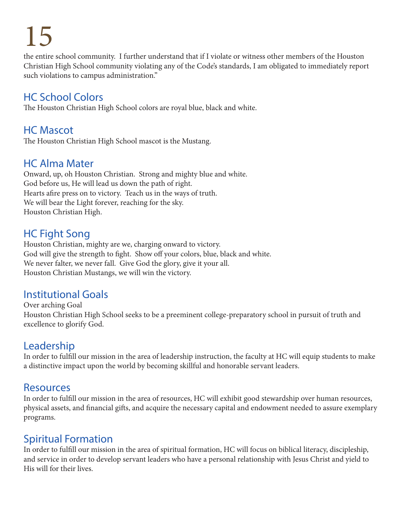the entire school community. I further understand that if I violate or witness other members of the Houston Christian High School community violating any of the Code's standards, I am obligated to immediately report such violations to campus administration."

#### HC School Colors

The Houston Christian High School colors are royal blue, black and white.

#### HC Mascot

The Houston Christian High School mascot is the Mustang.

#### HC Alma Mater

Onward, up, oh Houston Christian. Strong and mighty blue and white. God before us, He will lead us down the path of right. Hearts afire press on to victory. Teach us in the ways of truth. We will bear the Light forever, reaching for the sky. Houston Christian High.

#### HC Fight Song

Houston Christian, mighty are we, charging onward to victory. God will give the strength to fight. Show off your colors, blue, black and white. We never falter, we never fall. Give God the glory, give it your all. Houston Christian Mustangs, we will win the victory.

#### Institutional Goals

Over arching Goal Houston Christian High School seeks to be a preeminent college-preparatory school in pursuit of truth and excellence to glorify God.

### Leadership

In order to fulfill our mission in the area of leadership instruction, the faculty at HC will equip students to make a distinctive impact upon the world by becoming skillful and honorable servant leaders.

#### Resources

In order to fulfill our mission in the area of resources, HC will exhibit good stewardship over human resources, physical assets, and financial gifts, and acquire the necessary capital and endowment needed to assure exemplary programs.

### Spiritual Formation

In order to fulfill our mission in the area of spiritual formation, HC will focus on biblical literacy, discipleship, and service in order to develop servant leaders who have a personal relationship with Jesus Christ and yield to His will for their lives.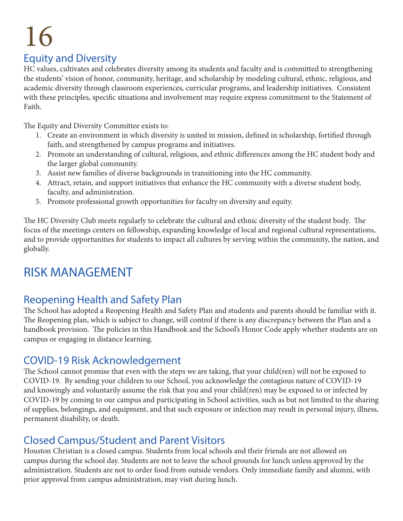### Equity and Diversity

HC values, cultivates and celebrates diversity among its students and faculty and is committed to strengthening the students' vision of honor, community, heritage, and scholarship by modeling cultural, ethnic, religious, and academic diversity through classroom experiences, curricular programs, and leadership initiatives. Consistent with these principles, specific situations and involvement may require express commitment to the Statement of Faith.

The Equity and Diversity Committee exists to:

- 1. Create an environment in which diversity is united in mission, defined in scholarship, fortified through faith, and strengthened by campus programs and initiatives.
- 2. Promote an understanding of cultural, religious, and ethnic differences among the HC student body and the larger global community.
- 3. Assist new families of diverse backgrounds in transitioning into the HC community.
- 4. Attract, retain, and support initiatives that enhance the HC community with a diverse student body, faculty, and administration.
- 5. Promote professional growth opportunities for faculty on diversity and equity.

The HC Diversity Club meets regularly to celebrate the cultural and ethnic diversity of the student body. The focus of the meetings centers on fellowship, expanding knowledge of local and regional cultural representations, and to provide opportunities for students to impact all cultures by serving within the community, the nation, and globally.

### RISK MANAGEMENT

#### Reopening Health and Safety Plan

The School has adopted a Reopening Health and Safety Plan and students and parents should be familiar with it. The Reopening plan, which is subject to change, will control if there is any discrepancy between the Plan and a handbook provision. The policies in this Handbook and the School's Honor Code apply whether students are on campus or engaging in distance learning.

#### COVID-19 Risk Acknowledgement

The School cannot promise that even with the steps we are taking, that your child(ren) will not be exposed to COVID-19. By sending your children to our School, you acknowledge the contagious nature of COVID-19 and knowingly and voluntarily assume the risk that you and your child(ren) may be exposed to or infected by COVID-19 by coming to our campus and participating in School activities, such as but not limited to the sharing of supplies, belongings, and equipment, and that such exposure or infection may result in personal injury, illness, permanent disability, or death.

#### Closed Campus/Student and Parent Visitors

Houston Christian is a closed campus. Students from local schools and their friends are not allowed on campus during the school day. Students are not to leave the school grounds for lunch unless approved by the administration. Students are not to order food from outside vendors. Only immediate family and alumni, with prior approval from campus administration, may visit during lunch.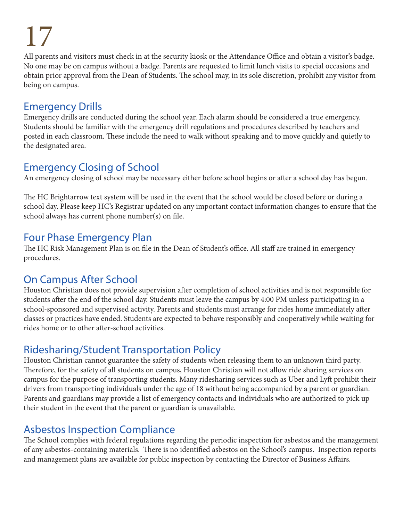All parents and visitors must check in at the security kiosk or the Attendance Office and obtain a visitor's badge. No one may be on campus without a badge. Parents are requested to limit lunch visits to special occasions and obtain prior approval from the Dean of Students. The school may, in its sole discretion, prohibit any visitor from being on campus.

#### Emergency Drills

Emergency drills are conducted during the school year. Each alarm should be considered a true emergency. Students should be familiar with the emergency drill regulations and procedures described by teachers and posted in each classroom. These include the need to walk without speaking and to move quickly and quietly to the designated area.

### Emergency Closing of School

An emergency closing of school may be necessary either before school begins or after a school day has begun.

The HC Brightarrow text system will be used in the event that the school would be closed before or during a school day. Please keep HC's Registrar updated on any important contact information changes to ensure that the school always has current phone number(s) on file.

#### Four Phase Emergency Plan

The HC Risk Management Plan is on file in the Dean of Student's office. All staff are trained in emergency procedures.

### On Campus After School

Houston Christian does not provide supervision after completion of school activities and is not responsible for students after the end of the school day. Students must leave the campus by 4:00 PM unless participating in a school-sponsored and supervised activity. Parents and students must arrange for rides home immediately after classes or practices have ended. Students are expected to behave responsibly and cooperatively while waiting for rides home or to other after-school activities.

### Ridesharing/Student Transportation Policy

Houston Christian cannot guarantee the safety of students when releasing them to an unknown third party. Therefore, for the safety of all students on campus, Houston Christian will not allow ride sharing services on campus for the purpose of transporting students. Many ridesharing services such as Uber and Lyft prohibit their drivers from transporting individuals under the age of 18 without being accompanied by a parent or guardian. Parents and guardians may provide a list of emergency contacts and individuals who are authorized to pick up their student in the event that the parent or guardian is unavailable.

### Asbestos Inspection Compliance

The School complies with federal regulations regarding the periodic inspection for asbestos and the management of any asbestos-containing materials. There is no identified asbestos on the School's campus. Inspection reports and management plans are available for public inspection by contacting the Director of Business Affairs.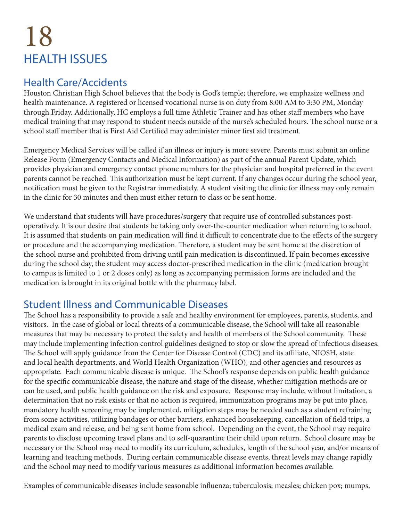### 18 HEALTH ISSUES

#### Health Care/Accidents

Houston Christian High School believes that the body is God's temple; therefore, we emphasize wellness and health maintenance. A registered or licensed vocational nurse is on duty from 8:00 AM to 3:30 PM, Monday through Friday. Additionally, HC employs a full time Athletic Trainer and has other staff members who have medical training that may respond to student needs outside of the nurse's scheduled hours. The school nurse or a school staff member that is First Aid Certified may administer minor first aid treatment.

Emergency Medical Services will be called if an illness or injury is more severe. Parents must submit an online Release Form (Emergency Contacts and Medical Information) as part of the annual Parent Update, which provides physician and emergency contact phone numbers for the physician and hospital preferred in the event parents cannot be reached. This authorization must be kept current. If any changes occur during the school year, notification must be given to the Registrar immediately. A student visiting the clinic for illness may only remain in the clinic for 30 minutes and then must either return to class or be sent home.

We understand that students will have procedures/surgery that require use of controlled substances postoperatively. It is our desire that students be taking only over-the-counter medication when returning to school. It is assumed that students on pain medication will find it difficult to concentrate due to the effects of the surgery or procedure and the accompanying medication. Therefore, a student may be sent home at the discretion of the school nurse and prohibited from driving until pain medication is discontinued. If pain becomes excessive during the school day, the student may access doctor-prescribed medication in the clinic (medication brought to campus is limited to 1 or 2 doses only) as long as accompanying permission forms are included and the medication is brought in its original bottle with the pharmacy label.

### Student Illness and Communicable Diseases

The School has a responsibility to provide a safe and healthy environment for employees, parents, students, and visitors. In the case of global or local threats of a communicable disease, the School will take all reasonable measures that may be necessary to protect the safety and health of members of the School community. These may include implementing infection control guidelines designed to stop or slow the spread of infectious diseases. The School will apply guidance from the Center for Disease Control (CDC) and its affiliate, NIOSH, state and local health departments, and World Health Organization (WHO), and other agencies and resources as appropriate. Each communicable disease is unique. The School's response depends on public health guidance for the specific communicable disease, the nature and stage of the disease, whether mitigation methods are or can be used, and public health guidance on the risk and exposure. Response may include, without limitation, a determination that no risk exists or that no action is required, immunization programs may be put into place, mandatory health screening may be implemented, mitigation steps may be needed such as a student refraining from some activities, utilizing bandages or other barriers, enhanced housekeeping, cancellation of field trips, a medical exam and release, and being sent home from school. Depending on the event, the School may require parents to disclose upcoming travel plans and to self-quarantine their child upon return. School closure may be necessary or the School may need to modify its curriculum, schedules, length of the school year, and/or means of learning and teaching methods. During certain communicable disease events, threat levels may change rapidly and the School may need to modify various measures as additional information becomes available.

Examples of communicable diseases include seasonable influenza; tuberculosis; measles; chicken pox; mumps,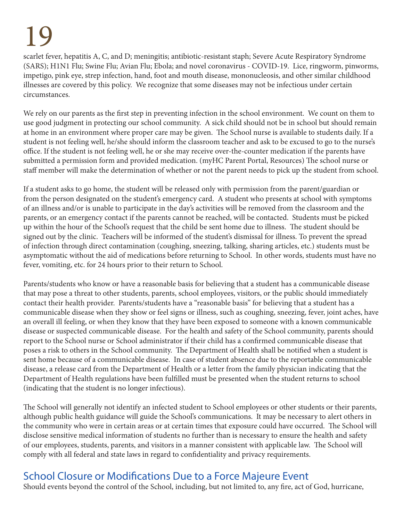scarlet fever, hepatitis A, C, and D; meningitis; antibiotic-resistant staph; Severe Acute Respiratory Syndrome (SARS); H1N1 Flu; Swine Flu; Avian Flu; Ebola; and novel coronavirus - COVID-19. Lice, ringworm, pinworms, impetigo, pink eye, strep infection, hand, foot and mouth disease, mononucleosis, and other similar childhood illnesses are covered by this policy. We recognize that some diseases may not be infectious under certain circumstances.

We rely on our parents as the first step in preventing infection in the school environment. We count on them to use good judgment in protecting our school community. A sick child should not be in school but should remain at home in an environment where proper care may be given. The School nurse is available to students daily. If a student is not feeling well, he/she should inform the classroom teacher and ask to be excused to go to the nurse's office. If the student is not feeling well, he or she may receive over-the-counter medication if the parents have submitted a permission form and provided medication. (myHC Parent Portal, Resources) The school nurse or staff member will make the determination of whether or not the parent needs to pick up the student from school.

If a student asks to go home, the student will be released only with permission from the parent/guardian or from the person designated on the student's emergency card. A student who presents at school with symptoms of an illness and/or is unable to participate in the day's activities will be removed from the classroom and the parents, or an emergency contact if the parents cannot be reached, will be contacted. Students must be picked up within the hour of the School's request that the child be sent home due to illness. The student should be signed out by the clinic. Teachers will be informed of the student's dismissal for illness. To prevent the spread of infection through direct contamination (coughing, sneezing, talking, sharing articles, etc.) students must be asymptomatic without the aid of medications before returning to School. In other words, students must have no fever, vomiting, etc. for 24 hours prior to their return to School.

Parents/students who know or have a reasonable basis for believing that a student has a communicable disease that may pose a threat to other students, parents, school employees, visitors, or the public should immediately contact their health provider. Parents/students have a "reasonable basis" for believing that a student has a communicable disease when they show or feel signs or illness, such as coughing, sneezing, fever, joint aches, have an overall ill feeling, or when they know that they have been exposed to someone with a known communicable disease or suspected communicable disease. For the health and safety of the School community, parents should report to the School nurse or School administrator if their child has a confirmed communicable disease that poses a risk to others in the School community. The Department of Health shall be notified when a student is sent home because of a communicable disease. In case of student absence due to the reportable communicable disease, a release card from the Department of Health or a letter from the family physician indicating that the Department of Health regulations have been fulfilled must be presented when the student returns to school (indicating that the student is no longer infectious).

The School will generally not identify an infected student to School employees or other students or their parents, although public health guidance will guide the School's communications. It may be necessary to alert others in the community who were in certain areas or at certain times that exposure could have occurred. The School will disclose sensitive medical information of students no further than is necessary to ensure the health and safety of our employees, students, parents, and visitors in a manner consistent with applicable law. The School will comply with all federal and state laws in regard to confidentiality and privacy requirements.

### School Closure or Modifications Due to a Force Majeure Event

Should events beyond the control of the School, including, but not limited to, any fire, act of God, hurricane,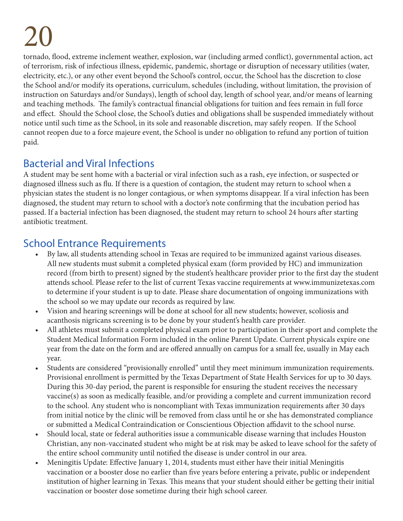tornado, flood, extreme inclement weather, explosion, war (including armed conflict), governmental action, act of terrorism, risk of infectious illness, epidemic, pandemic, shortage or disruption of necessary utilities (water, electricity, etc.), or any other event beyond the School's control, occur, the School has the discretion to close the School and/or modify its operations, curriculum, schedules (including, without limitation, the provision of instruction on Saturdays and/or Sundays), length of school day, length of school year, and/or means of learning and teaching methods. The family's contractual financial obligations for tuition and fees remain in full force and effect. Should the School close, the School's duties and obligations shall be suspended immediately without notice until such time as the School, in its sole and reasonable discretion, may safely reopen. If the School cannot reopen due to a force majeure event, the School is under no obligation to refund any portion of tuition paid.

#### Bacterial and Viral Infections

A student may be sent home with a bacterial or viral infection such as a rash, eye infection, or suspected or diagnosed illness such as flu. If there is a question of contagion, the student may return to school when a physician states the student is no longer contagious, or when symptoms disappear. If a viral infection has been diagnosed, the student may return to school with a doctor's note confirming that the incubation period has passed. If a bacterial infection has been diagnosed, the student may return to school 24 hours after starting antibiotic treatment.

### School Entrance Requirements

- By law, all students attending school in Texas are required to be immunized against various diseases. All new students must submit a completed physical exam (form provided by HC) and immunization record (from birth to present) signed by the student's healthcare provider prior to the first day the student attends school. Please refer to the list of current Texas vaccine requirements at www.immunizetexas.com to determine if your student is up to date. Please share documentation of ongoing immunizations with the school so we may update our records as required by law.
- Vision and hearing screenings will be done at school for all new students; however, scoliosis and acanthosis nigricans screening is to be done by your student's health care provider.
- All athletes must submit a completed physical exam prior to participation in their sport and complete the Student Medical Information Form included in the online Parent Update. Current physicals expire one year from the date on the form and are offered annually on campus for a small fee, usually in May each year.
- Students are considered "provisionally enrolled" until they meet minimum immunization requirements. Provisional enrollment is permitted by the Texas Department of State Health Services for up to 30 days. During this 30-day period, the parent is responsible for ensuring the student receives the necessary vaccine(s) as soon as medically feasible, and/or providing a complete and current immunization record to the school. Any student who is noncompliant with Texas immunization requirements after 30 days from initial notice by the clinic will be removed from class until he or she has demonstrated compliance or submitted a Medical Contraindication or Conscientious Objection affidavit to the school nurse.
- Should local, state or federal authorities issue a communicable disease warning that includes Houston Christian, any non-vaccinated student who might be at risk may be asked to leave school for the safety of the entire school community until notified the disease is under control in our area.
- Meningitis Update: Effective January 1, 2014, students must either have their initial Meningitis vaccination or a booster dose no earlier than five years before entering a private, public or independent institution of higher learning in Texas. This means that your student should either be getting their initial vaccination or booster dose sometime during their high school career.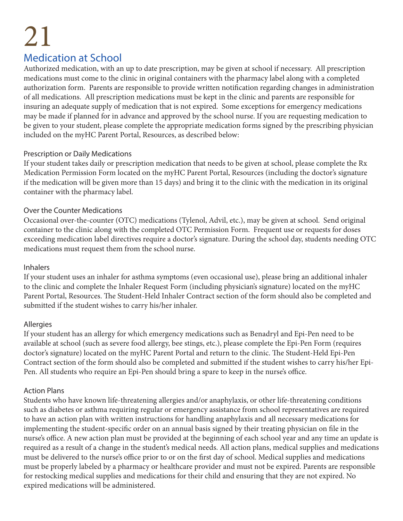#### Medication at School

Authorized medication, with an up to date prescription, may be given at school if necessary. All prescription medications must come to the clinic in original containers with the pharmacy label along with a completed authorization form. Parents are responsible to provide written notification regarding changes in administration of all medications. All prescription medications must be kept in the clinic and parents are responsible for insuring an adequate supply of medication that is not expired. Some exceptions for emergency medications may be made if planned for in advance and approved by the school nurse. If you are requesting medication to be given to your student, please complete the appropriate medication forms signed by the prescribing physician included on the myHC Parent Portal, Resources, as described below:

#### Prescription or Daily Medications

If your student takes daily or prescription medication that needs to be given at school, please complete the Rx Medication Permission Form located on the myHC Parent Portal, Resources (including the doctor's signature if the medication will be given more than 15 days) and bring it to the clinic with the medication in its original container with the pharmacy label.

#### Over the Counter Medications

Occasional over-the-counter (OTC) medications (Tylenol, Advil, etc.), may be given at school. Send original container to the clinic along with the completed OTC Permission Form. Frequent use or requests for doses exceeding medication label directives require a doctor's signature. During the school day, students needing OTC medications must request them from the school nurse.

#### Inhalers

If your student uses an inhaler for asthma symptoms (even occasional use), please bring an additional inhaler to the clinic and complete the Inhaler Request Form (including physician's signature) located on the myHC Parent Portal, Resources. The Student-Held Inhaler Contract section of the form should also be completed and submitted if the student wishes to carry his/her inhaler.

#### Allergies

If your student has an allergy for which emergency medications such as Benadryl and Epi-Pen need to be available at school (such as severe food allergy, bee stings, etc.), please complete the Epi-Pen Form (requires doctor's signature) located on the myHC Parent Portal and return to the clinic. The Student-Held Epi-Pen Contract section of the form should also be completed and submitted if the student wishes to carry his/her Epi-Pen. All students who require an Epi-Pen should bring a spare to keep in the nurse's office.

#### Action Plans

Students who have known life-threatening allergies and/or anaphylaxis, or other life-threatening conditions such as diabetes or asthma requiring regular or emergency assistance from school representatives are required to have an action plan with written instructions for handling anaphylaxis and all necessary medications for implementing the student-specific order on an annual basis signed by their treating physician on file in the nurse's office. A new action plan must be provided at the beginning of each school year and any time an update is required as a result of a change in the student's medical needs. All action plans, medical supplies and medications must be delivered to the nurse's office prior to or on the first day of school. Medical supplies and medications must be properly labeled by a pharmacy or healthcare provider and must not be expired. Parents are responsible for restocking medical supplies and medications for their child and ensuring that they are not expired. No expired medications will be administered.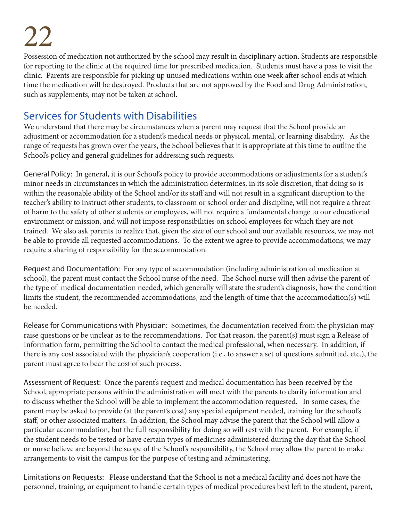Possession of medication not authorized by the school may result in disciplinary action. Students are responsible for reporting to the clinic at the required time for prescribed medication. Students must have a pass to visit the clinic. Parents are responsible for picking up unused medications within one week after school ends at which time the medication will be destroyed. Products that are not approved by the Food and Drug Administration, such as supplements, may not be taken at school.

#### Services for Students with Disabilities

We understand that there may be circumstances when a parent may request that the School provide an adjustment or accommodation for a student's medical needs or physical, mental, or learning disability. As the range of requests has grown over the years, the School believes that it is appropriate at this time to outline the School's policy and general guidelines for addressing such requests.

General Policy: In general, it is our School's policy to provide accommodations or adjustments for a student's minor needs in circumstances in which the administration determines, in its sole discretion, that doing so is within the reasonable ability of the School and/or its staff and will not result in a significant disruption to the teacher's ability to instruct other students, to classroom or school order and discipline, will not require a threat of harm to the safety of other students or employees, will not require a fundamental change to our educational environment or mission, and will not impose responsibilities on school employees for which they are not trained. We also ask parents to realize that, given the size of our school and our available resources, we may not be able to provide all requested accommodations. To the extent we agree to provide accommodations, we may require a sharing of responsibility for the accommodation.

Request and Documentation: For any type of accommodation (including administration of medication at school), the parent must contact the School nurse of the need. The School nurse will then advise the parent of the type of medical documentation needed, which generally will state the student's diagnosis, how the condition limits the student, the recommended accommodations, and the length of time that the accommodation(s) will be needed.

Release for Communications with Physician: Sometimes, the documentation received from the physician may raise questions or be unclear as to the recommendations. For that reason, the parent(s) must sign a Release of Information form, permitting the School to contact the medical professional, when necessary. In addition, if there is any cost associated with the physician's cooperation (i.e., to answer a set of questions submitted, etc.), the parent must agree to bear the cost of such process.

Assessment of Request: Once the parent's request and medical documentation has been received by the School, appropriate persons within the administration will meet with the parents to clarify information and to discuss whether the School will be able to implement the accommodation requested. In some cases, the parent may be asked to provide (at the parent's cost) any special equipment needed, training for the school's staff, or other associated matters. In addition, the School may advise the parent that the School will allow a particular accommodation, but the full responsibility for doing so will rest with the parent. For example, if the student needs to be tested or have certain types of medicines administered during the day that the School or nurse believe are beyond the scope of the School's responsibility, the School may allow the parent to make arrangements to visit the campus for the purpose of testing and administering.

Limitations on Requests: Please understand that the School is not a medical facility and does not have the personnel, training, or equipment to handle certain types of medical procedures best left to the student, parent,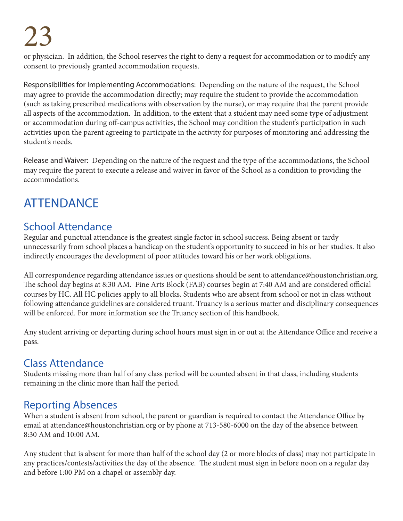or physician. In addition, the School reserves the right to deny a request for accommodation or to modify any consent to previously granted accommodation requests.

Responsibilities for Implementing Accommodations: Depending on the nature of the request, the School may agree to provide the accommodation directly; may require the student to provide the accommodation (such as taking prescribed medications with observation by the nurse), or may require that the parent provide all aspects of the accommodation. In addition, to the extent that a student may need some type of adjustment or accommodation during off-campus activities, the School may condition the student's participation in such activities upon the parent agreeing to participate in the activity for purposes of monitoring and addressing the student's needs.

Release and Waiver: Depending on the nature of the request and the type of the accommodations, the School may require the parent to execute a release and waiver in favor of the School as a condition to providing the accommodations.

### **ATTENDANCE**

#### School Attendance

Regular and punctual attendance is the greatest single factor in school success. Being absent or tardy unnecessarily from school places a handicap on the student's opportunity to succeed in his or her studies. It also indirectly encourages the development of poor attitudes toward his or her work obligations.

All correspondence regarding attendance issues or questions should be sent to attendance@houstonchristian.org. The school day begins at 8:30 AM. Fine Arts Block (FAB) courses begin at 7:40 AM and are considered official courses by HC. All HC policies apply to all blocks. Students who are absent from school or not in class without following attendance guidelines are considered truant. Truancy is a serious matter and disciplinary consequences will be enforced. For more information see the Truancy section of this handbook.

Any student arriving or departing during school hours must sign in or out at the Attendance Office and receive a pass.

### Class Attendance

Students missing more than half of any class period will be counted absent in that class, including students remaining in the clinic more than half the period.

### Reporting Absences

When a student is absent from school, the parent or guardian is required to contact the Attendance Office by email at attendance@houstonchristian.org or by phone at 713-580-6000 on the day of the absence between 8:30 AM and 10:00 AM.

Any student that is absent for more than half of the school day (2 or more blocks of class) may not participate in any practices/contests/activities the day of the absence. The student must sign in before noon on a regular day and before 1:00 PM on a chapel or assembly day.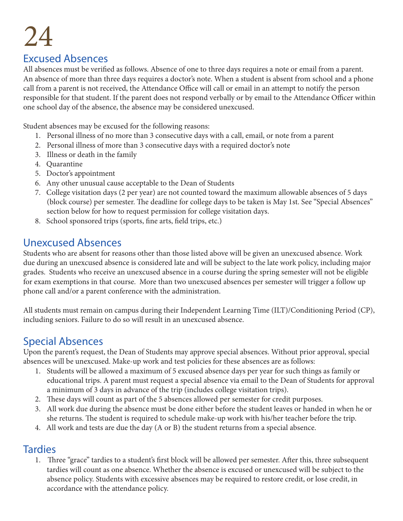#### Excused Absences

All absences must be verified as follows. Absence of one to three days requires a note or email from a parent. An absence of more than three days requires a doctor's note. When a student is absent from school and a phone call from a parent is not received, the Attendance Office will call or email in an attempt to notify the person responsible for that student. If the parent does not respond verbally or by email to the Attendance Officer within one school day of the absence, the absence may be considered unexcused.

Student absences may be excused for the following reasons:

- 1. Personal illness of no more than 3 consecutive days with a call, email, or note from a parent
- 2. Personal illness of more than 3 consecutive days with a required doctor's note
- 3. Illness or death in the family
- 4. Quarantine
- 5. Doctor's appointment
- 6. Any other unusual cause acceptable to the Dean of Students
- 7. College visitation days (2 per year) are not counted toward the maximum allowable absences of 5 days (block course) per semester. The deadline for college days to be taken is May 1st. See "Special Absences" section below for how to request permission for college visitation days.
- 8. School sponsored trips (sports, fine arts, field trips, etc.)

#### Unexcused Absences

Students who are absent for reasons other than those listed above will be given an unexcused absence. Work due during an unexcused absence is considered late and will be subject to the late work policy, including major grades. Students who receive an unexcused absence in a course during the spring semester will not be eligible for exam exemptions in that course. More than two unexcused absences per semester will trigger a follow up phone call and/or a parent conference with the administration.

All students must remain on campus during their Independent Learning Time (ILT)/Conditioning Period (CP), including seniors. Failure to do so will result in an unexcused absence.

#### Special Absences

Upon the parent's request, the Dean of Students may approve special absences. Without prior approval, special absences will be unexcused. Make-up work and test policies for these absences are as follows:

- 1. Students will be allowed a maximum of 5 excused absence days per year for such things as family or educational trips. A parent must request a special absence via email to the Dean of Students for approval a minimum of 3 days in advance of the trip (includes college visitation trips).
- 2. These days will count as part of the 5 absences allowed per semester for credit purposes.
- 3. All work due during the absence must be done either before the student leaves or handed in when he or she returns. The student is required to schedule make-up work with his/her teacher before the trip.
- 4. All work and tests are due the day (A or B) the student returns from a special absence.

#### **Tardies**

1. Three "grace" tardies to a student's first block will be allowed per semester. After this, three subsequent tardies will count as one absence. Whether the absence is excused or unexcused will be subject to the absence policy. Students with excessive absences may be required to restore credit, or lose credit, in accordance with the attendance policy.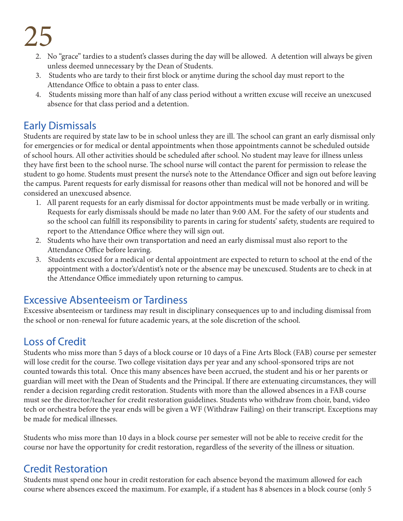- 2. No "grace" tardies to a student's classes during the day will be allowed. A detention will always be given unless deemed unnecessary by the Dean of Students.
- 3. Students who are tardy to their first block or anytime during the school day must report to the Attendance Office to obtain a pass to enter class.
- 4. Students missing more than half of any class period without a written excuse will receive an unexcused absence for that class period and a detention.

### Early Dismissals

Students are required by state law to be in school unless they are ill. The school can grant an early dismissal only for emergencies or for medical or dental appointments when those appointments cannot be scheduled outside of school hours. All other activities should be scheduled after school. No student may leave for illness unless they have first been to the school nurse. The school nurse will contact the parent for permission to release the student to go home. Students must present the nurse's note to the Attendance Officer and sign out before leaving the campus. Parent requests for early dismissal for reasons other than medical will not be honored and will be considered an unexcused absence.

- 1. All parent requests for an early dismissal for doctor appointments must be made verbally or in writing. Requests for early dismissals should be made no later than 9:00 AM. For the safety of our students and so the school can fulfill its responsibility to parents in caring for students' safety, students are required to report to the Attendance Office where they will sign out.
- 2. Students who have their own transportation and need an early dismissal must also report to the Attendance Office before leaving.
- 3. Students excused for a medical or dental appointment are expected to return to school at the end of the appointment with a doctor's/dentist's note or the absence may be unexcused. Students are to check in at the Attendance Office immediately upon returning to campus.

### Excessive Absenteeism or Tardiness

Excessive absenteeism or tardiness may result in disciplinary consequences up to and including dismissal from the school or non-renewal for future academic years, at the sole discretion of the school.

### Loss of Credit

Students who miss more than 5 days of a block course or 10 days of a Fine Arts Block (FAB) course per semester will lose credit for the course. Two college visitation days per year and any school-sponsored trips are not counted towards this total. Once this many absences have been accrued, the student and his or her parents or guardian will meet with the Dean of Students and the Principal. If there are extenuating circumstances, they will render a decision regarding credit restoration. Students with more than the allowed absences in a FAB course must see the director/teacher for credit restoration guidelines. Students who withdraw from choir, band, video tech or orchestra before the year ends will be given a WF (Withdraw Failing) on their transcript. Exceptions may be made for medical illnesses.

Students who miss more than 10 days in a block course per semester will not be able to receive credit for the course nor have the opportunity for credit restoration, regardless of the severity of the illness or situation.

### Credit Restoration

Students must spend one hour in credit restoration for each absence beyond the maximum allowed for each course where absences exceed the maximum. For example, if a student has 8 absences in a block course (only 5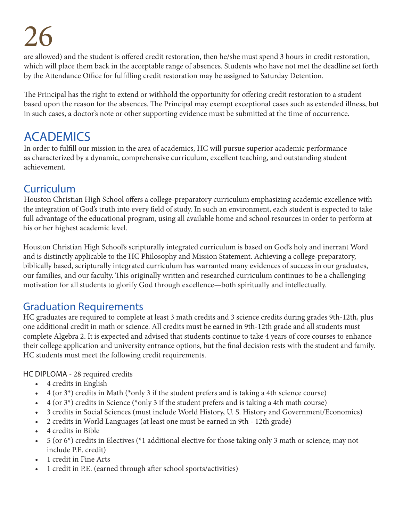are allowed) and the student is offered credit restoration, then he/she must spend 3 hours in credit restoration, which will place them back in the acceptable range of absences. Students who have not met the deadline set forth by the Attendance Office for fulfilling credit restoration may be assigned to Saturday Detention.

The Principal has the right to extend or withhold the opportunity for offering credit restoration to a student based upon the reason for the absences. The Principal may exempt exceptional cases such as extended illness, but in such cases, a doctor's note or other supporting evidence must be submitted at the time of occurrence.

### ACADEMICS

In order to fulfill our mission in the area of academics, HC will pursue superior academic performance as characterized by a dynamic, comprehensive curriculum, excellent teaching, and outstanding student achievement.

#### Curriculum

Houston Christian High School offers a college-preparatory curriculum emphasizing academic excellence with the integration of God's truth into every field of study. In such an environment, each student is expected to take full advantage of the educational program, using all available home and school resources in order to perform at his or her highest academic level.

Houston Christian High School's scripturally integrated curriculum is based on God's holy and inerrant Word and is distinctly applicable to the HC Philosophy and Mission Statement. Achieving a college-preparatory, biblically based, scripturally integrated curriculum has warranted many evidences of success in our graduates, our families, and our faculty. This originally written and researched curriculum continues to be a challenging motivation for all students to glorify God through excellence—both spiritually and intellectually.

#### Graduation Requirements

HC graduates are required to complete at least 3 math credits and 3 science credits during grades 9th-12th, plus one additional credit in math or science. All credits must be earned in 9th-12th grade and all students must complete Algebra 2. It is expected and advised that students continue to take 4 years of core courses to enhance their college application and university entrance options, but the final decision rests with the student and family. HC students must meet the following credit requirements.

HC DIPLOMA - 28 required credits

- 4 credits in English
- $4$  (or  $3^*$ ) credits in Math (\*only 3 if the student prefers and is taking a 4th science course)
- 4 (or  $3^*$ ) credits in Science (\*only 3 if the student prefers and is taking a 4th math course)
- 3 credits in Social Sciences (must include World History, U. S. History and Government/Economics)
- 2 credits in World Languages (at least one must be earned in 9th 12th grade)
- 4 credits in Bible
- 5 (or  $6^*$ ) credits in Electives (\*1 additional elective for those taking only 3 math or science; may not include P.E. credit)
- 1 credit in Fine Arts
- 1 credit in P.E. (earned through after school sports/activities)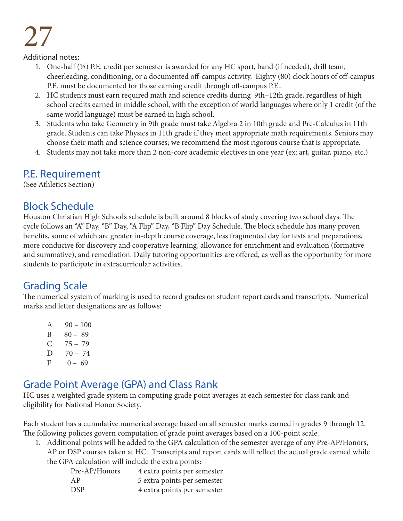Additional notes:

- 1. One-half  $(\frac{1}{2})$  P.E. credit per semester is awarded for any HC sport, band (if needed), drill team, cheerleading, conditioning, or a documented off-campus activity. Eighty (80) clock hours of off-campus P.E. must be documented for those earning credit through off-campus P.E..
- 2. HC students must earn required math and science credits during 9th–12th grade, regardless of high school credits earned in middle school, with the exception of world languages where only 1 credit (of the same world language) must be earned in high school.
- 3. Students who take Geometry in 9th grade must take Algebra 2 in 10th grade and Pre-Calculus in 11th grade. Students can take Physics in 11th grade if they meet appropriate math requirements. Seniors may choose their math and science courses; we recommend the most rigorous course that is appropriate.
- 4. Students may not take more than 2 non-core academic electives in one year (ex: art, guitar, piano, etc.)

#### P.E. Requirement

(See Athletics Section)

#### Block Schedule

Houston Christian High School's schedule is built around 8 blocks of study covering two school days. The cycle follows an "A" Day, "B" Day, "A Flip" Day, "B Flip" Day Schedule. The block schedule has many proven benefits, some of which are greater in-depth course coverage, less fragmented day for tests and preparations, more conducive for discovery and cooperative learning, allowance for enrichment and evaluation (formative and summative), and remediation. Daily tutoring opportunities are offered, as well as the opportunity for more students to participate in extracurricular activities.

#### Grading Scale

The numerical system of marking is used to record grades on student report cards and transcripts. Numerical marks and letter designations are as follows:

A  $90 - 100$  $B = 80 - 89$  $C$  75 – 79 D  $70 - 74$  $F = 0 - 69$ 

### Grade Point Average (GPA) and Class Rank

HC uses a weighted grade system in computing grade point averages at each semester for class rank and eligibility for National Honor Society.

Each student has a cumulative numerical average based on all semester marks earned in grades 9 through 12. The following policies govern computation of grade point averages based on a 100-point scale.

- 1. Additional points will be added to the GPA calculation of the semester average of any Pre-AP/Honors,
	- AP or DSP courses taken at HC. Transcripts and report cards will reflect the actual grade earned while the GPA calculation will include the extra points:

| Pre-AP/Honors | 4 extra points per semester |
|---------------|-----------------------------|
| AP            | 5 extra points per semester |
| <b>DSP</b>    | 4 extra points per semester |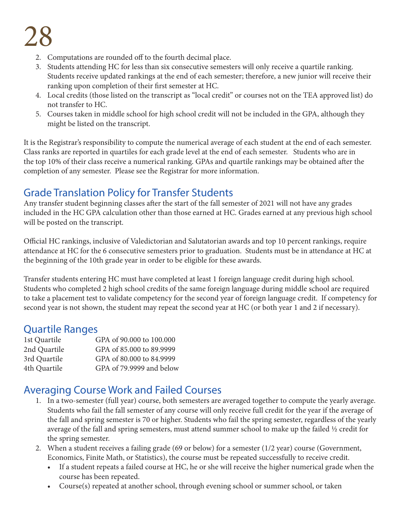- 2. Computations are rounded off to the fourth decimal place.
- 3. Students attending HC for less than six consecutive semesters will only receive a quartile ranking. Students receive updated rankings at the end of each semester; therefore, a new junior will receive their ranking upon completion of their first semester at HC.
- 4. Local credits (those listed on the transcript as "local credit" or courses not on the TEA approved list) do not transfer to HC.
- 5. Courses taken in middle school for high school credit will not be included in the GPA, although they might be listed on the transcript.

It is the Registrar's responsibility to compute the numerical average of each student at the end of each semester. Class ranks are reported in quartiles for each grade level at the end of each semester. Students who are in the top 10% of their class receive a numerical ranking. GPAs and quartile rankings may be obtained after the completion of any semester. Please see the Registrar for more information.

#### Grade Translation Policy for Transfer Students

Any transfer student beginning classes after the start of the fall semester of 2021 will not have any grades included in the HC GPA calculation other than those earned at HC. Grades earned at any previous high school will be posted on the transcript.

Official HC rankings, inclusive of Valedictorian and Salutatorian awards and top 10 percent rankings, require attendance at HC for the 6 consecutive semesters prior to graduation. Students must be in attendance at HC at the beginning of the 10th grade year in order to be eligible for these awards.

Transfer students entering HC must have completed at least 1 foreign language credit during high school. Students who completed 2 high school credits of the same foreign language during middle school are required to take a placement test to validate competency for the second year of foreign language credit. If competency for second year is not shown, the student may repeat the second year at HC (or both year 1 and 2 if necessary).

#### Quartile Ranges

| GPA of 90.000 to 100.000 |
|--------------------------|
| GPA of 85.000 to 89.9999 |
| GPA of 80.000 to 84.9999 |
| GPA of 79.9999 and below |
|                          |

#### Averaging Course Work and Failed Courses

- 1. In a two-semester (full year) course, both semesters are averaged together to compute the yearly average. Students who fail the fall semester of any course will only receive full credit for the year if the average of the fall and spring semester is 70 or higher. Students who fail the spring semester, regardless of the yearly average of the fall and spring semesters, must attend summer school to make up the failed ½ credit for the spring semester.
- 2. When a student receives a failing grade (69 or below) for a semester (1/2 year) course (Government, Economics, Finite Math, or Statistics), the course must be repeated successfully to receive credit.
	- If a student repeats a failed course at HC, he or she will receive the higher numerical grade when the course has been repeated.
	- Course(s) repeated at another school, through evening school or summer school, or taken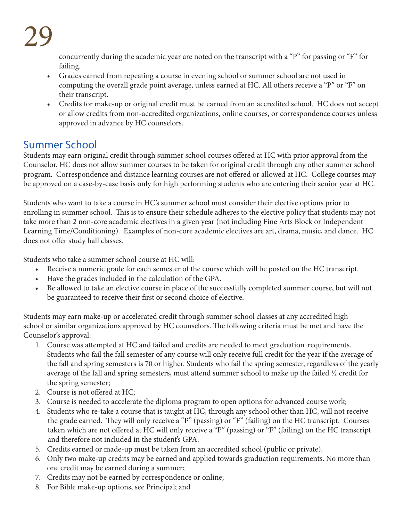concurrently during the academic year are noted on the transcript with a "P" for passing or "F" for failing.

- Grades earned from repeating a course in evening school or summer school are not used in computing the overall grade point average, unless earned at HC. All others receive a "P" or "F" on their transcript.
- Credits for make-up or original credit must be earned from an accredited school. HC does not accept or allow credits from non-accredited organizations, online courses, or correspondence courses unless approved in advance by HC counselors.

### Summer School

Students may earn original credit through summer school courses offered at HC with prior approval from the Counselor. HC does not allow summer courses to be taken for original credit through any other summer school program. Correspondence and distance learning courses are not offered or allowed at HC. College courses may be approved on a case-by-case basis only for high performing students who are entering their senior year at HC.

Students who want to take a course in HC's summer school must consider their elective options prior to enrolling in summer school. This is to ensure their schedule adheres to the elective policy that students may not take more than 2 non-core academic electives in a given year (not including Fine Arts Block or Independent Learning Time/Conditioning). Examples of non-core academic electives are art, drama, music, and dance. HC does not offer study hall classes.

Students who take a summer school course at HC will:

- Receive a numeric grade for each semester of the course which will be posted on the HC transcript.
- Have the grades included in the calculation of the GPA.
- Be allowed to take an elective course in place of the successfully completed summer course, but will not be guaranteed to receive their first or second choice of elective.

Students may earn make-up or accelerated credit through summer school classes at any accredited high school or similar organizations approved by HC counselors. The following criteria must be met and have the Counselor's approval:

- 1. Course was attempted at HC and failed and credits are needed to meet graduation requirements. Students who fail the fall semester of any course will only receive full credit for the year if the average of the fall and spring semesters is 70 or higher. Students who fail the spring semester, regardless of the yearly average of the fall and spring semesters, must attend summer school to make up the failed  $\frac{1}{2}$  credit for the spring semester;
- 2. Course is not offered at HC;
- 3. Course is needed to accelerate the diploma program to open options for advanced course work;
- 4. Students who re-take a course that is taught at HC, through any school other than HC, will not receive the grade earned. They will only receive a "P" (passing) or "F" (failing) on the HC transcript. Courses taken which are not offered at HC will only receive a "P" (passing) or "F" (failing) on the HC transcript and therefore not included in the student's GPA.
- 5. Credits earned or made-up must be taken from an accredited school (public or private).
- 6. Only two make-up credits may be earned and applied towards graduation requirements. No more than one credit may be earned during a summer;
- 7. Credits may not be earned by correspondence or online;
- 8. For Bible make-up options, see Principal; and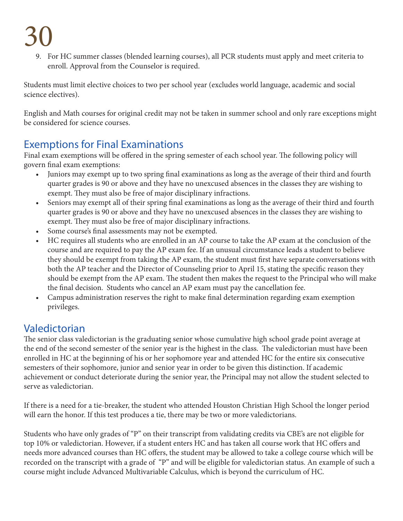9. For HC summer classes (blended learning courses), all PCR students must apply and meet criteria to enroll. Approval from the Counselor is required.

Students must limit elective choices to two per school year (excludes world language, academic and social science electives).

English and Math courses for original credit may not be taken in summer school and only rare exceptions might be considered for science courses.

### Exemptions for Final Examinations

Final exam exemptions will be offered in the spring semester of each school year. The following policy will govern final exam exemptions:

- Juniors may exempt up to two spring final examinations as long as the average of their third and fourth quarter grades is 90 or above and they have no unexcused absences in the classes they are wishing to exempt. They must also be free of major disciplinary infractions.
- Seniors may exempt all of their spring final examinations as long as the average of their third and fourth quarter grades is 90 or above and they have no unexcused absences in the classes they are wishing to exempt. They must also be free of major disciplinary infractions.
- Some course's final assessments may not be exempted.
- HC requires all students who are enrolled in an AP course to take the AP exam at the conclusion of the course and are required to pay the AP exam fee. If an unusual circumstance leads a student to believe they should be exempt from taking the AP exam, the student must first have separate conversations with both the AP teacher and the Director of Counseling prior to April 15, stating the specific reason they should be exempt from the AP exam. The student then makes the request to the Principal who will make the final decision. Students who cancel an AP exam must pay the cancellation fee.
- Campus administration reserves the right to make final determination regarding exam exemption privileges.

#### Valedictorian

The senior class valedictorian is the graduating senior whose cumulative high school grade point average at the end of the second semester of the senior year is the highest in the class. The valedictorian must have been enrolled in HC at the beginning of his or her sophomore year and attended HC for the entire six consecutive semesters of their sophomore, junior and senior year in order to be given this distinction. If academic achievement or conduct deteriorate during the senior year, the Principal may not allow the student selected to serve as valedictorian.

If there is a need for a tie-breaker, the student who attended Houston Christian High School the longer period will earn the honor. If this test produces a tie, there may be two or more valedictorians.

Students who have only grades of "P" on their transcript from validating credits via CBE's are not eligible for top 10% or valedictorian. However, if a student enters HC and has taken all course work that HC offers and needs more advanced courses than HC offers, the student may be allowed to take a college course which will be recorded on the transcript with a grade of "P" and will be eligible for valedictorian status. An example of such a course might include Advanced Multivariable Calculus, which is beyond the curriculum of HC.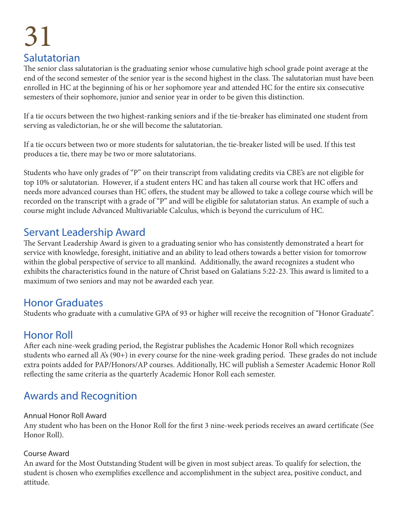### 31 Salutatorian

The senior class salutatorian is the graduating senior whose cumulative high school grade point average at the end of the second semester of the senior year is the second highest in the class. The salutatorian must have been enrolled in HC at the beginning of his or her sophomore year and attended HC for the entire six consecutive semesters of their sophomore, junior and senior year in order to be given this distinction.

If a tie occurs between the two highest-ranking seniors and if the tie-breaker has eliminated one student from serving as valedictorian, he or she will become the salutatorian.

If a tie occurs between two or more students for salutatorian, the tie-breaker listed will be used. If this test produces a tie, there may be two or more salutatorians.

Students who have only grades of "P" on their transcript from validating credits via CBE's are not eligible for top 10% or salutatorian. However, if a student enters HC and has taken all course work that HC offers and needs more advanced courses than HC offers, the student may be allowed to take a college course which will be recorded on the transcript with a grade of "P" and will be eligible for salutatorian status. An example of such a course might include Advanced Multivariable Calculus, which is beyond the curriculum of HC.

#### Servant Leadership Award

The Servant Leadership Award is given to a graduating senior who has consistently demonstrated a heart for service with knowledge, foresight, initiative and an ability to lead others towards a better vision for tomorrow within the global perspective of service to all mankind. Additionally, the award recognizes a student who exhibits the characteristics found in the nature of Christ based on Galatians 5:22-23. This award is limited to a maximum of two seniors and may not be awarded each year.

#### Honor Graduates

Students who graduate with a cumulative GPA of 93 or higher will receive the recognition of "Honor Graduate".

#### Honor Roll

After each nine-week grading period, the Registrar publishes the Academic Honor Roll which recognizes students who earned all A's (90+) in every course for the nine-week grading period. These grades do not include extra points added for PAP/Honors/AP courses. Additionally, HC will publish a Semester Academic Honor Roll reflecting the same criteria as the quarterly Academic Honor Roll each semester.

### Awards and Recognition

#### Annual Honor Roll Award

Any student who has been on the Honor Roll for the first 3 nine-week periods receives an award certificate (See Honor Roll).

#### Course Award

An award for the Most Outstanding Student will be given in most subject areas. To qualify for selection, the student is chosen who exemplifies excellence and accomplishment in the subject area, positive conduct, and attitude.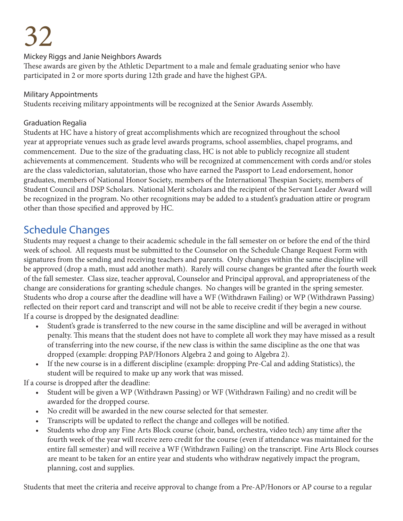#### Mickey Riggs and Janie Neighbors Awards

These awards are given by the Athletic Department to a male and female graduating senior who have participated in 2 or more sports during 12th grade and have the highest GPA.

#### Military Appointments

Students receiving military appointments will be recognized at the Senior Awards Assembly.

#### Graduation Regalia

Students at HC have a history of great accomplishments which are recognized throughout the school year at appropriate venues such as grade level awards programs, school assemblies, chapel programs, and commencement. Due to the size of the graduating class, HC is not able to publicly recognize all student achievements at commencement. Students who will be recognized at commencement with cords and/or stoles are the class valedictorian, salutatorian, those who have earned the Passport to Lead endorsement, honor graduates, members of National Honor Society, members of the International Thespian Society, members of Student Council and DSP Scholars. National Merit scholars and the recipient of the Servant Leader Award will be recognized in the program. No other recognitions may be added to a student's graduation attire or program other than those specified and approved by HC.

#### Schedule Changes

Students may request a change to their academic schedule in the fall semester on or before the end of the third week of school. All requests must be submitted to the Counselor on the Schedule Change Request Form with signatures from the sending and receiving teachers and parents. Only changes within the same discipline will be approved (drop a math, must add another math). Rarely will course changes be granted after the fourth week of the fall semester. Class size, teacher approval, Counselor and Principal approval, and appropriateness of the change are considerations for granting schedule changes. No changes will be granted in the spring semester. Students who drop a course after the deadline will have a WF (Withdrawn Failing) or WP (Withdrawn Passing) reflected on their report card and transcript and will not be able to receive credit if they begin a new course. If a course is dropped by the designated deadline:

- Student's grade is transferred to the new course in the same discipline and will be averaged in without penalty. This means that the student does not have to complete all work they may have missed as a result of transferring into the new course, if the new class is within the same discipline as the one that was dropped (example: dropping PAP/Honors Algebra 2 and going to Algebra 2).
- If the new course is in a different discipline (example: dropping Pre-Cal and adding Statistics), the student will be required to make up any work that was missed.

If a course is dropped after the deadline:

- Student will be given a WP (Withdrawn Passing) or WF (Withdrawn Failing) and no credit will be awarded for the dropped course.
- No credit will be awarded in the new course selected for that semester.
- Transcripts will be updated to reflect the change and colleges will be notified.
- Students who drop any Fine Arts Block course (choir, band, orchestra, video tech) any time after the fourth week of the year will receive zero credit for the course (even if attendance was maintained for the entire fall semester) and will receive a WF (Withdrawn Failing) on the transcript. Fine Arts Block courses are meant to be taken for an entire year and students who withdraw negatively impact the program, planning, cost and supplies.

Students that meet the criteria and receive approval to change from a Pre-AP/Honors or AP course to a regular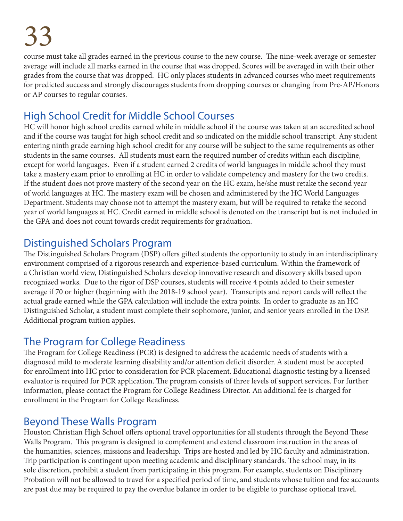course must take all grades earned in the previous course to the new course. The nine-week average or semester average will include all marks earned in the course that was dropped. Scores will be averaged in with their other grades from the course that was dropped. HC only places students in advanced courses who meet requirements for predicted success and strongly discourages students from dropping courses or changing from Pre-AP/Honors or AP courses to regular courses.

### High School Credit for Middle School Courses

HC will honor high school credits earned while in middle school if the course was taken at an accredited school and if the course was taught for high school credit and so indicated on the middle school transcript. Any student entering ninth grade earning high school credit for any course will be subject to the same requirements as other students in the same courses. All students must earn the required number of credits within each discipline, except for world languages. Even if a student earned 2 credits of world languages in middle school they must take a mastery exam prior to enrolling at HC in order to validate competency and mastery for the two credits. If the student does not prove mastery of the second year on the HC exam, he/she must retake the second year of world languages at HC. The mastery exam will be chosen and administered by the HC World Languages Department. Students may choose not to attempt the mastery exam, but will be required to retake the second year of world languages at HC. Credit earned in middle school is denoted on the transcript but is not included in the GPA and does not count towards credit requirements for graduation.

#### Distinguished Scholars Program

The Distinguished Scholars Program (DSP) offers gifted students the opportunity to study in an interdisciplinary environment comprised of a rigorous research and experience-based curriculum. Within the framework of a Christian world view, Distinguished Scholars develop innovative research and discovery skills based upon recognized works. Due to the rigor of DSP courses, students will receive 4 points added to their semester average if 70 or higher (beginning with the 2018-19 school year). Transcripts and report cards will reflect the actual grade earned while the GPA calculation will include the extra points. In order to graduate as an HC Distinguished Scholar, a student must complete their sophomore, junior, and senior years enrolled in the DSP. Additional program tuition applies.

#### The Program for College Readiness

The Program for College Readiness (PCR) is designed to address the academic needs of students with a diagnosed mild to moderate learning disability and/or attention deficit disorder. A student must be accepted for enrollment into HC prior to consideration for PCR placement. Educational diagnostic testing by a licensed evaluator is required for PCR application. The program consists of three levels of support services. For further information, please contact the Program for College Readiness Director. An additional fee is charged for enrollment in the Program for College Readiness.

#### Beyond These Walls Program

Houston Christian High School offers optional travel opportunities for all students through the Beyond These Walls Program. This program is designed to complement and extend classroom instruction in the areas of the humanities, sciences, missions and leadership. Trips are hosted and led by HC faculty and administration. Trip participation is contingent upon meeting academic and disciplinary standards. The school may, in its sole discretion, prohibit a student from participating in this program. For example, students on Disciplinary Probation will not be allowed to travel for a specified period of time, and students whose tuition and fee accounts are past due may be required to pay the overdue balance in order to be eligible to purchase optional travel.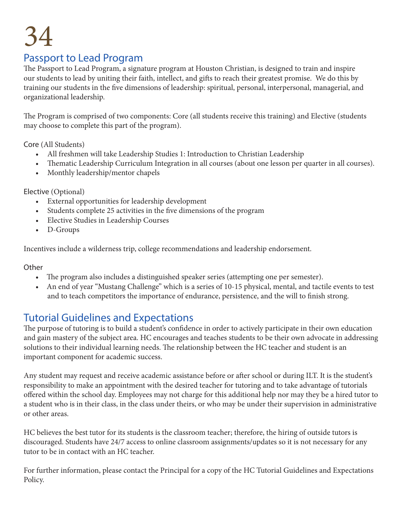#### Passport to Lead Program

The Passport to Lead Program, a signature program at Houston Christian, is designed to train and inspire our students to lead by uniting their faith, intellect, and gifts to reach their greatest promise. We do this by training our students in the five dimensions of leadership: spiritual, personal, interpersonal, managerial, and organizational leadership.

The Program is comprised of two components: Core (all students receive this training) and Elective (students may choose to complete this part of the program).

Core (All Students)

- All freshmen will take Leadership Studies 1: Introduction to Christian Leadership
- Thematic Leadership Curriculum Integration in all courses (about one lesson per quarter in all courses).
- Monthly leadership/mentor chapels

Elective (Optional)

- External opportunities for leadership development
- Students complete 25 activities in the five dimensions of the program
- Elective Studies in Leadership Courses
- D-Groups

Incentives include a wilderness trip, college recommendations and leadership endorsement.

**Other** 

- The program also includes a distinguished speaker series (attempting one per semester).
- An end of year "Mustang Challenge" which is a series of 10-15 physical, mental, and tactile events to test and to teach competitors the importance of endurance, persistence, and the will to finish strong.

#### Tutorial Guidelines and Expectations

The purpose of tutoring is to build a student's confidence in order to actively participate in their own education and gain mastery of the subject area. HC encourages and teaches students to be their own advocate in addressing solutions to their individual learning needs. The relationship between the HC teacher and student is an important component for academic success.

Any student may request and receive academic assistance before or after school or during ILT. It is the student's responsibility to make an appointment with the desired teacher for tutoring and to take advantage of tutorials offered within the school day. Employees may not charge for this additional help nor may they be a hired tutor to a student who is in their class, in the class under theirs, or who may be under their supervision in administrative or other areas.

HC believes the best tutor for its students is the classroom teacher; therefore, the hiring of outside tutors is discouraged. Students have 24/7 access to online classroom assignments/updates so it is not necessary for any tutor to be in contact with an HC teacher.

For further information, please contact the Principal for a copy of the HC Tutorial Guidelines and Expectations Policy.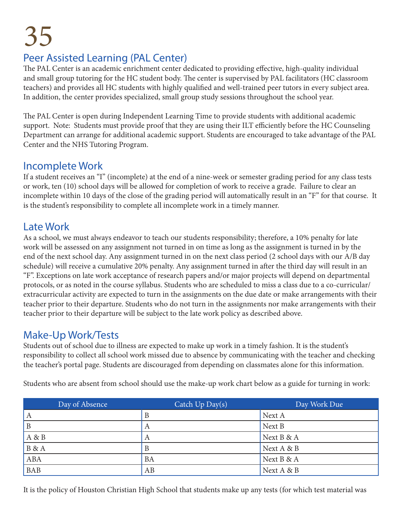### Peer Assisted Learning (PAL Center)

The PAL Center is an academic enrichment center dedicated to providing effective, high-quality individual and small group tutoring for the HC student body. The center is supervised by PAL facilitators (HC classroom teachers) and provides all HC students with highly qualified and well-trained peer tutors in every subject area. In addition, the center provides specialized, small group study sessions throughout the school year.

The PAL Center is open during Independent Learning Time to provide students with additional academic support. Note: Students must provide proof that they are using their ILT efficiently before the HC Counseling Department can arrange for additional academic support. Students are encouraged to take advantage of the PAL Center and the NHS Tutoring Program.

#### Incomplete Work

If a student receives an "I" (incomplete) at the end of a nine-week or semester grading period for any class tests or work, ten (10) school days will be allowed for completion of work to receive a grade. Failure to clear an incomplete within 10 days of the close of the grading period will automatically result in an "F" for that course. It is the student's responsibility to complete all incomplete work in a timely manner.

#### Late Work

As a school, we must always endeavor to teach our students responsibility; therefore, a 10% penalty for late work will be assessed on any assignment not turned in on time as long as the assignment is turned in by the end of the next school day. Any assignment turned in on the next class period (2 school days with our A/B day schedule) will receive a cumulative 20% penalty. Any assignment turned in after the third day will result in an "F". Exceptions on late work acceptance of research papers and/or major projects will depend on departmental protocols, or as noted in the course syllabus. Students who are scheduled to miss a class due to a co-curricular/ extracurricular activity are expected to turn in the assignments on the due date or make arrangements with their teacher prior to their departure. Students who do not turn in the assignments nor make arrangements with their teacher prior to their departure will be subject to the late work policy as described above.

#### Make-Up Work/Tests

Students out of school due to illness are expected to make up work in a timely fashion. It is the student's responsibility to collect all school work missed due to absence by communicating with the teacher and checking the teacher's portal page. Students are discouraged from depending on classmates alone for this information.

| Day of Absence | Catch $Up$ $Day(s)$ | Day Work Due |
|----------------|---------------------|--------------|
| A              | В                   | Next A       |
| B              | А                   | Next B       |
| A & B          | А                   | Next B & A   |
| <b>B</b> & A   | В                   | Next A & B   |
| <b>ABA</b>     | BA                  | Next B & A   |
| <b>BAB</b>     | AB                  | Next A & B   |

Students who are absent from school should use the make-up work chart below as a guide for turning in work:

It is the policy of Houston Christian High School that students make up any tests (for which test material was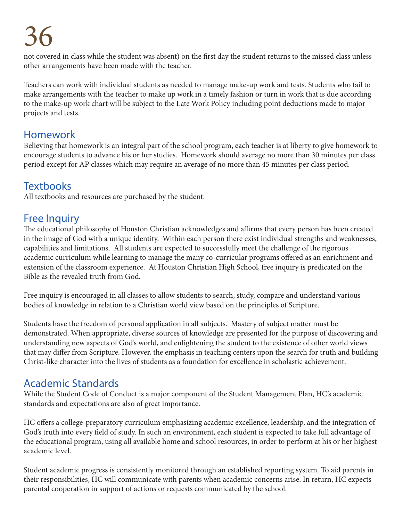not covered in class while the student was absent) on the first day the student returns to the missed class unless other arrangements have been made with the teacher.

Teachers can work with individual students as needed to manage make-up work and tests. Students who fail to make arrangements with the teacher to make up work in a timely fashion or turn in work that is due according to the make-up work chart will be subject to the Late Work Policy including point deductions made to major projects and tests.

#### Homework

Believing that homework is an integral part of the school program, each teacher is at liberty to give homework to encourage students to advance his or her studies. Homework should average no more than 30 minutes per class period except for AP classes which may require an average of no more than 45 minutes per class period.

#### **Textbooks**

All textbooks and resources are purchased by the student.

#### Free Inquiry

The educational philosophy of Houston Christian acknowledges and affirms that every person has been created in the image of God with a unique identity. Within each person there exist individual strengths and weaknesses, capabilities and limitations. All students are expected to successfully meet the challenge of the rigorous academic curriculum while learning to manage the many co-curricular programs offered as an enrichment and extension of the classroom experience. At Houston Christian High School, free inquiry is predicated on the Bible as the revealed truth from God.

Free inquiry is encouraged in all classes to allow students to search, study, compare and understand various bodies of knowledge in relation to a Christian world view based on the principles of Scripture.

Students have the freedom of personal application in all subjects. Mastery of subject matter must be demonstrated. When appropriate, diverse sources of knowledge are presented for the purpose of discovering and understanding new aspects of God's world, and enlightening the student to the existence of other world views that may differ from Scripture. However, the emphasis in teaching centers upon the search for truth and building Christ-like character into the lives of students as a foundation for excellence in scholastic achievement.

#### Academic Standards

While the Student Code of Conduct is a major component of the Student Management Plan, HC's academic standards and expectations are also of great importance.

HC offers a college-preparatory curriculum emphasizing academic excellence, leadership, and the integration of God's truth into every field of study. In such an environment, each student is expected to take full advantage of the educational program, using all available home and school resources, in order to perform at his or her highest academic level.

Student academic progress is consistently monitored through an established reporting system. To aid parents in their responsibilities, HC will communicate with parents when academic concerns arise. In return, HC expects parental cooperation in support of actions or requests communicated by the school.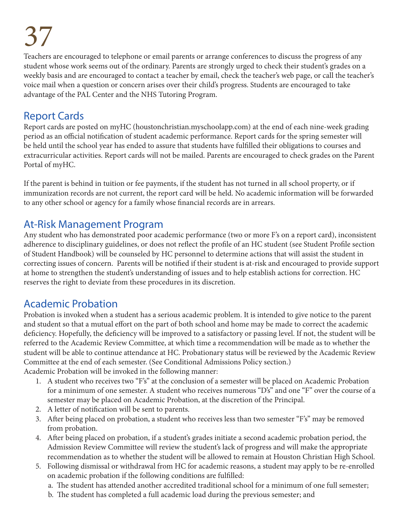Teachers are encouraged to telephone or email parents or arrange conferences to discuss the progress of any student whose work seems out of the ordinary. Parents are strongly urged to check their student's grades on a weekly basis and are encouraged to contact a teacher by email, check the teacher's web page, or call the teacher's voice mail when a question or concern arises over their child's progress. Students are encouraged to take advantage of the PAL Center and the NHS Tutoring Program.

# Report Cards

Report cards are posted on myHC (houstonchristian.myschoolapp.com) at the end of each nine-week grading period as an official notification of student academic performance. Report cards for the spring semester will be held until the school year has ended to assure that students have fulfilled their obligations to courses and extracurricular activities. Report cards will not be mailed. Parents are encouraged to check grades on the Parent Portal of myHC.

If the parent is behind in tuition or fee payments, if the student has not turned in all school property, or if immunization records are not current, the report card will be held. No academic information will be forwarded to any other school or agency for a family whose financial records are in arrears.

# At-Risk Management Program

Any student who has demonstrated poor academic performance (two or more F's on a report card), inconsistent adherence to disciplinary guidelines, or does not reflect the profile of an HC student (see Student Profile section of Student Handbook) will be counseled by HC personnel to determine actions that will assist the student in correcting issues of concern. Parents will be notified if their student is at-risk and encouraged to provide support at home to strengthen the student's understanding of issues and to help establish actions for correction. HC reserves the right to deviate from these procedures in its discretion.

# Academic Probation

Probation is invoked when a student has a serious academic problem. It is intended to give notice to the parent and student so that a mutual effort on the part of both school and home may be made to correct the academic deficiency. Hopefully, the deficiency will be improved to a satisfactory or passing level. If not, the student will be referred to the Academic Review Committee, at which time a recommendation will be made as to whether the student will be able to continue attendance at HC. Probationary status will be reviewed by the Academic Review Committee at the end of each semester. (See Conditional Admissions Policy section.) Academic Probation will be invoked in the following manner:

1. A student who receives two "F's" at the conclusion of a semester will be placed on Academic Probation for a minimum of one semester. A student who receives numerous "D's" and one "F" over the course of a

- semester may be placed on Academic Probation, at the discretion of the Principal.
- 2. A letter of notification will be sent to parents.
- 3. After being placed on probation, a student who receives less than two semester "F's" may be removed from probation.
- 4. After being placed on probation, if a student's grades initiate a second academic probation period, the Admission Review Committee will review the student's lack of progress and will make the appropriate recommendation as to whether the student will be allowed to remain at Houston Christian High School.
- 5. Following dismissal or withdrawal from HC for academic reasons, a student may apply to be re-enrolled on academic probation if the following conditions are fulfilled:
	- a. The student has attended another accredited traditional school for a minimum of one full semester;
	- b. The student has completed a full academic load during the previous semester; and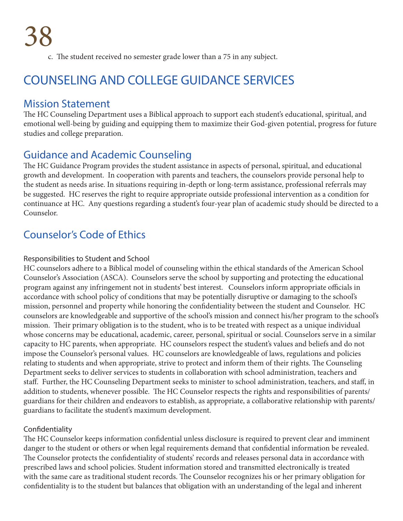c. The student received no semester grade lower than a 75 in any subject.

# COUNSELING AND COLLEGE GUIDANCE SERVICES

### Mission Statement

The HC Counseling Department uses a Biblical approach to support each student's educational, spiritual, and emotional well-being by guiding and equipping them to maximize their God-given potential, progress for future studies and college preparation.

## Guidance and Academic Counseling

The HC Guidance Program provides the student assistance in aspects of personal, spiritual, and educational growth and development. In cooperation with parents and teachers, the counselors provide personal help to the student as needs arise. In situations requiring in-depth or long-term assistance, professional referrals may be suggested. HC reserves the right to require appropriate outside professional intervention as a condition for continuance at HC. Any questions regarding a student's four-year plan of academic study should be directed to a Counselor.

## Counselor's Code of Ethics

#### Responsibilities to Student and School

HC counselors adhere to a Biblical model of counseling within the ethical standards of the American School Counselor's Association (ASCA). Counselors serve the school by supporting and protecting the educational program against any infringement not in students' best interest. Counselors inform appropriate officials in accordance with school policy of conditions that may be potentially disruptive or damaging to the school's mission, personnel and property while honoring the confidentiality between the student and Counselor. HC counselors are knowledgeable and supportive of the school's mission and connect his/her program to the school's mission. Their primary obligation is to the student, who is to be treated with respect as a unique individual whose concerns may be educational, academic, career, personal, spiritual or social. Counselors serve in a similar capacity to HC parents, when appropriate. HC counselors respect the student's values and beliefs and do not impose the Counselor's personal values. HC counselors are knowledgeable of laws, regulations and policies relating to students and when appropriate, strive to protect and inform them of their rights. The Counseling Department seeks to deliver services to students in collaboration with school administration, teachers and staff. Further, the HC Counseling Department seeks to minister to school administration, teachers, and staff, in addition to students, whenever possible. The HC Counselor respects the rights and responsibilities of parents/ guardians for their children and endeavors to establish, as appropriate, a collaborative relationship with parents/ guardians to facilitate the student's maximum development.

### Confidentiality

The HC Counselor keeps information confidential unless disclosure is required to prevent clear and imminent danger to the student or others or when legal requirements demand that confidential information be revealed. The Counselor protects the confidentiality of students' records and releases personal data in accordance with prescribed laws and school policies. Student information stored and transmitted electronically is treated with the same care as traditional student records. The Counselor recognizes his or her primary obligation for confidentiality is to the student but balances that obligation with an understanding of the legal and inherent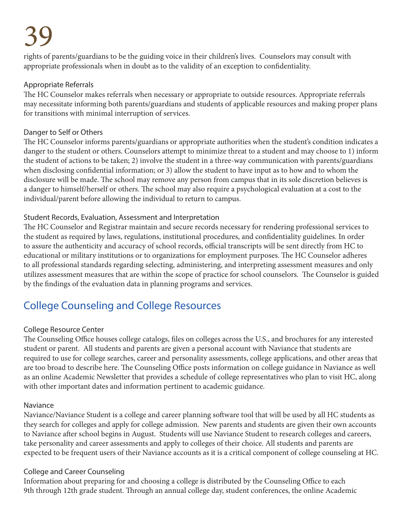rights of parents/guardians to be the guiding voice in their children's lives. Counselors may consult with appropriate professionals when in doubt as to the validity of an exception to confidentiality.

### Appropriate Referrals

The HC Counselor makes referrals when necessary or appropriate to outside resources. Appropriate referrals may necessitate informing both parents/guardians and students of applicable resources and making proper plans for transitions with minimal interruption of services.

### Danger to Self or Others

The HC Counselor informs parents/guardians or appropriate authorities when the student's condition indicates a danger to the student or others. Counselors attempt to minimize threat to a student and may choose to 1) inform the student of actions to be taken; 2) involve the student in a three-way communication with parents/guardians when disclosing confidential information; or 3) allow the student to have input as to how and to whom the disclosure will be made. The school may remove any person from campus that in its sole discretion believes is a danger to himself/herself or others. The school may also require a psychological evaluation at a cost to the individual/parent before allowing the individual to return to campus.

### Student Records, Evaluation, Assessment and Interpretation

The HC Counselor and Registrar maintain and secure records necessary for rendering professional services to the student as required by laws, regulations, institutional procedures, and confidentiality guidelines. In order to assure the authenticity and accuracy of school records, official transcripts will be sent directly from HC to educational or military institutions or to organizations for employment purposes. The HC Counselor adheres to all professional standards regarding selecting, administering, and interpreting assessment measures and only utilizes assessment measures that are within the scope of practice for school counselors. The Counselor is guided by the findings of the evaluation data in planning programs and services.

# College Counseling and College Resources

### College Resource Center

The Counseling Office houses college catalogs, files on colleges across the U.S., and brochures for any interested student or parent. All students and parents are given a personal account with Naviance that students are required to use for college searches, career and personality assessments, college applications, and other areas that are too broad to describe here. The Counseling Office posts information on college guidance in Naviance as well as an online Academic Newsletter that provides a schedule of college representatives who plan to visit HC, along with other important dates and information pertinent to academic guidance.

### Naviance

Naviance/Naviance Student is a college and career planning software tool that will be used by all HC students as they search for colleges and apply for college admission. New parents and students are given their own accounts to Naviance after school begins in August. Students will use Naviance Student to research colleges and careers, take personality and career assessments and apply to colleges of their choice. All students and parents are expected to be frequent users of their Naviance accounts as it is a critical component of college counseling at HC.

### College and Career Counseling

Information about preparing for and choosing a college is distributed by the Counseling Office to each 9th through 12th grade student. Through an annual college day, student conferences, the online Academic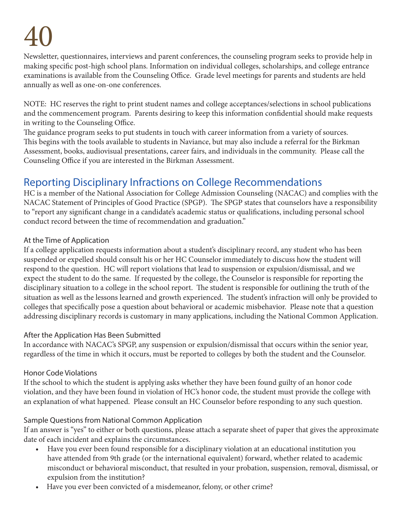Newsletter, questionnaires, interviews and parent conferences, the counseling program seeks to provide help in making specific post-high school plans. Information on individual colleges, scholarships, and college entrance examinations is available from the Counseling Office. Grade level meetings for parents and students are held annually as well as one-on-one conferences.

NOTE: HC reserves the right to print student names and college acceptances/selections in school publications and the commencement program. Parents desiring to keep this information confidential should make requests in writing to the Counseling Office.

The guidance program seeks to put students in touch with career information from a variety of sources. This begins with the tools available to students in Naviance, but may also include a referral for the Birkman Assessment, books, audiovisual presentations, career fairs, and individuals in the community. Please call the Counseling Office if you are interested in the Birkman Assessment.

# Reporting Disciplinary Infractions on College Recommendations

HC is a member of the National Association for College Admission Counseling (NACAC) and complies with the NACAC Statement of Principles of Good Practice (SPGP). The SPGP states that counselors have a responsibility to "report any significant change in a candidate's academic status or qualifications, including personal school conduct record between the time of recommendation and graduation."

### At the Time of Application

If a college application requests information about a student's disciplinary record, any student who has been suspended or expelled should consult his or her HC Counselor immediately to discuss how the student will respond to the question. HC will report violations that lead to suspension or expulsion/dismissal, and we expect the student to do the same. If requested by the college, the Counselor is responsible for reporting the disciplinary situation to a college in the school report. The student is responsible for outlining the truth of the situation as well as the lessons learned and growth experienced. The student's infraction will only be provided to colleges that specifically pose a question about behavioral or academic misbehavior. Please note that a question addressing disciplinary records is customary in many applications, including the National Common Application.

### After the Application Has Been Submitted

In accordance with NACAC's SPGP, any suspension or expulsion/dismissal that occurs within the senior year, regardless of the time in which it occurs, must be reported to colleges by both the student and the Counselor.

### Honor Code Violations

If the school to which the student is applying asks whether they have been found guilty of an honor code violation, and they have been found in violation of HC's honor code, the student must provide the college with an explanation of what happened. Please consult an HC Counselor before responding to any such question.

### Sample Questions from National Common Application

If an answer is "yes" to either or both questions, please attach a separate sheet of paper that gives the approximate date of each incident and explains the circumstances.

- Have you ever been found responsible for a disciplinary violation at an educational institution you have attended from 9th grade (or the international equivalent) forward, whether related to academic misconduct or behavioral misconduct, that resulted in your probation, suspension, removal, dismissal, or expulsion from the institution?
- Have you ever been convicted of a misdemeanor, felony, or other crime?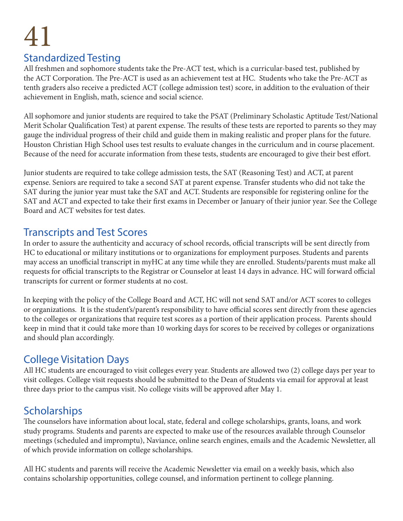# Standardized Testing

All freshmen and sophomore students take the Pre-ACT test, which is a curricular-based test, published by the ACT Corporation. The Pre-ACT is used as an achievement test at HC. Students who take the Pre-ACT as tenth graders also receive a predicted ACT (college admission test) score, in addition to the evaluation of their achievement in English, math, science and social science.

All sophomore and junior students are required to take the PSAT (Preliminary Scholastic Aptitude Test/National Merit Scholar Qualification Test) at parent expense. The results of these tests are reported to parents so they may gauge the individual progress of their child and guide them in making realistic and proper plans for the future. Houston Christian High School uses test results to evaluate changes in the curriculum and in course placement. Because of the need for accurate information from these tests, students are encouraged to give their best effort.

Junior students are required to take college admission tests, the SAT (Reasoning Test) and ACT, at parent expense. Seniors are required to take a second SAT at parent expense. Transfer students who did not take the SAT during the junior year must take the SAT and ACT. Students are responsible for registering online for the SAT and ACT and expected to take their first exams in December or January of their junior year. See the College Board and ACT websites for test dates.

## Transcripts and Test Scores

In order to assure the authenticity and accuracy of school records, official transcripts will be sent directly from HC to educational or military institutions or to organizations for employment purposes. Students and parents may access an unofficial transcript in myHC at any time while they are enrolled. Students/parents must make all requests for official transcripts to the Registrar or Counselor at least 14 days in advance. HC will forward official transcripts for current or former students at no cost.

In keeping with the policy of the College Board and ACT, HC will not send SAT and/or ACT scores to colleges or organizations. It is the student's/parent's responsibility to have official scores sent directly from these agencies to the colleges or organizations that require test scores as a portion of their application process. Parents should keep in mind that it could take more than 10 working days for scores to be received by colleges or organizations and should plan accordingly.

# College Visitation Days

All HC students are encouraged to visit colleges every year. Students are allowed two (2) college days per year to visit colleges. College visit requests should be submitted to the Dean of Students via email for approval at least three days prior to the campus visit. No college visits will be approved after May 1.

# **Scholarships**

The counselors have information about local, state, federal and college scholarships, grants, loans, and work study programs. Students and parents are expected to make use of the resources available through Counselor meetings (scheduled and impromptu), Naviance, online search engines, emails and the Academic Newsletter, all of which provide information on college scholarships.

All HC students and parents will receive the Academic Newsletter via email on a weekly basis, which also contains scholarship opportunities, college counsel, and information pertinent to college planning.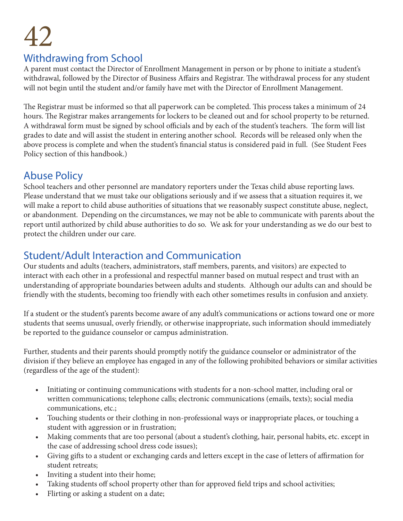## Withdrawing from School

A parent must contact the Director of Enrollment Management in person or by phone to initiate a student's withdrawal, followed by the Director of Business Affairs and Registrar. The withdrawal process for any student will not begin until the student and/or family have met with the Director of Enrollment Management.

The Registrar must be informed so that all paperwork can be completed. This process takes a minimum of 24 hours. The Registrar makes arrangements for lockers to be cleaned out and for school property to be returned. A withdrawal form must be signed by school officials and by each of the student's teachers. The form will list grades to date and will assist the student in entering another school. Records will be released only when the above process is complete and when the student's financial status is considered paid in full. (See Student Fees Policy section of this handbook.)

## Abuse Policy

School teachers and other personnel are mandatory reporters under the Texas child abuse reporting laws. Please understand that we must take our obligations seriously and if we assess that a situation requires it, we will make a report to child abuse authorities of situations that we reasonably suspect constitute abuse, neglect, or abandonment. Depending on the circumstances, we may not be able to communicate with parents about the report until authorized by child abuse authorities to do so. We ask for your understanding as we do our best to protect the children under our care.

# Student/Adult Interaction and Communication

Our students and adults (teachers, administrators, staff members, parents, and visitors) are expected to interact with each other in a professional and respectful manner based on mutual respect and trust with an understanding of appropriate boundaries between adults and students. Although our adults can and should be friendly with the students, becoming too friendly with each other sometimes results in confusion and anxiety.

If a student or the student's parents become aware of any adult's communications or actions toward one or more students that seems unusual, overly friendly, or otherwise inappropriate, such information should immediately be reported to the guidance counselor or campus administration.

Further, students and their parents should promptly notify the guidance counselor or administrator of the division if they believe an employee has engaged in any of the following prohibited behaviors or similar activities (regardless of the age of the student):

- Initiating or continuing communications with students for a non-school matter, including oral or written communications; telephone calls; electronic communications (emails, texts); social media communications, etc.;
- Touching students or their clothing in non-professional ways or inappropriate places, or touching a student with aggression or in frustration;
- Making comments that are too personal (about a student's clothing, hair, personal habits, etc. except in the case of addressing school dress code issues);
- Giving gifts to a student or exchanging cards and letters except in the case of letters of affirmation for student retreats;
- Inviting a student into their home;
- Taking students off school property other than for approved field trips and school activities;
- Flirting or asking a student on a date;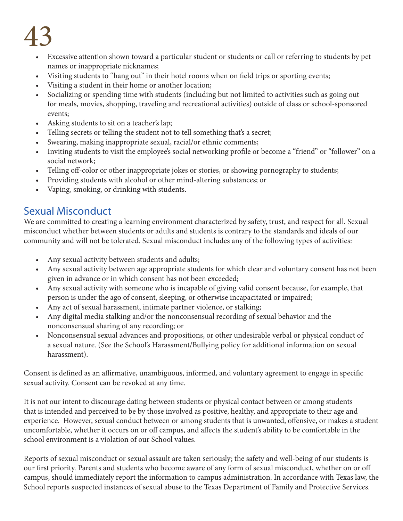- Excessive attention shown toward a particular student or students or call or referring to students by pet names or inappropriate nicknames;
- Visiting students to "hang out" in their hotel rooms when on field trips or sporting events;
- Visiting a student in their home or another location;
- Socializing or spending time with students (including but not limited to activities such as going out for meals, movies, shopping, traveling and recreational activities) outside of class or school-sponsored events;
- Asking students to sit on a teacher's lap;
- Telling secrets or telling the student not to tell something that's a secret;
- Swearing, making inappropriate sexual, racial/or ethnic comments;
- Inviting students to visit the employee's social networking profile or become a "friend" or "follower" on a social network;
- Telling off-color or other inappropriate jokes or stories, or showing pornography to students;
- Providing students with alcohol or other mind-altering substances; or
- Vaping, smoking, or drinking with students.

# Sexual Misconduct

We are committed to creating a learning environment characterized by safety, trust, and respect for all. Sexual misconduct whether between students or adults and students is contrary to the standards and ideals of our community and will not be tolerated. Sexual misconduct includes any of the following types of activities:

- Any sexual activity between students and adults;
- Any sexual activity between age appropriate students for which clear and voluntary consent has not been given in advance or in which consent has not been exceeded;
- Any sexual activity with someone who is incapable of giving valid consent because, for example, that person is under the ago of consent, sleeping, or otherwise incapacitated or impaired;
- Any act of sexual harassment, intimate partner violence, or stalking;
- Any digital media stalking and/or the nonconsensual recording of sexual behavior and the nonconsensual sharing of any recording; or
- Nonconsensual sexual advances and propositions, or other undesirable verbal or physical conduct of a sexual nature. (See the School's Harassment/Bullying policy for additional information on sexual harassment).

Consent is defined as an affirmative, unambiguous, informed, and voluntary agreement to engage in specific sexual activity. Consent can be revoked at any time.

It is not our intent to discourage dating between students or physical contact between or among students that is intended and perceived to be by those involved as positive, healthy, and appropriate to their age and experience. However, sexual conduct between or among students that is unwanted, offensive, or makes a student uncomfortable, whether it occurs on or off campus, and affects the student's ability to be comfortable in the school environment is a violation of our School values.

Reports of sexual misconduct or sexual assault are taken seriously; the safety and well-being of our students is our first priority. Parents and students who become aware of any form of sexual misconduct, whether on or off campus, should immediately report the information to campus administration. In accordance with Texas law, the School reports suspected instances of sexual abuse to the Texas Department of Family and Protective Services.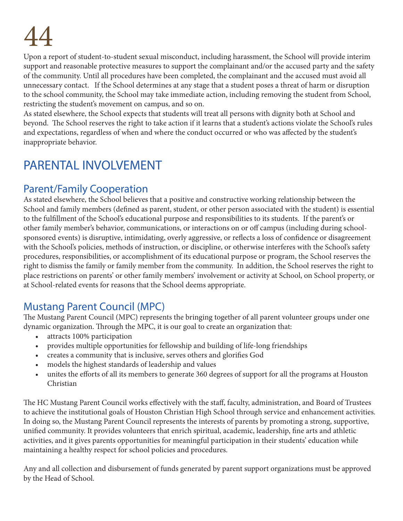Upon a report of student-to-student sexual misconduct, including harassment, the School will provide interim support and reasonable protective measures to support the complainant and/or the accused party and the safety of the community. Until all procedures have been completed, the complainant and the accused must avoid all unnecessary contact. If the School determines at any stage that a student poses a threat of harm or disruption to the school community, the School may take immediate action, including removing the student from School, restricting the student's movement on campus, and so on.

As stated elsewhere, the School expects that students will treat all persons with dignity both at School and beyond. The School reserves the right to take action if it learns that a student's actions violate the School's rules and expectations, regardless of when and where the conduct occurred or who was affected by the student's inappropriate behavior.

# PARENTAL INVOLVEMENT

# Parent/Family Cooperation

As stated elsewhere, the School believes that a positive and constructive working relationship between the School and family members (defined as parent, student, or other person associated with the student) is essential to the fulfillment of the School's educational purpose and responsibilities to its students. If the parent's or other family member's behavior, communications, or interactions on or off campus (including during schoolsponsored events) is disruptive, intimidating, overly aggressive, or reflects a loss of confidence or disagreement with the School's policies, methods of instruction, or discipline, or otherwise interferes with the School's safety procedures, responsibilities, or accomplishment of its educational purpose or program, the School reserves the right to dismiss the family or family member from the community. In addition, the School reserves the right to place restrictions on parents' or other family members' involvement or activity at School, on School property, or at School-related events for reasons that the School deems appropriate.

# Mustang Parent Council (MPC)

The Mustang Parent Council (MPC) represents the bringing together of all parent volunteer groups under one dynamic organization. Through the MPC, it is our goal to create an organization that:

- attracts 100% participation
- provides multiple opportunities for fellowship and building of life-long friendships
- creates a community that is inclusive, serves others and glorifies God
- models the highest standards of leadership and values
- unites the efforts of all its members to generate 360 degrees of support for all the programs at Houston Christian

The HC Mustang Parent Council works effectively with the staff, faculty, administration, and Board of Trustees to achieve the institutional goals of Houston Christian High School through service and enhancement activities. In doing so, the Mustang Parent Council represents the interests of parents by promoting a strong, supportive, unified community. It provides volunteers that enrich spiritual, academic, leadership, fine arts and athletic activities, and it gives parents opportunities for meaningful participation in their students' education while maintaining a healthy respect for school policies and procedures.

Any and all collection and disbursement of funds generated by parent support organizations must be approved by the Head of School.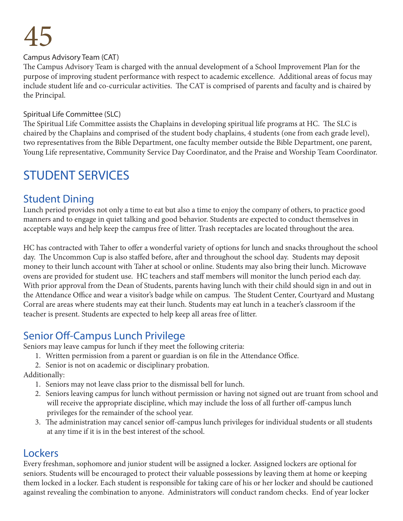### Campus Advisory Team (CAT)

The Campus Advisory Team is charged with the annual development of a School Improvement Plan for the purpose of improving student performance with respect to academic excellence. Additional areas of focus may include student life and co-curricular activities. The CAT is comprised of parents and faculty and is chaired by the Principal.

#### Spiritual Life Committee (SLC)

The Spiritual Life Committee assists the Chaplains in developing spiritual life programs at HC. The SLC is chaired by the Chaplains and comprised of the student body chaplains, 4 students (one from each grade level), two representatives from the Bible Department, one faculty member outside the Bible Department, one parent, Young Life representative, Community Service Day Coordinator, and the Praise and Worship Team Coordinator.

# STUDENT SERVICES

### Student Dining

Lunch period provides not only a time to eat but also a time to enjoy the company of others, to practice good manners and to engage in quiet talking and good behavior. Students are expected to conduct themselves in acceptable ways and help keep the campus free of litter. Trash receptacles are located throughout the area.

HC has contracted with Taher to offer a wonderful variety of options for lunch and snacks throughout the school day. The Uncommon Cup is also staffed before, after and throughout the school day. Students may deposit money to their lunch account with Taher at school or online. Students may also bring their lunch. Microwave ovens are provided for student use. HC teachers and staff members will monitor the lunch period each day. With prior approval from the Dean of Students, parents having lunch with their child should sign in and out in the Attendance Office and wear a visitor's badge while on campus. The Student Center, Courtyard and Mustang Corral are areas where students may eat their lunch. Students may eat lunch in a teacher's classroom if the teacher is present. Students are expected to help keep all areas free of litter.

## Senior Off-Campus Lunch Privilege

Seniors may leave campus for lunch if they meet the following criteria:

- 1. Written permission from a parent or guardian is on file in the Attendance Office.
- 2. Senior is not on academic or disciplinary probation.

Additionally:

- 1. Seniors may not leave class prior to the dismissal bell for lunch.
- 2. Seniors leaving campus for lunch without permission or having not signed out are truant from school and will receive the appropriate discipline, which may include the loss of all further off-campus lunch privileges for the remainder of the school year.
- 3. The administration may cancel senior off-campus lunch privileges for individual students or all students at any time if it is in the best interest of the school.

### Lockers

Every freshman, sophomore and junior student will be assigned a locker. Assigned lockers are optional for seniors. Students will be encouraged to protect their valuable possessions by leaving them at home or keeping them locked in a locker. Each student is responsible for taking care of his or her locker and should be cautioned against revealing the combination to anyone. Administrators will conduct random checks. End of year locker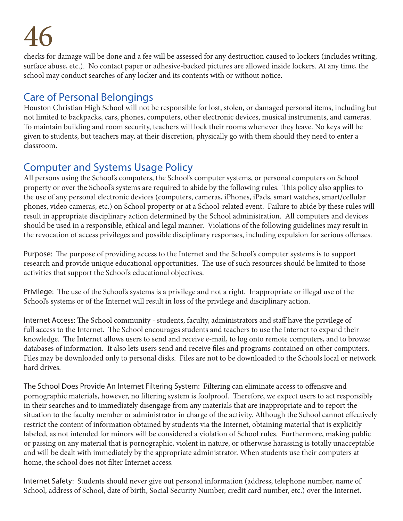checks for damage will be done and a fee will be assessed for any destruction caused to lockers (includes writing, surface abuse, etc.). No contact paper or adhesive-backed pictures are allowed inside lockers. At any time, the school may conduct searches of any locker and its contents with or without notice.

# Care of Personal Belongings

Houston Christian High School will not be responsible for lost, stolen, or damaged personal items, including but not limited to backpacks, cars, phones, computers, other electronic devices, musical instruments, and cameras. To maintain building and room security, teachers will lock their rooms whenever they leave. No keys will be given to students, but teachers may, at their discretion, physically go with them should they need to enter a classroom.

# Computer and Systems Usage Policy

All persons using the School's computers, the School's computer systems, or personal computers on School property or over the School's systems are required to abide by the following rules. This policy also applies to the use of any personal electronic devices (computers, cameras, iPhones, iPads, smart watches, smart/cellular phones, video cameras, etc.) on School property or at a School-related event. Failure to abide by these rules will result in appropriate disciplinary action determined by the School administration. All computers and devices should be used in a responsible, ethical and legal manner. Violations of the following guidelines may result in the revocation of access privileges and possible disciplinary responses, including expulsion for serious offenses.

Purpose: The purpose of providing access to the Internet and the School's computer systems is to support research and provide unique educational opportunities. The use of such resources should be limited to those activities that support the School's educational objectives.

Privilege: The use of the School's systems is a privilege and not a right. Inappropriate or illegal use of the School's systems or of the Internet will result in loss of the privilege and disciplinary action.

Internet Access: The School community - students, faculty, administrators and staff have the privilege of full access to the Internet. The School encourages students and teachers to use the Internet to expand their knowledge. The Internet allows users to send and receive e-mail, to log onto remote computers, and to browse databases of information. It also lets users send and receive files and programs contained on other computers. Files may be downloaded only to personal disks. Files are not to be downloaded to the Schools local or network hard drives.

The School Does Provide An Internet Filtering System: Filtering can eliminate access to offensive and pornographic materials, however, no filtering system is foolproof. Therefore, we expect users to act responsibly in their searches and to immediately disengage from any materials that are inappropriate and to report the situation to the faculty member or administrator in charge of the activity. Although the School cannot effectively restrict the content of information obtained by students via the Internet, obtaining material that is explicitly labeled, as not intended for minors will be considered a violation of School rules. Furthermore, making public or passing on any material that is pornographic, violent in nature, or otherwise harassing is totally unacceptable and will be dealt with immediately by the appropriate administrator. When students use their computers at home, the school does not filter Internet access.

Internet Safety: Students should never give out personal information (address, telephone number, name of School, address of School, date of birth, Social Security Number, credit card number, etc.) over the Internet.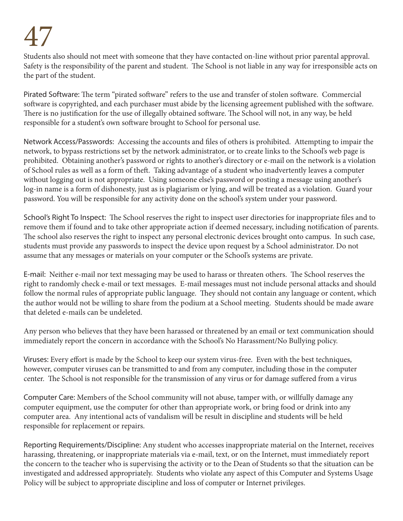Students also should not meet with someone that they have contacted on-line without prior parental approval. Safety is the responsibility of the parent and student. The School is not liable in any way for irresponsible acts on the part of the student.

Pirated Software: The term "pirated software" refers to the use and transfer of stolen software. Commercial software is copyrighted, and each purchaser must abide by the licensing agreement published with the software. There is no justification for the use of illegally obtained software. The School will not, in any way, be held responsible for a student's own software brought to School for personal use.

Network Access/Passwords: Accessing the accounts and files of others is prohibited. Attempting to impair the network, to bypass restrictions set by the network administrator, or to create links to the School's web page is prohibited. Obtaining another's password or rights to another's directory or e-mail on the network is a violation of School rules as well as a form of theft. Taking advantage of a student who inadvertently leaves a computer without logging out is not appropriate. Using someone else's password or posting a message using another's log-in name is a form of dishonesty, just as is plagiarism or lying, and will be treated as a violation. Guard your password. You will be responsible for any activity done on the school's system under your password.

School's Right To Inspect: The School reserves the right to inspect user directories for inappropriate files and to remove them if found and to take other appropriate action if deemed necessary, including notification of parents. The school also reserves the right to inspect any personal electronic devices brought onto campus. In such case, students must provide any passwords to inspect the device upon request by a School administrator. Do not assume that any messages or materials on your computer or the School's systems are private.

E-mail: Neither e-mail nor text messaging may be used to harass or threaten others. The School reserves the right to randomly check e-mail or text messages. E-mail messages must not include personal attacks and should follow the normal rules of appropriate public language. They should not contain any language or content, which the author would not be willing to share from the podium at a School meeting. Students should be made aware that deleted e-mails can be undeleted.

Any person who believes that they have been harassed or threatened by an email or text communication should immediately report the concern in accordance with the School's No Harassment/No Bullying policy.

Viruses: Every effort is made by the School to keep our system virus-free. Even with the best techniques, however, computer viruses can be transmitted to and from any computer, including those in the computer center. The School is not responsible for the transmission of any virus or for damage suffered from a virus

Computer Care: Members of the School community will not abuse, tamper with, or willfully damage any computer equipment, use the computer for other than appropriate work, or bring food or drink into any computer area. Any intentional acts of vandalism will be result in discipline and students will be held responsible for replacement or repairs.

Reporting Requirements/Discipline: Any student who accesses inappropriate material on the Internet, receives harassing, threatening, or inappropriate materials via e-mail, text, or on the Internet, must immediately report the concern to the teacher who is supervising the activity or to the Dean of Students so that the situation can be investigated and addressed appropriately. Students who violate any aspect of this Computer and Systems Usage Policy will be subject to appropriate discipline and loss of computer or Internet privileges.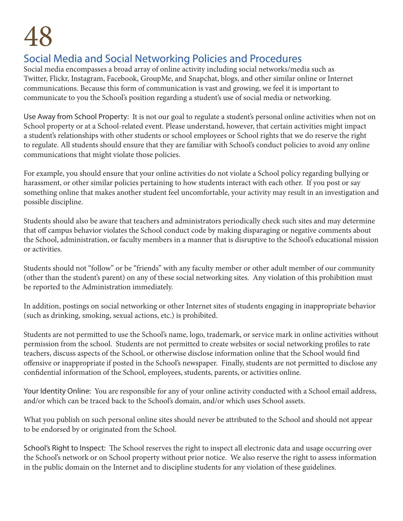# Social Media and Social Networking Policies and Procedures

Social media encompasses a broad array of online activity including social networks/media such as Twitter, Flickr, Instagram, Facebook, GroupMe, and Snapchat, blogs, and other similar online or Internet communications. Because this form of communication is vast and growing, we feel it is important to communicate to you the School's position regarding a student's use of social media or networking.

Use Away from School Property: It is not our goal to regulate a student's personal online activities when not on School property or at a School-related event. Please understand, however, that certain activities might impact a student's relationships with other students or school employees or School rights that we do reserve the right to regulate. All students should ensure that they are familiar with School's conduct policies to avoid any online communications that might violate those policies.

For example, you should ensure that your online activities do not violate a School policy regarding bullying or harassment, or other similar policies pertaining to how students interact with each other. If you post or say something online that makes another student feel uncomfortable, your activity may result in an investigation and possible discipline.

Students should also be aware that teachers and administrators periodically check such sites and may determine that off campus behavior violates the School conduct code by making disparaging or negative comments about the School, administration, or faculty members in a manner that is disruptive to the School's educational mission or activities.

Students should not "follow" or be "friends" with any faculty member or other adult member of our community (other than the student's parent) on any of these social networking sites. Any violation of this prohibition must be reported to the Administration immediately.

In addition, postings on social networking or other Internet sites of students engaging in inappropriate behavior (such as drinking, smoking, sexual actions, etc.) is prohibited.

Students are not permitted to use the School's name, logo, trademark, or service mark in online activities without permission from the school. Students are not permitted to create websites or social networking profiles to rate teachers, discuss aspects of the School, or otherwise disclose information online that the School would find offensive or inappropriate if posted in the School's newspaper. Finally, students are not permitted to disclose any confidential information of the School, employees, students, parents, or activities online.

Your Identity Online: You are responsible for any of your online activity conducted with a School email address, and/or which can be traced back to the School's domain, and/or which uses School assets.

What you publish on such personal online sites should never be attributed to the School and should not appear to be endorsed by or originated from the School.

School's Right to Inspect: The School reserves the right to inspect all electronic data and usage occurring over the School's network or on School property without prior notice. We also reserve the right to assess information in the public domain on the Internet and to discipline students for any violation of these guidelines.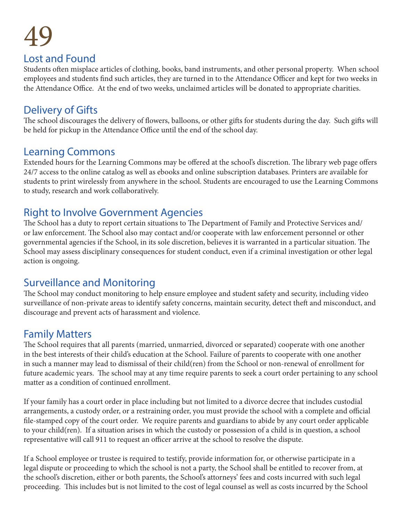## Lost and Found

Students often misplace articles of clothing, books, band instruments, and other personal property. When school employees and students find such articles, they are turned in to the Attendance Officer and kept for two weeks in the Attendance Office. At the end of two weeks, unclaimed articles will be donated to appropriate charities.

## Delivery of Gifts

The school discourages the delivery of flowers, balloons, or other gifts for students during the day. Such gifts will be held for pickup in the Attendance Office until the end of the school day.

## Learning Commons

Extended hours for the Learning Commons may be offered at the school's discretion. The library web page offers 24/7 access to the online catalog as well as ebooks and online subscription databases. Printers are available for students to print wirelessly from anywhere in the school. Students are encouraged to use the Learning Commons to study, research and work collaboratively.

# Right to Involve Government Agencies

The School has a duty to report certain situations to The Department of Family and Protective Services and/ or law enforcement. The School also may contact and/or cooperate with law enforcement personnel or other governmental agencies if the School, in its sole discretion, believes it is warranted in a particular situation. The School may assess disciplinary consequences for student conduct, even if a criminal investigation or other legal action is ongoing.

# Surveillance and Monitoring

The School may conduct monitoring to help ensure employee and student safety and security, including video surveillance of non-private areas to identify safety concerns, maintain security, detect theft and misconduct, and discourage and prevent acts of harassment and violence.

# Family Matters

The School requires that all parents (married, unmarried, divorced or separated) cooperate with one another in the best interests of their child's education at the School. Failure of parents to cooperate with one another in such a manner may lead to dismissal of their child(ren) from the School or non-renewal of enrollment for future academic years. The school may at any time require parents to seek a court order pertaining to any school matter as a condition of continued enrollment.

If your family has a court order in place including but not limited to a divorce decree that includes custodial arrangements, a custody order, or a restraining order, you must provide the school with a complete and official file-stamped copy of the court order. We require parents and guardians to abide by any court order applicable to your child(ren). If a situation arises in which the custody or possession of a child is in question, a school representative will call 911 to request an officer arrive at the school to resolve the dispute.

If a School employee or trustee is required to testify, provide information for, or otherwise participate in a legal dispute or proceeding to which the school is not a party, the School shall be entitled to recover from, at the school's discretion, either or both parents, the School's attorneys' fees and costs incurred with such legal proceeding. This includes but is not limited to the cost of legal counsel as well as costs incurred by the School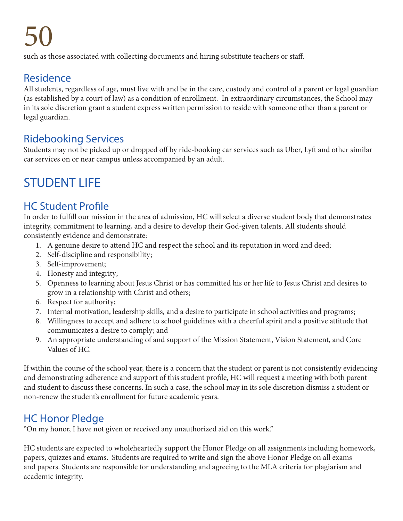such as those associated with collecting documents and hiring substitute teachers or staff.

## Residence

All students, regardless of age, must live with and be in the care, custody and control of a parent or legal guardian (as established by a court of law) as a condition of enrollment. In extraordinary circumstances, the School may in its sole discretion grant a student express written permission to reside with someone other than a parent or legal guardian.

# Ridebooking Services

Students may not be picked up or dropped off by ride-booking car services such as Uber, Lyft and other similar car services on or near campus unless accompanied by an adult.

# STUDENT LIFE

# HC Student Profile

In order to fulfill our mission in the area of admission, HC will select a diverse student body that demonstrates integrity, commitment to learning, and a desire to develop their God-given talents. All students should consistently evidence and demonstrate:

- 1. A genuine desire to attend HC and respect the school and its reputation in word and deed;
- 2. Self-discipline and responsibility;
- 3. Self-improvement;
- 4. Honesty and integrity;
- 5. Openness to learning about Jesus Christ or has committed his or her life to Jesus Christ and desires to grow in a relationship with Christ and others;
- 6. Respect for authority;
- 7. Internal motivation, leadership skills, and a desire to participate in school activities and programs;
- 8. Willingness to accept and adhere to school guidelines with a cheerful spirit and a positive attitude that communicates a desire to comply; and
- 9. An appropriate understanding of and support of the Mission Statement, Vision Statement, and Core Values of HC.

If within the course of the school year, there is a concern that the student or parent is not consistently evidencing and demonstrating adherence and support of this student profile, HC will request a meeting with both parent and student to discuss these concerns. In such a case, the school may in its sole discretion dismiss a student or non-renew the student's enrollment for future academic years.

# HC Honor Pledge

"On my honor, I have not given or received any unauthorized aid on this work."

HC students are expected to wholeheartedly support the Honor Pledge on all assignments including homework, papers, quizzes and exams. Students are required to write and sign the above Honor Pledge on all exams and papers. Students are responsible for understanding and agreeing to the MLA criteria for plagiarism and academic integrity.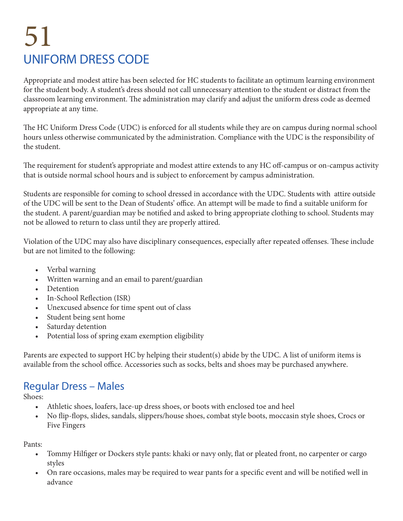# 51 UNIFORM DRESS CODE

Appropriate and modest attire has been selected for HC students to facilitate an optimum learning environment for the student body. A student's dress should not call unnecessary attention to the student or distract from the classroom learning environment. The administration may clarify and adjust the uniform dress code as deemed appropriate at any time.

The HC Uniform Dress Code (UDC) is enforced for all students while they are on campus during normal school hours unless otherwise communicated by the administration. Compliance with the UDC is the responsibility of the student.

The requirement for student's appropriate and modest attire extends to any HC off-campus or on-campus activity that is outside normal school hours and is subject to enforcement by campus administration.

Students are responsible for coming to school dressed in accordance with the UDC. Students with attire outside of the UDC will be sent to the Dean of Students' office. An attempt will be made to find a suitable uniform for the student. A parent/guardian may be notified and asked to bring appropriate clothing to school. Students may not be allowed to return to class until they are properly attired.

Violation of the UDC may also have disciplinary consequences, especially after repeated offenses. These include but are not limited to the following:

- Verbal warning
- Written warning and an email to parent/guardian
- **Detention**
- In-School Reflection (ISR)
- Unexcused absence for time spent out of class
- Student being sent home
- Saturday detention
- Potential loss of spring exam exemption eligibility

Parents are expected to support HC by helping their student(s) abide by the UDC. A list of uniform items is available from the school office. Accessories such as socks, belts and shoes may be purchased anywhere.

# Regular Dress – Males

Shoes:

- Athletic shoes, loafers, lace-up dress shoes, or boots with enclosed toe and heel
- No flip-flops, slides, sandals, slippers/house shoes, combat style boots, moccasin style shoes, Crocs or Five Fingers

Pants:

- Tommy Hilfiger or Dockers style pants: khaki or navy only, flat or pleated front, no carpenter or cargo styles
- On rare occasions, males may be required to wear pants for a specific event and will be notified well in advance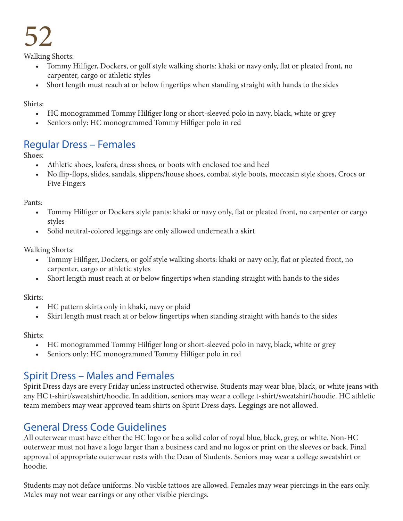Walking Shorts:

- Tommy Hilfiger, Dockers, or golf style walking shorts: khaki or navy only, flat or pleated front, no carpenter, cargo or athletic styles
- Short length must reach at or below fingertips when standing straight with hands to the sides

Shirts:

- HC monogrammed Tommy Hilfiger long or short-sleeved polo in navy, black, white or grey
- Seniors only: HC monogrammed Tommy Hilfiger polo in red

## Regular Dress – Females

Shoes:

- Athletic shoes, loafers, dress shoes, or boots with enclosed toe and heel
- No flip-flops, slides, sandals, slippers/house shoes, combat style boots, moccasin style shoes, Crocs or Five Fingers

Pants:

- Tommy Hilfiger or Dockers style pants: khaki or navy only, flat or pleated front, no carpenter or cargo styles
- Solid neutral-colored leggings are only allowed underneath a skirt

Walking Shorts:

- Tommy Hilfiger, Dockers, or golf style walking shorts: khaki or navy only, flat or pleated front, no carpenter, cargo or athletic styles
- Short length must reach at or below fingertips when standing straight with hands to the sides

Skirts:

- HC pattern skirts only in khaki, navy or plaid
- Skirt length must reach at or below fingertips when standing straight with hands to the sides

Shirts:

- HC monogrammed Tommy Hilfiger long or short-sleeved polo in navy, black, white or grey
- Seniors only: HC monogrammed Tommy Hilfiger polo in red

# Spirit Dress – Males and Females

Spirit Dress days are every Friday unless instructed otherwise. Students may wear blue, black, or white jeans with any HC t-shirt/sweatshirt/hoodie. In addition, seniors may wear a college t-shirt/sweatshirt/hoodie. HC athletic team members may wear approved team shirts on Spirit Dress days. Leggings are not allowed.

# General Dress Code Guidelines

All outerwear must have either the HC logo or be a solid color of royal blue, black, grey, or white. Non-HC outerwear must not have a logo larger than a business card and no logos or print on the sleeves or back. Final approval of appropriate outerwear rests with the Dean of Students. Seniors may wear a college sweatshirt or hoodie.

Students may not deface uniforms. No visible tattoos are allowed. Females may wear piercings in the ears only. Males may not wear earrings or any other visible piercings.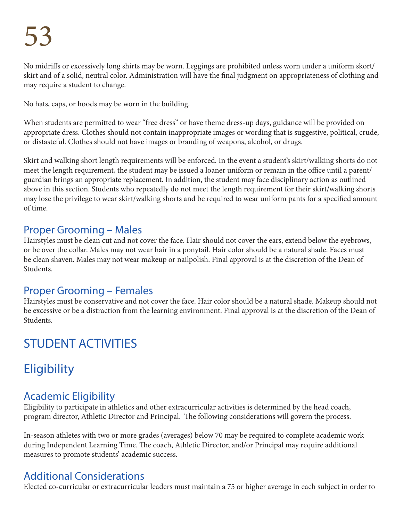No midriffs or excessively long shirts may be worn. Leggings are prohibited unless worn under a uniform skort/ skirt and of a solid, neutral color. Administration will have the final judgment on appropriateness of clothing and may require a student to change.

No hats, caps, or hoods may be worn in the building.

When students are permitted to wear "free dress" or have theme dress-up days, guidance will be provided on appropriate dress. Clothes should not contain inappropriate images or wording that is suggestive, political, crude, or distasteful. Clothes should not have images or branding of weapons, alcohol, or drugs.

Skirt and walking short length requirements will be enforced. In the event a student's skirt/walking shorts do not meet the length requirement, the student may be issued a loaner uniform or remain in the office until a parent/ guardian brings an appropriate replacement. In addition, the student may face disciplinary action as outlined above in this section. Students who repeatedly do not meet the length requirement for their skirt/walking shorts may lose the privilege to wear skirt/walking shorts and be required to wear uniform pants for a specified amount of time.

## Proper Grooming – Males

Hairstyles must be clean cut and not cover the face. Hair should not cover the ears, extend below the eyebrows, or be over the collar. Males may not wear hair in a ponytail. Hair color should be a natural shade. Faces must be clean shaven. Males may not wear makeup or nailpolish. Final approval is at the discretion of the Dean of Students.

# Proper Grooming – Females

Hairstyles must be conservative and not cover the face. Hair color should be a natural shade. Makeup should not be excessive or be a distraction from the learning environment. Final approval is at the discretion of the Dean of Students.

# STUDENT ACTIVITIES

# **Eligibility**

# Academic Eligibility

Eligibility to participate in athletics and other extracurricular activities is determined by the head coach, program director, Athletic Director and Principal. The following considerations will govern the process.

In-season athletes with two or more grades (averages) below 70 may be required to complete academic work during Independent Learning Time. The coach, Athletic Director, and/or Principal may require additional measures to promote students' academic success.

# Additional Considerations

Elected co-curricular or extracurricular leaders must maintain a 75 or higher average in each subject in order to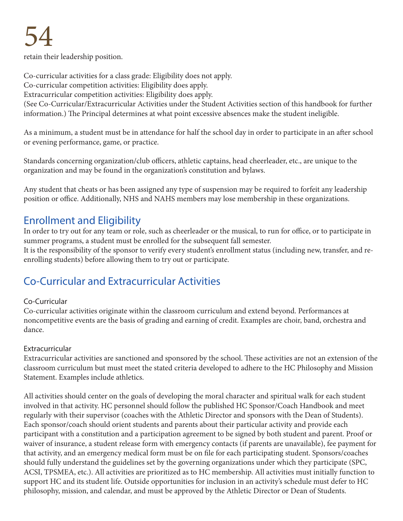retain their leadership position.

Co-curricular activities for a class grade: Eligibility does not apply. Co-curricular competition activities: Eligibility does apply. Extracurricular competition activities: Eligibility does apply. (See Co-Curricular/Extracurricular Activities under the Student Activities section of this handbook for further information.) The Principal determines at what point excessive absences make the student ineligible.

As a minimum, a student must be in attendance for half the school day in order to participate in an after school or evening performance, game, or practice.

Standards concerning organization/club officers, athletic captains, head cheerleader, etc., are unique to the organization and may be found in the organization's constitution and bylaws.

Any student that cheats or has been assigned any type of suspension may be required to forfeit any leadership position or office. Additionally, NHS and NAHS members may lose membership in these organizations.

## Enrollment and Eligibility

In order to try out for any team or role, such as cheerleader or the musical, to run for office, or to participate in summer programs, a student must be enrolled for the subsequent fall semester. It is the responsibility of the sponsor to verify every student's enrollment status (including new, transfer, and reenrolling students) before allowing them to try out or participate.

# Co-Curricular and Extracurricular Activities

### Co-Curricular

Co-curricular activities originate within the classroom curriculum and extend beyond. Performances at noncompetitive events are the basis of grading and earning of credit. Examples are choir, band, orchestra and dance.

### Extracurricular

Extracurricular activities are sanctioned and sponsored by the school. These activities are not an extension of the classroom curriculum but must meet the stated criteria developed to adhere to the HC Philosophy and Mission Statement. Examples include athletics.

All activities should center on the goals of developing the moral character and spiritual walk for each student involved in that activity. HC personnel should follow the published HC Sponsor/Coach Handbook and meet regularly with their supervisor (coaches with the Athletic Director and sponsors with the Dean of Students). Each sponsor/coach should orient students and parents about their particular activity and provide each participant with a constitution and a participation agreement to be signed by both student and parent. Proof or waiver of insurance, a student release form with emergency contacts (if parents are unavailable), fee payment for that activity, and an emergency medical form must be on file for each participating student. Sponsors/coaches should fully understand the guidelines set by the governing organizations under which they participate (SPC, ACSI, TPSMEA, etc.). All activities are prioritized as to HC membership. All activities must initially function to support HC and its student life. Outside opportunities for inclusion in an activity's schedule must defer to HC philosophy, mission, and calendar, and must be approved by the Athletic Director or Dean of Students.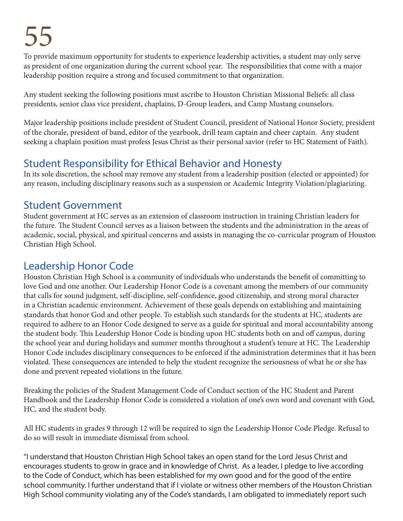To provide maximum opportunity for students to experience leadership activities, a student may only serve as president of one organization during the current school year. The responsibilities that come with a major leadership position require a strong and focused commitment to that organization.

Any student seeking the following positions must ascribe to Houston Christian Missional Beliefs: all class presidents, senior class vice president, chaplains, D-Group leaders, and Camp Mustang counselors.

Major leadership positions include president of Student Council, president of National Honor Society, president of the chorale, president of band, editor of the yearbook, drill team captain and cheer captain. Any student seeking a chaplain position must profess Jesus Christ as their personal savior (refer to HC Statement of Faith).

# Student Responsibility for Ethical Behavior and Honesty

In its sole discretion, the school may remove any student from a leadership position (elected or appointed) for any reason, including disciplinary reasons such as a suspension or Academic Integrity Violation/plagiarizing.

# Student Government

Student government at HC serves as an extension of classroom instruction in training Christian leaders for the future. The Student Council serves as a liaison between the students and the administration in the areas of academic, social, physical, and spiritual concerns and assists in managing the co-curricular program of Houston Christian High School.

# Leadership Honor Code

Houston Christian High School is a community of individuals who understands the benefit of committing to love God and one another. Our Leadership Honor Code is a covenant among the members of our community that calls for sound judgment, self-discipline, self-confidence, good citizenship, and strong moral character in a Christian academic environment. Achievement of these goals depends on establishing and maintaining standards that honor God and other people. To establish such standards for the students at HC, students are required to adhere to an Honor Code designed to serve as a guide for spiritual and moral accountability among the student body. This Leadership Honor Code is binding upon HC students both on and off campus, during the school year and during holidays and summer months throughout a student's tenure at HC. The Leadership Honor Code includes disciplinary consequences to be enforced if the administration determines that it has been violated. These consequences are intended to help the student recognize the seriousness of what he or she has done and prevent repeated violations in the future.

Breaking the policies of the Student Management Code of Conduct section of the HC Student and Parent Handbook and the Leadership Honor Code is considered a violation of one's own word and covenant with God, HC, and the student body.

All HC students in grades 9 through 12 will be required to sign the Leadership Honor Code Pledge. Refusal to do so will result in immediate dismissal from school.

"I understand that Houston Christian High School takes an open stand for the Lord Jesus Christ and encourages students to grow in grace and in knowledge of Christ. As a leader, I pledge to live according to the Code of Conduct, which has been established for my own good and for the good of the entire school community. I further understand that if I violate or witness other members of the Houston Christian High School community violating any of the Code's standards, I am obligated to immediately report such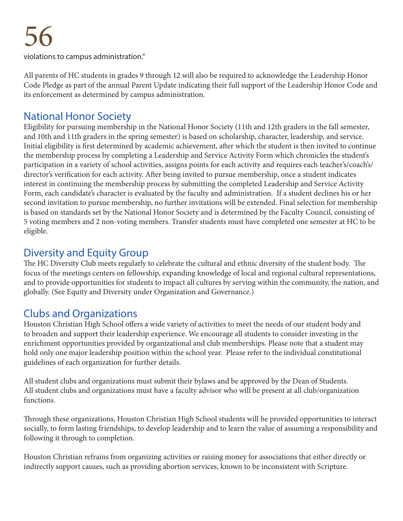violations to campus administration."

All parents of HC students in grades 9 through 12 will also be required to acknowledge the Leadership Honor Code Pledge as part of the annual Parent Update indicating their full support of the Leadership Honor Code and its enforcement as determined by campus administration.

## National Honor Society

Eligibility for pursuing membership in the National Honor Society (11th and 12th graders in the fall semester, and 10th and 11th graders in the spring semester) is based on scholarship, character, leadership, and service. Initial eligibility is first determined by academic achievement, after which the student is then invited to continue the membership process by completing a Leadership and Service Activity Form which chronicles the student's participation in a variety of school activities, assigns points for each activity and requires each teacher's/coach's/ director's verification for each activity. After being invited to pursue membership, once a student indicates interest in continuing the membership process by submitting the completed Leadership and Service Activity Form, each candidate's character is evaluated by the faculty and administration. If a student declines his or her second invitation to pursue membership, no further invitations will be extended. Final selection for membership is based on standards set by the National Honor Society and is determined by the Faculty Council, consisting of 5 voting members and 2 non-voting members. Transfer students must have completed one semester at HC to be eligible.

## Diversity and Equity Group

The HC Diversity Club meets regularly to celebrate the cultural and ethnic diversity of the student body. The focus of the meetings centers on fellowship, expanding knowledge of local and regional cultural representations, and to provide opportunities for students to impact all cultures by serving within the community, the nation, and globally. (See Equity and Diversity under Organization and Governance.)

## Clubs and Organizations

Houston Christian High School offers a wide variety of activities to meet the needs of our student body and to broaden and support their leadership experience. We encourage all students to consider investing in the enrichment opportunities provided by organizational and club memberships. Please note that a student may hold only one major leadership position within the school year. Please refer to the individual constitutional guidelines of each organization for further details.

All student clubs and organizations must submit their bylaws and be approved by the Dean of Students. All student clubs and organizations must have a faculty advisor who will be present at all club/organization functions.

Through these organizations, Houston Christian High School students will be provided opportunities to interact socially, to form lasting friendships, to develop leadership and to learn the value of assuming a responsibility and following it through to completion.

Houston Christian refrains from organizing activities or raising money for associations that either directly or indirectly support causes, such as providing abortion services, known to be inconsistent with Scripture.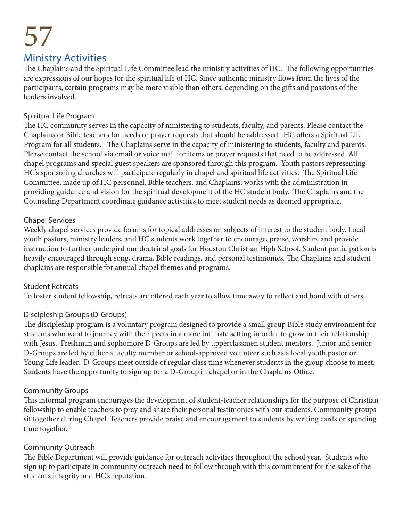# 57 Ministry Activities

### The Chaplains and the Spiritual Life Committee lead the ministry activities of HC. The following opportunities are expressions of our hopes for the spiritual life of HC. Since authentic ministry flows from the lives of the participants, certain programs may be more visible than others, depending on the gifts and passions of the leaders involved.

### Spiritual Life Program

The HC community serves in the capacity of ministering to students, faculty, and parents. Please contact the Chaplains or Bible teachers for needs or prayer requests that should be addressed. HC offers a Spiritual Life Program for all students. The Chaplains serve in the capacity of ministering to students, faculty and parents. Please contact the school via email or voice mail for items or prayer requests that need to be addressed. All chapel programs and special guest speakers are sponsored through this program. Youth pastors representing HC's sponsoring churches will participate regularly in chapel and spiritual life activities. The Spiritual Life Committee, made up of HC personnel, Bible teachers, and Chaplains, works with the administration in providing guidance and vision for the spiritual development of the HC student body. The Chaplains and the Counseling Department coordinate guidance activities to meet student needs as deemed appropriate.

### Chapel Services

Weekly chapel services provide forums for topical addresses on subjects of interest to the student body. Local youth pastors, ministry leaders, and HC students work together to encourage, praise, worship, and provide instruction to further undergird our doctrinal goals for Houston Christian High School. Student participation is heavily encouraged through song, drama, Bible readings, and personal testimonies. The Chaplains and student chaplains are responsible for annual chapel themes and programs.

### Student Retreats

To foster student fellowship, retreats are offered each year to allow time away to reflect and bond with others.

### Discipleship Groups (D-Groups)

The discipleship program is a voluntary program designed to provide a small group Bible study environment for students who want to journey with their peers in a more intimate setting in order to grow in their relationship with Jesus. Freshman and sophomore D-Groups are led by upperclassmen student mentors. Junior and senior D-Groups are led by either a faculty member or school-approved volunteer such as a local youth pastor or Young Life leader. D-Groups meet outside of regular class time whenever students in the group choose to meet. Students have the opportunity to sign up for a D-Group in chapel or in the Chaplain's Office.

### Community Groups

This informal program encourages the development of student-teacher relationships for the purpose of Christian fellowship to enable teachers to pray and share their personal testimonies with our students. Community groups sit together during Chapel. Teachers provide praise and encouragement to students by writing cards or spending time together.

### Community Outreach

The Bible Department will provide guidance for outreach activities throughout the school year. Students who sign up to participate in community outreach need to follow through with this commitment for the sake of the student's integrity and HC's reputation.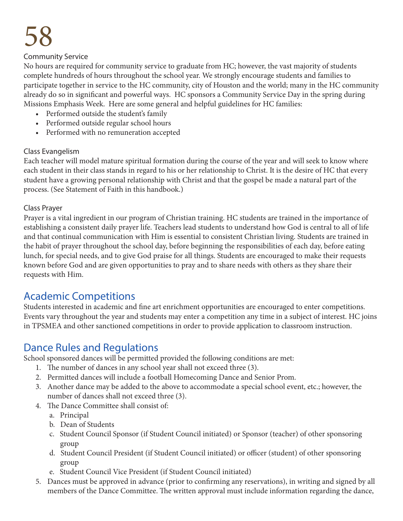#### Community Service

No hours are required for community service to graduate from HC; however, the vast majority of students complete hundreds of hours throughout the school year. We strongly encourage students and families to participate together in service to the HC community, city of Houston and the world; many in the HC community already do so in significant and powerful ways. HC sponsors a Community Service Day in the spring during Missions Emphasis Week. Here are some general and helpful guidelines for HC families:

- Performed outside the student's family
- Performed outside regular school hours
- Performed with no remuneration accepted

### Class Evangelism

Each teacher will model mature spiritual formation during the course of the year and will seek to know where each student in their class stands in regard to his or her relationship to Christ. It is the desire of HC that every student have a growing personal relationship with Christ and that the gospel be made a natural part of the process. (See Statement of Faith in this handbook.)

#### Class Prayer

Prayer is a vital ingredient in our program of Christian training. HC students are trained in the importance of establishing a consistent daily prayer life. Teachers lead students to understand how God is central to all of life and that continual communication with Him is essential to consistent Christian living. Students are trained in the habit of prayer throughout the school day, before beginning the responsibilities of each day, before eating lunch, for special needs, and to give God praise for all things. Students are encouraged to make their requests known before God and are given opportunities to pray and to share needs with others as they share their requests with Him.

### Academic Competitions

Students interested in academic and fine art enrichment opportunities are encouraged to enter competitions. Events vary throughout the year and students may enter a competition any time in a subject of interest. HC joins in TPSMEA and other sanctioned competitions in order to provide application to classroom instruction.

## Dance Rules and Regulations

School sponsored dances will be permitted provided the following conditions are met:

- 1. The number of dances in any school year shall not exceed three (3).
- 2. Permitted dances will include a football Homecoming Dance and Senior Prom.
- 3. Another dance may be added to the above to accommodate a special school event, etc.; however, the number of dances shall not exceed three (3).
- 4. The Dance Committee shall consist of:
	- a. Principal
	- b. Dean of Students
	- c. Student Council Sponsor (if Student Council initiated) or Sponsor (teacher) of other sponsoring group
	- d. Student Council President (if Student Council initiated) or officer (student) of other sponsoring group
	- e. Student Council Vice President (if Student Council initiated)
- 5. Dances must be approved in advance (prior to confirming any reservations), in writing and signed by all members of the Dance Committee. The written approval must include information regarding the dance,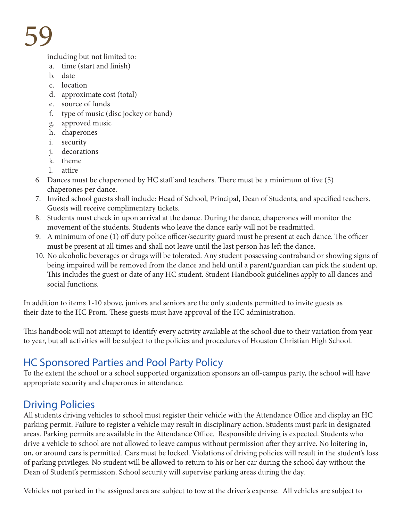including but not limited to:

- a. time (start and finish)
- b. date
- c. location
- d. approximate cost (total)
- e. source of funds
- f. type of music (disc jockey or band)
- g. approved music
- h. chaperones
- i. security
- j. decorations
- k. theme
- l. attire
- 6. Dances must be chaperoned by HC staff and teachers. There must be a minimum of five (5) chaperones per dance.
- 7. Invited school guests shall include: Head of School, Principal, Dean of Students, and specified teachers. Guests will receive complimentary tickets.
- 8. Students must check in upon arrival at the dance. During the dance, chaperones will monitor the movement of the students. Students who leave the dance early will not be readmitted.
- 9. A minimum of one (1) off duty police officer/security guard must be present at each dance. The officer must be present at all times and shall not leave until the last person has left the dance.
- 10. No alcoholic beverages or drugs will be tolerated. Any student possessing contraband or showing signs of being impaired will be removed from the dance and held until a parent/guardian can pick the student up. This includes the guest or date of any HC student. Student Handbook guidelines apply to all dances and social functions.

In addition to items 1-10 above, juniors and seniors are the only students permitted to invite guests as their date to the HC Prom. These guests must have approval of the HC administration.

This handbook will not attempt to identify every activity available at the school due to their variation from year to year, but all activities will be subject to the policies and procedures of Houston Christian High School.

# HC Sponsored Parties and Pool Party Policy

To the extent the school or a school supported organization sponsors an off-campus party, the school will have appropriate security and chaperones in attendance.

# Driving Policies

All students driving vehicles to school must register their vehicle with the Attendance Office and display an HC parking permit. Failure to register a vehicle may result in disciplinary action. Students must park in designated areas. Parking permits are available in the Attendance Office. Responsible driving is expected. Students who drive a vehicle to school are not allowed to leave campus without permission after they arrive. No loitering in, on, or around cars is permitted. Cars must be locked. Violations of driving policies will result in the student's loss of parking privileges. No student will be allowed to return to his or her car during the school day without the Dean of Student's permission. School security will supervise parking areas during the day.

Vehicles not parked in the assigned area are subject to tow at the driver's expense. All vehicles are subject to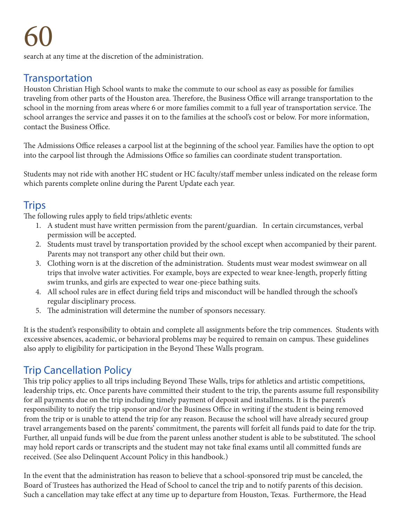search at any time at the discretion of the administration.

## **Transportation**

Houston Christian High School wants to make the commute to our school as easy as possible for families traveling from other parts of the Houston area. Therefore, the Business Office will arrange transportation to the school in the morning from areas where 6 or more families commit to a full year of transportation service. The school arranges the service and passes it on to the families at the school's cost or below. For more information, contact the Business Office.

The Admissions Office releases a carpool list at the beginning of the school year. Families have the option to opt into the carpool list through the Admissions Office so families can coordinate student transportation.

Students may not ride with another HC student or HC faculty/staff member unless indicated on the release form which parents complete online during the Parent Update each year.

## Trips

The following rules apply to field trips/athletic events:

- 1. A student must have written permission from the parent/guardian. In certain circumstances, verbal permission will be accepted.
- 2. Students must travel by transportation provided by the school except when accompanied by their parent. Parents may not transport any other child but their own.
- 3. Clothing worn is at the discretion of the administration. Students must wear modest swimwear on all trips that involve water activities. For example, boys are expected to wear knee-length, properly fitting swim trunks, and girls are expected to wear one-piece bathing suits.
- 4. All school rules are in effect during field trips and misconduct will be handled through the school's regular disciplinary process.
- 5. The administration will determine the number of sponsors necessary.

It is the student's responsibility to obtain and complete all assignments before the trip commences. Students with excessive absences, academic, or behavioral problems may be required to remain on campus. These guidelines also apply to eligibility for participation in the Beyond These Walls program.

## Trip Cancellation Policy

This trip policy applies to all trips including Beyond These Walls, trips for athletics and artistic competitions, leadership trips, etc. Once parents have committed their student to the trip, the parents assume full responsibility for all payments due on the trip including timely payment of deposit and installments. It is the parent's responsibility to notify the trip sponsor and/or the Business Office in writing if the student is being removed from the trip or is unable to attend the trip for any reason. Because the school will have already secured group travel arrangements based on the parents' commitment, the parents will forfeit all funds paid to date for the trip. Further, all unpaid funds will be due from the parent unless another student is able to be substituted. The school may hold report cards or transcripts and the student may not take final exams until all committed funds are received. (See also Delinquent Account Policy in this handbook.)

In the event that the administration has reason to believe that a school-sponsored trip must be canceled, the Board of Trustees has authorized the Head of School to cancel the trip and to notify parents of this decision. Such a cancellation may take effect at any time up to departure from Houston, Texas. Furthermore, the Head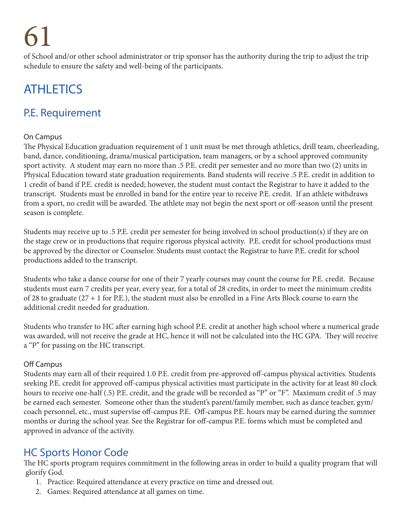of School and/or other school administrator or trip sponsor has the authority during the trip to adjust the trip schedule to ensure the safety and well-being of the participants.

# **ATHLETICS**

# P.E. Requirement

### On Campus

The Physical Education graduation requirement of 1 unit must be met through athletics, drill team, cheerleading, band, dance, conditioning, drama/musical participation, team managers, or by a school approved community sport activity. A student may earn no more than .5 P.E. credit per semester and no more than two (2) units in Physical Education toward state graduation requirements. Band students will receive .5 P.E. credit in addition to 1 credit of band if P.E. credit is needed; however, the student must contact the Registrar to have it added to the transcript. Students must be enrolled in band for the entire year to receive P.E. credit. If an athlete withdraws from a sport, no credit will be awarded. The athlete may not begin the next sport or off-season until the present season is complete.

Students may receive up to .5 P.E. credit per semester for being involved in school production(s) if they are on the stage crew or in productions that require rigorous physical activity. P.E. credit for school productions must be approved by the director or Counselor. Students must contact the Registrar to have P.E. credit for school productions added to the transcript.

Students who take a dance course for one of their 7 yearly courses may count the course for P.E. credit. Because students must earn 7 credits per year, every year, for a total of 28 credits, in order to meet the minimum credits of 28 to graduate (27 + 1 for P.E.), the student must also be enrolled in a Fine Arts Block course to earn the additional credit needed for graduation.

Students who transfer to HC after earning high school P.E. credit at another high school where a numerical grade was awarded, will not receive the grade at HC, hence it will not be calculated into the HC GPA. They will receive a "P" for passing on the HC transcript.

### Off Campus

Students may earn all of their required 1.0 P.E. credit from pre-approved off-campus physical activities. Students seeking P.E. credit for approved off-campus physical activities must participate in the activity for at least 80 clock hours to receive one-half (.5) P.E. credit, and the grade will be recorded as "P" or "F". Maximum credit of .5 may be earned each semester. Someone other than the student's parent/family member, such as dance teacher, gym/ coach personnel, etc., must supervise off-campus P.E. Off-campus P.E. hours may be earned during the summer months or during the school year. See the Registrar for off-campus P.E. forms which must be completed and approved in advance of the activity.

# HC Sports Honor Code

The HC sports program requires commitment in the following areas in order to build a quality program that will glorify God.

- 1. Practice: Required attendance at every practice on time and dressed out.
- 2. Games: Required attendance at all games on time.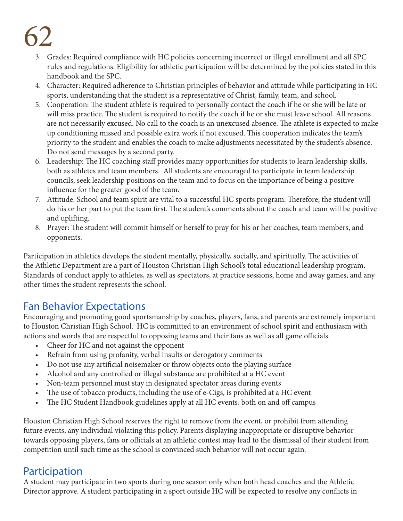- 3. Grades: Required compliance with HC policies concerning incorrect or illegal enrollment and all SPC rules and regulations. Eligibility for athletic participation will be determined by the policies stated in this handbook and the SPC.
- 4. Character: Required adherence to Christian principles of behavior and attitude while participating in HC sports, understanding that the student is a representative of Christ, family, team, and school.
- 5. Cooperation: The student athlete is required to personally contact the coach if he or she will be late or will miss practice. The student is required to notify the coach if he or she must leave school. All reasons are not necessarily excused. No call to the coach is an unexcused absence. The athlete is expected to make up conditioning missed and possible extra work if not excused. This cooperation indicates the team's priority to the student and enables the coach to make adjustments necessitated by the student's absence. Do not send messages by a second party.
- 6. Leadership: The HC coaching staff provides many opportunities for students to learn leadership skills, both as athletes and team members. All students are encouraged to participate in team leadership councils, seek leadership positions on the team and to focus on the importance of being a positive influence for the greater good of the team.
- 7. Attitude: School and team spirit are vital to a successful HC sports program. Therefore, the student will do his or her part to put the team first. The student's comments about the coach and team will be positive and uplifting.
- 8. Prayer: The student will commit himself or herself to pray for his or her coaches, team members, and opponents.

Participation in athletics develops the student mentally, physically, socially, and spiritually. The activities of the Athletic Department are a part of Houston Christian High School's total educational leadership program. Standards of conduct apply to athletes, as well as spectators, at practice sessions, home and away games, and any other times the student represents the school.

# Fan Behavior Expectations

Encouraging and promoting good sportsmanship by coaches, players, fans, and parents are extremely important to Houston Christian High School. HC is committed to an environment of school spirit and enthusiasm with actions and words that are respectful to opposing teams and their fans as well as all game officials.

- Cheer for HC and not against the opponent
- Refrain from using profanity, verbal insults or derogatory comments
- Do not use any artificial noisemaker or throw objects onto the playing surface
- Alcohol and any controlled or illegal substance are prohibited at a HC event
- Non-team personnel must stay in designated spectator areas during events
- The use of tobacco products, including the use of e-Cigs, is prohibited at a HC event
- The HC Student Handbook guidelines apply at all HC events, both on and off campus

Houston Christian High School reserves the right to remove from the event, or prohibit from attending future events, any individual violating this policy. Parents displaying inappropriate or disruptive behavior towards opposing players, fans or officials at an athletic contest may lead to the dismissal of their student from competition until such time as the school is convinced such behavior will not occur again.

# Participation

A student may participate in two sports during one season only when both head coaches and the Athletic Director approve. A student participating in a sport outside HC will be expected to resolve any conflicts in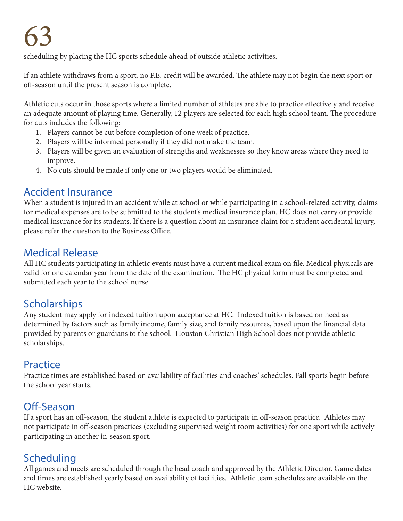scheduling by placing the HC sports schedule ahead of outside athletic activities.

If an athlete withdraws from a sport, no P.E. credit will be awarded. The athlete may not begin the next sport or off-season until the present season is complete.

Athletic cuts occur in those sports where a limited number of athletes are able to practice effectively and receive an adequate amount of playing time. Generally, 12 players are selected for each high school team. The procedure for cuts includes the following:

- 1. Players cannot be cut before completion of one week of practice.
- 2. Players will be informed personally if they did not make the team.
- 3. Players will be given an evaluation of strengths and weaknesses so they know areas where they need to improve.
- 4. No cuts should be made if only one or two players would be eliminated.

## Accident Insurance

When a student is injured in an accident while at school or while participating in a school-related activity, claims for medical expenses are to be submitted to the student's medical insurance plan. HC does not carry or provide medical insurance for its students. If there is a question about an insurance claim for a student accidental injury, please refer the question to the Business Office.

# Medical Release

All HC students participating in athletic events must have a current medical exam on file. Medical physicals are valid for one calendar year from the date of the examination. The HC physical form must be completed and submitted each year to the school nurse.

# Scholarships

Any student may apply for indexed tuition upon acceptance at HC. Indexed tuition is based on need as determined by factors such as family income, family size, and family resources, based upon the financial data provided by parents or guardians to the school. Houston Christian High School does not provide athletic scholarships.

# Practice

Practice times are established based on availability of facilities and coaches' schedules. Fall sports begin before the school year starts.

# Off-Season

If a sport has an off-season, the student athlete is expected to participate in off-season practice. Athletes may not participate in off-season practices (excluding supervised weight room activities) for one sport while actively participating in another in-season sport.

# Scheduling

All games and meets are scheduled through the head coach and approved by the Athletic Director. Game dates and times are established yearly based on availability of facilities. Athletic team schedules are available on the HC website.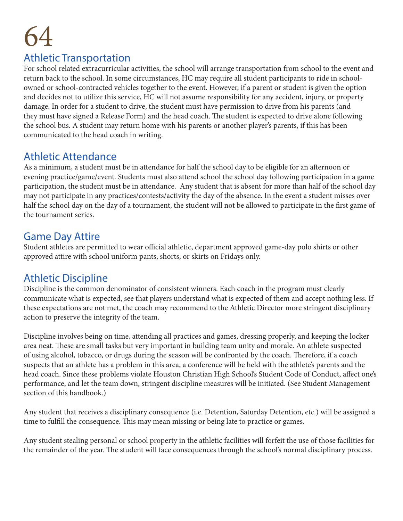### Athletic Transportation

For school related extracurricular activities, the school will arrange transportation from school to the event and return back to the school. In some circumstances, HC may require all student participants to ride in schoolowned or school-contracted vehicles together to the event. However, if a parent or student is given the option and decides not to utilize this service, HC will not assume responsibility for any accident, injury, or property damage. In order for a student to drive, the student must have permission to drive from his parents (and they must have signed a Release Form) and the head coach. The student is expected to drive alone following the school bus. A student may return home with his parents or another player's parents, if this has been communicated to the head coach in writing.

## Athletic Attendance

As a minimum, a student must be in attendance for half the school day to be eligible for an afternoon or evening practice/game/event. Students must also attend school the school day following participation in a game participation, the student must be in attendance. Any student that is absent for more than half of the school day may not participate in any practices/contests/activity the day of the absence. In the event a student misses over half the school day on the day of a tournament, the student will not be allowed to participate in the first game of the tournament series.

## Game Day Attire

Student athletes are permitted to wear official athletic, department approved game-day polo shirts or other approved attire with school uniform pants, shorts, or skirts on Fridays only.

# Athletic Discipline

Discipline is the common denominator of consistent winners. Each coach in the program must clearly communicate what is expected, see that players understand what is expected of them and accept nothing less. If these expectations are not met, the coach may recommend to the Athletic Director more stringent disciplinary action to preserve the integrity of the team.

Discipline involves being on time, attending all practices and games, dressing properly, and keeping the locker area neat. These are small tasks but very important in building team unity and morale. An athlete suspected of using alcohol, tobacco, or drugs during the season will be confronted by the coach. Therefore, if a coach suspects that an athlete has a problem in this area, a conference will be held with the athlete's parents and the head coach. Since these problems violate Houston Christian High School's Student Code of Conduct, affect one's performance, and let the team down, stringent discipline measures will be initiated. (See Student Management section of this handbook.)

Any student that receives a disciplinary consequence (i.e. Detention, Saturday Detention, etc.) will be assigned a time to fulfill the consequence. This may mean missing or being late to practice or games.

Any student stealing personal or school property in the athletic facilities will forfeit the use of those facilities for the remainder of the year. The student will face consequences through the school's normal disciplinary process.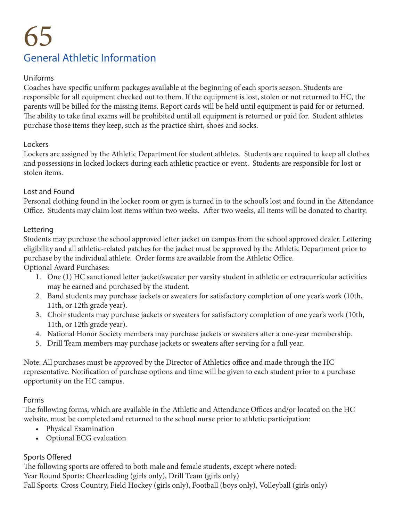# 65 General Athletic Information

### Uniforms

Coaches have specific uniform packages available at the beginning of each sports season. Students are responsible for all equipment checked out to them. If the equipment is lost, stolen or not returned to HC, the parents will be billed for the missing items. Report cards will be held until equipment is paid for or returned. The ability to take final exams will be prohibited until all equipment is returned or paid for. Student athletes purchase those items they keep, such as the practice shirt, shoes and socks.

#### **Lockers**

Lockers are assigned by the Athletic Department for student athletes. Students are required to keep all clothes and possessions in locked lockers during each athletic practice or event. Students are responsible for lost or stolen items.

#### Lost and Found

Personal clothing found in the locker room or gym is turned in to the school's lost and found in the Attendance Office. Students may claim lost items within two weeks. After two weeks, all items will be donated to charity.

#### Lettering

Students may purchase the school approved letter jacket on campus from the school approved dealer. Lettering eligibility and all athletic-related patches for the jacket must be approved by the Athletic Department prior to purchase by the individual athlete. Order forms are available from the Athletic Office.

Optional Award Purchases:

- 1. One (1) HC sanctioned letter jacket/sweater per varsity student in athletic or extracurricular activities may be earned and purchased by the student.
- 2. Band students may purchase jackets or sweaters for satisfactory completion of one year's work (10th, 11th, or 12th grade year).
- 3. Choir students may purchase jackets or sweaters for satisfactory completion of one year's work (10th, 11th, or 12th grade year).
- 4. National Honor Society members may purchase jackets or sweaters after a one-year membership.
- 5. Drill Team members may purchase jackets or sweaters after serving for a full year.

Note: All purchases must be approved by the Director of Athletics office and made through the HC representative. Notification of purchase options and time will be given to each student prior to a purchase opportunity on the HC campus.

#### Forms

The following forms, which are available in the Athletic and Attendance Offices and/or located on the HC website, must be completed and returned to the school nurse prior to athletic participation:

- Physical Examination
- Optional ECG evaluation

### Sports Offered

The following sports are offered to both male and female students, except where noted: Year Round Sports: Cheerleading (girls only), Drill Team (girls only) Fall Sports: Cross Country, Field Hockey (girls only), Football (boys only), Volleyball (girls only)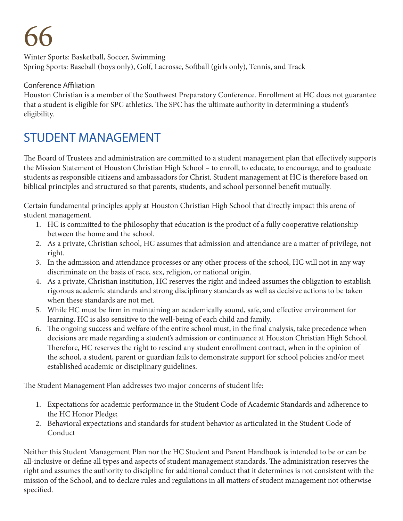Winter Sports: Basketball, Soccer, Swimming Spring Sports: Baseball (boys only), Golf, Lacrosse, Softball (girls only), Tennis, and Track

### Conference Affiliation

Houston Christian is a member of the Southwest Preparatory Conference. Enrollment at HC does not guarantee that a student is eligible for SPC athletics. The SPC has the ultimate authority in determining a student's eligibility.

# STUDENT MANAGEMENT

The Board of Trustees and administration are committed to a student management plan that effectively supports the Mission Statement of Houston Christian High School – to enroll, to educate, to encourage, and to graduate students as responsible citizens and ambassadors for Christ. Student management at HC is therefore based on biblical principles and structured so that parents, students, and school personnel benefit mutually.

Certain fundamental principles apply at Houston Christian High School that directly impact this arena of student management.

- 1. HC is committed to the philosophy that education is the product of a fully cooperative relationship between the home and the school.
- 2. As a private, Christian school, HC assumes that admission and attendance are a matter of privilege, not right.
- 3. In the admission and attendance processes or any other process of the school, HC will not in any way discriminate on the basis of race, sex, religion, or national origin.
- 4. As a private, Christian institution, HC reserves the right and indeed assumes the obligation to establish rigorous academic standards and strong disciplinary standards as well as decisive actions to be taken when these standards are not met.
- 5. While HC must be firm in maintaining an academically sound, safe, and effective environment for learning, HC is also sensitive to the well-being of each child and family.
- 6. The ongoing success and welfare of the entire school must, in the final analysis, take precedence when decisions are made regarding a student's admission or continuance at Houston Christian High School. Therefore, HC reserves the right to rescind any student enrollment contract, when in the opinion of the school, a student, parent or guardian fails to demonstrate support for school policies and/or meet established academic or disciplinary guidelines.

The Student Management Plan addresses two major concerns of student life:

- 1. Expectations for academic performance in the Student Code of Academic Standards and adherence to the HC Honor Pledge;
- 2. Behavioral expectations and standards for student behavior as articulated in the Student Code of Conduct

Neither this Student Management Plan nor the HC Student and Parent Handbook is intended to be or can be all-inclusive or define all types and aspects of student management standards. The administration reserves the right and assumes the authority to discipline for additional conduct that it determines is not consistent with the mission of the School, and to declare rules and regulations in all matters of student management not otherwise specified.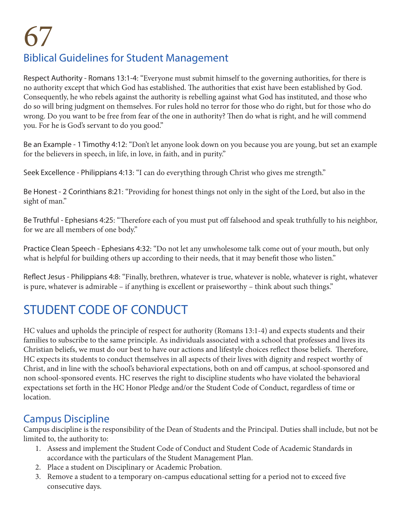# 67 Biblical Guidelines for Student Management

Respect Authority - Romans 13:1-4: "Everyone must submit himself to the governing authorities, for there is no authority except that which God has established. The authorities that exist have been established by God. Consequently, he who rebels against the authority is rebelling against what God has instituted, and those who do so will bring judgment on themselves. For rules hold no terror for those who do right, but for those who do wrong. Do you want to be free from fear of the one in authority? Then do what is right, and he will commend you. For he is God's servant to do you good."

Be an Example - 1 Timothy 4:12: "Don't let anyone look down on you because you are young, but set an example for the believers in speech, in life, in love, in faith, and in purity."

Seek Excellence - Philippians 4:13: "I can do everything through Christ who gives me strength."

Be Honest - 2 Corinthians 8:21: "Providing for honest things not only in the sight of the Lord, but also in the sight of man."

Be Truthful - Ephesians 4:25: "Therefore each of you must put off falsehood and speak truthfully to his neighbor, for we are all members of one body."

Practice Clean Speech - Ephesians 4:32: "Do not let any unwholesome talk come out of your mouth, but only what is helpful for building others up according to their needs, that it may benefit those who listen."

Reflect Jesus - Philippians 4:8: "Finally, brethren, whatever is true, whatever is noble, whatever is right, whatever is pure, whatever is admirable – if anything is excellent or praiseworthy – think about such things."

# STUDENT CODE OF CONDUCT

HC values and upholds the principle of respect for authority (Romans 13:1-4) and expects students and their families to subscribe to the same principle. As individuals associated with a school that professes and lives its Christian beliefs, we must do our best to have our actions and lifestyle choices reflect those beliefs. Therefore, HC expects its students to conduct themselves in all aspects of their lives with dignity and respect worthy of Christ, and in line with the school's behavioral expectations, both on and off campus, at school-sponsored and non school-sponsored events. HC reserves the right to discipline students who have violated the behavioral expectations set forth in the HC Honor Pledge and/or the Student Code of Conduct, regardless of time or location.

# Campus Discipline

Campus discipline is the responsibility of the Dean of Students and the Principal. Duties shall include, but not be limited to, the authority to:

- 1. Assess and implement the Student Code of Conduct and Student Code of Academic Standards in accordance with the particulars of the Student Management Plan.
- 2. Place a student on Disciplinary or Academic Probation.
- 3. Remove a student to a temporary on-campus educational setting for a period not to exceed five consecutive days.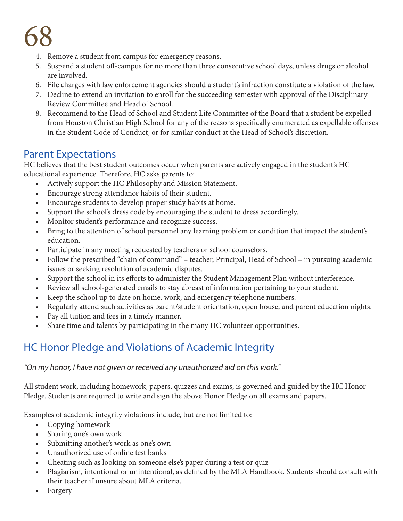- 4. Remove a student from campus for emergency reasons.
- 5. Suspend a student off-campus for no more than three consecutive school days, unless drugs or alcohol are involved.
- 6. File charges with law enforcement agencies should a student's infraction constitute a violation of the law.
- 7. Decline to extend an invitation to enroll for the succeeding semester with approval of the Disciplinary Review Committee and Head of School.
- 8. Recommend to the Head of School and Student Life Committee of the Board that a student be expelled from Houston Christian High School for any of the reasons specifically enumerated as expellable offenses in the Student Code of Conduct, or for similar conduct at the Head of School's discretion.

## Parent Expectations

HC believes that the best student outcomes occur when parents are actively engaged in the student's HC educational experience. Therefore, HC asks parents to:

- Actively support the HC Philosophy and Mission Statement.
- Encourage strong attendance habits of their student.
- Encourage students to develop proper study habits at home.
- Support the school's dress code by encouraging the student to dress accordingly.
- Monitor student's performance and recognize success.
- Bring to the attention of school personnel any learning problem or condition that impact the student's education.
- Participate in any meeting requested by teachers or school counselors.
- Follow the prescribed "chain of command" teacher, Principal, Head of School in pursuing academic issues or seeking resolution of academic disputes.
- Support the school in its efforts to administer the Student Management Plan without interference.
- Review all school-generated emails to stay abreast of information pertaining to your student.
- Keep the school up to date on home, work, and emergency telephone numbers.
- Regularly attend such activities as parent/student orientation, open house, and parent education nights.
- Pay all tuition and fees in a timely manner.
- Share time and talents by participating in the many HC volunteer opportunities.

# HC Honor Pledge and Violations of Academic Integrity

"On my honor, I have not given or received any unauthorized aid on this work."

All student work, including homework, papers, quizzes and exams, is governed and guided by the HC Honor Pledge. Students are required to write and sign the above Honor Pledge on all exams and papers.

Examples of academic integrity violations include, but are not limited to:

- Copying homework
- Sharing one's own work
- Submitting another's work as one's own
- Unauthorized use of online test banks
- Cheating such as looking on someone else's paper during a test or quiz
- Plagiarism, intentional or unintentional, as defined by the MLA Handbook. Students should consult with their teacher if unsure about MLA criteria.
- Forgery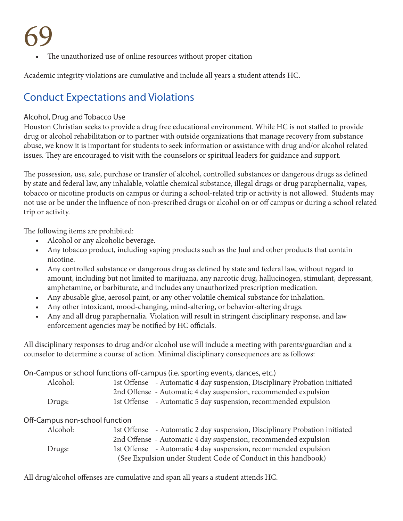The unauthorized use of online resources without proper citation

Academic integrity violations are cumulative and include all years a student attends HC.

# Conduct Expectations and Violations

#### Alcohol, Drug and Tobacco Use

Houston Christian seeks to provide a drug free educational environment. While HC is not staffed to provide drug or alcohol rehabilitation or to partner with outside organizations that manage recovery from substance abuse, we know it is important for students to seek information or assistance with drug and/or alcohol related issues. They are encouraged to visit with the counselors or spiritual leaders for guidance and support.

The possession, use, sale, purchase or transfer of alcohol, controlled substances or dangerous drugs as defined by state and federal law, any inhalable, volatile chemical substance, illegal drugs or drug paraphernalia, vapes, tobacco or nicotine products on campus or during a school-related trip or activity is not allowed. Students may not use or be under the influence of non-prescribed drugs or alcohol on or off campus or during a school related trip or activity.

The following items are prohibited:

- Alcohol or any alcoholic beverage.
- Any tobacco product, including vaping products such as the Juul and other products that contain nicotine.
- Any controlled substance or dangerous drug as defined by state and federal law, without regard to amount, including but not limited to marijuana, any narcotic drug, hallucinogen, stimulant, depressant, amphetamine, or barbiturate, and includes any unauthorized prescription medication.
- Any abusable glue, aerosol paint, or any other volatile chemical substance for inhalation.
- Any other intoxicant, mood-changing, mind-altering, or behavior-altering drugs.
- Any and all drug paraphernalia. Violation will result in stringent disciplinary response, and law enforcement agencies may be notified by HC officials.

All disciplinary responses to drug and/or alcohol use will include a meeting with parents/guardian and a counselor to determine a course of action. Minimal disciplinary consequences are as follows:

On-Campus or school functions off-campus (i.e. sporting events, dances, etc.)

| Alcohol: | 1st Offense - Automatic 4 day suspension, Disciplinary Probation initiated |
|----------|----------------------------------------------------------------------------|
|          | 2nd Offense - Automatic 4 day suspension, recommended expulsion            |
| Drugs:   | 1st Offense - Automatic 5 day suspension, recommended expulsion            |

### Off-Campus non-school function

| Alcohol: | 1st Offense - Automatic 2 day suspension, Disciplinary Probation initiated |
|----------|----------------------------------------------------------------------------|
|          | 2nd Offense - Automatic 4 day suspension, recommended expulsion            |
| Drugs:   | 1st Offense - Automatic 4 day suspension, recommended expulsion            |
|          | (See Expulsion under Student Code of Conduct in this handbook)             |

All drug/alcohol offenses are cumulative and span all years a student attends HC.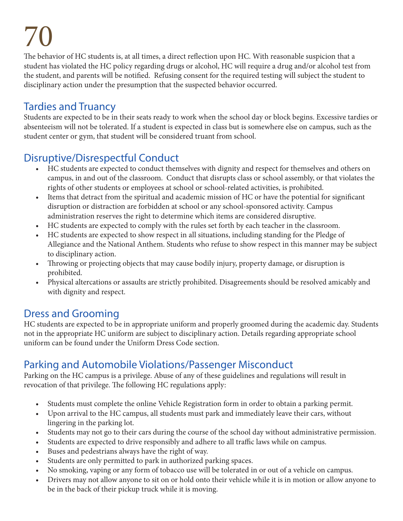The behavior of HC students is, at all times, a direct reflection upon HC. With reasonable suspicion that a student has violated the HC policy regarding drugs or alcohol, HC will require a drug and/or alcohol test from the student, and parents will be notified. Refusing consent for the required testing will subject the student to disciplinary action under the presumption that the suspected behavior occurred.

# Tardies and Truancy

Students are expected to be in their seats ready to work when the school day or block begins. Excessive tardies or absenteeism will not be tolerated. If a student is expected in class but is somewhere else on campus, such as the student center or gym, that student will be considered truant from school.

# Disruptive/Disrespectful Conduct

- HC students are expected to conduct themselves with dignity and respect for themselves and others on campus, in and out of the classroom. Conduct that disrupts class or school assembly, or that violates the rights of other students or employees at school or school-related activities, is prohibited.
- Items that detract from the spiritual and academic mission of HC or have the potential for significant disruption or distraction are forbidden at school or any school-sponsored activity. Campus administration reserves the right to determine which items are considered disruptive.
- HC students are expected to comply with the rules set forth by each teacher in the classroom.
- HC students are expected to show respect in all situations, including standing for the Pledge of Allegiance and the National Anthem. Students who refuse to show respect in this manner may be subject to disciplinary action.
- Throwing or projecting objects that may cause bodily injury, property damage, or disruption is prohibited.
- Physical altercations or assaults are strictly prohibited. Disagreements should be resolved amicably and with dignity and respect.

# Dress and Grooming

HC students are expected to be in appropriate uniform and properly groomed during the academic day. Students not in the appropriate HC uniform are subject to disciplinary action. Details regarding appropriate school uniform can be found under the Uniform Dress Code section.

# Parking and Automobile Violations/Passenger Misconduct

Parking on the HC campus is a privilege. Abuse of any of these guidelines and regulations will result in revocation of that privilege. The following HC regulations apply:

- Students must complete the online Vehicle Registration form in order to obtain a parking permit.
- Upon arrival to the HC campus, all students must park and immediately leave their cars, without lingering in the parking lot.
- Students may not go to their cars during the course of the school day without administrative permission.
- Students are expected to drive responsibly and adhere to all traffic laws while on campus.
- Buses and pedestrians always have the right of way.
- Students are only permitted to park in authorized parking spaces.
- No smoking, vaping or any form of tobacco use will be tolerated in or out of a vehicle on campus.
- Drivers may not allow anyone to sit on or hold onto their vehicle while it is in motion or allow anyone to be in the back of their pickup truck while it is moving.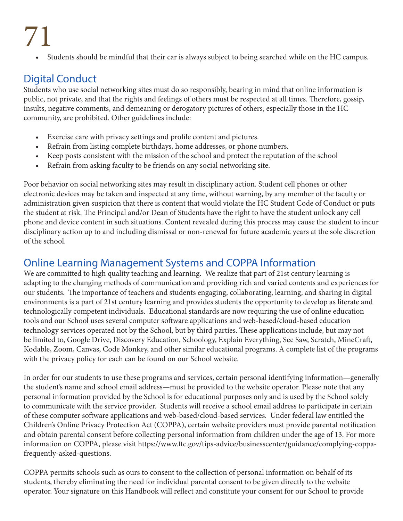• Students should be mindful that their car is always subject to being searched while on the HC campus.

# Digital Conduct

Students who use social networking sites must do so responsibly, bearing in mind that online information is public, not private, and that the rights and feelings of others must be respected at all times. Therefore, gossip, insults, negative comments, and demeaning or derogatory pictures of others, especially those in the HC community, are prohibited. Other guidelines include:

- Exercise care with privacy settings and profile content and pictures.
- Refrain from listing complete birthdays, home addresses, or phone numbers.
- Keep posts consistent with the mission of the school and protect the reputation of the school
- Refrain from asking faculty to be friends on any social networking site.

Poor behavior on social networking sites may result in disciplinary action. Student cell phones or other electronic devices may be taken and inspected at any time, without warning, by any member of the faculty or administration given suspicion that there is content that would violate the HC Student Code of Conduct or puts the student at risk. The Principal and/or Dean of Students have the right to have the student unlock any cell phone and device content in such situations. Content revealed during this process may cause the student to incur disciplinary action up to and including dismissal or non-renewal for future academic years at the sole discretion of the school.

## Online Learning Management Systems and COPPA Information

We are committed to high quality teaching and learning. We realize that part of 21st century learning is adapting to the changing methods of communication and providing rich and varied contents and experiences for our students. The importance of teachers and students engaging, collaborating, learning, and sharing in digital environments is a part of 21st century learning and provides students the opportunity to develop as literate and technologically competent individuals. Educational standards are now requiring the use of online education tools and our School uses several computer software applications and web-based/cloud-based education technology services operated not by the School, but by third parties. These applications include, but may not be limited to, Google Drive, Discovery Education, Schoology, Explain Everything, See Saw, Scratch, MineCraft, Kodable, Zoom, Canvas, Code Monkey, and other similar educational programs. A complete list of the programs with the privacy policy for each can be found on our School website.

In order for our students to use these programs and services, certain personal identifying information—generally the student's name and school email address—must be provided to the website operator. Please note that any personal information provided by the School is for educational purposes only and is used by the School solely to communicate with the service provider. Students will receive a school email address to participate in certain of these computer software applications and web-based/cloud-based services. Under federal law entitled the Children's Online Privacy Protection Act (COPPA), certain website providers must provide parental notification and obtain parental consent before collecting personal information from children under the age of 13. For more information on COPPA, please visit https://www.ftc.gov/tips-advice/businesscenter/guidance/complying-coppafrequently-asked-questions.

COPPA permits schools such as ours to consent to the collection of personal information on behalf of its students, thereby eliminating the need for individual parental consent to be given directly to the website operator. Your signature on this Handbook will reflect and constitute your consent for our School to provide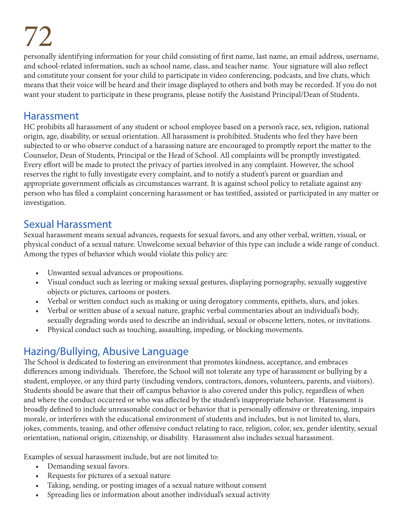personally identifying information for your child consisting of first name, last name, an email address, username, and school-related information, such as school name, class, and teacher name. Your signature will also reflect and constitute your consent for your child to participate in video conferencing, podcasts, and live chats, which means that their voice will be heard and their image displayed to others and both may be recorded. If you do not want your student to participate in these programs, please notify the Assistand Principal/Dean of Students.

## Harassment

HC prohibits all harassment of any student or school employee based on a person's race, sex, religion, national origin, age, disability, or sexual orientation. All harassment is prohibited. Students who feel they have been subjected to or who observe conduct of a harassing nature are encouraged to promptly report the matter to the Counselor, Dean of Students, Principal or the Head of School. All complaints will be promptly investigated. Every effort will be made to protect the privacy of parties involved in any complaint. However, the school reserves the right to fully investigate every complaint, and to notify a student's parent or guardian and appropriate government officials as circumstances warrant. It is against school policy to retaliate against any person who has filed a complaint concerning harassment or has testified, assisted or participated in any matter or investigation.

## Sexual Harassment

Sexual harassment means sexual advances, requests for sexual favors, and any other verbal, written, visual, or physical conduct of a sexual nature. Unwelcome sexual behavior of this type can include a wide range of conduct. Among the types of behavior which would violate this policy are:

- Unwanted sexual advances or propositions.
- Visual conduct such as leering or making sexual gestures, displaying pornography, sexually suggestive objects or pictures, cartoons or posters.
- Verbal or written conduct such as making or using derogatory comments, epithets, slurs, and jokes.
- Verbal or written abuse of a sexual nature, graphic verbal commentaries about an individual's body, sexually degrading words used to describe an individual, sexual or obscene letters, notes, or invitations.
- Physical conduct such as touching, assaulting, impeding, or blocking movements.

## Hazing/Bullying, Abusive Language

The School is dedicated to fostering an environment that promotes kindness, acceptance, and embraces differences among individuals. Therefore, the School will not tolerate any type of harassment or bullying by a student, employee, or any third party (including vendors, contractors, donors, volunteers, parents, and visitors). Students should be aware that their off campus behavior is also covered under this policy, regardless of when and where the conduct occurred or who was affected by the student's inappropriate behavior. Harassment is broadly defined to include unreasonable conduct or behavior that is personally offensive or threatening, impairs morale, or interferes with the educational environment of students and includes, but is not limited to, slurs, jokes, comments, teasing, and other offensive conduct relating to race, religion, color, sex, gender identity, sexual orientation, national origin, citizenship, or disability. Harassment also includes sexual harassment.

Examples of sexual harassment include, but are not limited to:

- Demanding sexual favors.
- Requests for pictures of a sexual nature
- Taking, sending, or posting images of a sexual nature without consent
- Spreading lies or information about another individual's sexual activity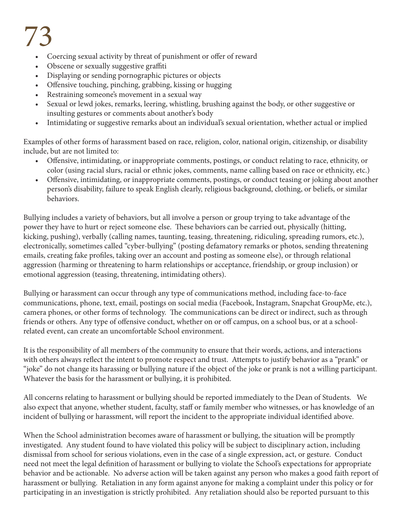- Coercing sexual activity by threat of punishment or offer of reward
- Obscene or sexually suggestive graffiti
- Displaying or sending pornographic pictures or objects
- Offensive touching, pinching, grabbing, kissing or hugging
- Restraining someone's movement in a sexual way
- Sexual or lewd jokes, remarks, leering, whistling, brushing against the body, or other suggestive or insulting gestures or comments about another's body
- Intimidating or suggestive remarks about an individual's sexual orientation, whether actual or implied

Examples of other forms of harassment based on race, religion, color, national origin, citizenship, or disability include, but are not limited to:

- Offensive, intimidating, or inappropriate comments, postings, or conduct relating to race, ethnicity, or color (using racial slurs, racial or ethnic jokes, comments, name calling based on race or ethnicity, etc.)
- Offensive, intimidating, or inappropriate comments, postings, or conduct teasing or joking about another person's disability, failure to speak English clearly, religious background, clothing, or beliefs, or similar behaviors.

Bullying includes a variety of behaviors, but all involve a person or group trying to take advantage of the power they have to hurt or reject someone else. These behaviors can be carried out, physically (hitting, kicking, pushing), verbally (calling names, taunting, teasing, threatening, ridiculing, spreading rumors, etc.), electronically, sometimes called "cyber-bullying" (posting defamatory remarks or photos, sending threatening emails, creating fake profiles, taking over an account and posting as someone else), or through relational aggression (harming or threatening to harm relationships or acceptance, friendship, or group inclusion) or emotional aggression (teasing, threatening, intimidating others).

Bullying or harassment can occur through any type of communications method, including face-to-face communications, phone, text, email, postings on social media (Facebook, Instagram, Snapchat GroupMe, etc.), camera phones, or other forms of technology. The communications can be direct or indirect, such as through friends or others. Any type of offensive conduct, whether on or off campus, on a school bus, or at a schoolrelated event, can create an uncomfortable School environment.

It is the responsibility of all members of the community to ensure that their words, actions, and interactions with others always reflect the intent to promote respect and trust. Attempts to justify behavior as a "prank" or "joke" do not change its harassing or bullying nature if the object of the joke or prank is not a willing participant. Whatever the basis for the harassment or bullying, it is prohibited.

All concerns relating to harassment or bullying should be reported immediately to the Dean of Students. We also expect that anyone, whether student, faculty, staff or family member who witnesses, or has knowledge of an incident of bullying or harassment, will report the incident to the appropriate individual identified above.

When the School administration becomes aware of harassment or bullying, the situation will be promptly investigated. Any student found to have violated this policy will be subject to disciplinary action, including dismissal from school for serious violations, even in the case of a single expression, act, or gesture. Conduct need not meet the legal definition of harassment or bullying to violate the School's expectations for appropriate behavior and be actionable. No adverse action will be taken against any person who makes a good faith report of harassment or bullying. Retaliation in any form against anyone for making a complaint under this policy or for participating in an investigation is strictly prohibited. Any retaliation should also be reported pursuant to this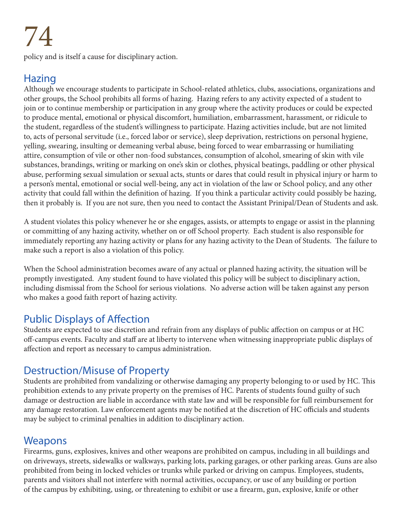policy and is itself a cause for disciplinary action.

#### Hazing

Although we encourage students to participate in School-related athletics, clubs, associations, organizations and other groups, the School prohibits all forms of hazing. Hazing refers to any activity expected of a student to join or to continue membership or participation in any group where the activity produces or could be expected to produce mental, emotional or physical discomfort, humiliation, embarrassment, harassment, or ridicule to the student, regardless of the student's willingness to participate. Hazing activities include, but are not limited to, acts of personal servitude (i.e., forced labor or service), sleep deprivation, restrictions on personal hygiene, yelling, swearing, insulting or demeaning verbal abuse, being forced to wear embarrassing or humiliating attire, consumption of vile or other non-food substances, consumption of alcohol, smearing of skin with vile substances, brandings, writing or marking on one's skin or clothes, physical beatings, paddling or other physical abuse, performing sexual simulation or sexual acts, stunts or dares that could result in physical injury or harm to a person's mental, emotional or social well-being, any act in violation of the law or School policy, and any other activity that could fall within the definition of hazing. If you think a particular activity could possibly be hazing, then it probably is. If you are not sure, then you need to contact the Assistant Prinipal/Dean of Students and ask.

A student violates this policy whenever he or she engages, assists, or attempts to engage or assist in the planning or committing of any hazing activity, whether on or off School property. Each student is also responsible for immediately reporting any hazing activity or plans for any hazing activity to the Dean of Students. The failure to make such a report is also a violation of this policy.

When the School administration becomes aware of any actual or planned hazing activity, the situation will be promptly investigated. Any student found to have violated this policy will be subject to disciplinary action, including dismissal from the School for serious violations. No adverse action will be taken against any person who makes a good faith report of hazing activity.

#### Public Displays of Affection

Students are expected to use discretion and refrain from any displays of public affection on campus or at HC off-campus events. Faculty and staff are at liberty to intervene when witnessing inappropriate public displays of affection and report as necessary to campus administration.

#### Destruction/Misuse of Property

Students are prohibited from vandalizing or otherwise damaging any property belonging to or used by HC. This prohibition extends to any private property on the premises of HC. Parents of students found guilty of such damage or destruction are liable in accordance with state law and will be responsible for full reimbursement for any damage restoration. Law enforcement agents may be notified at the discretion of HC officials and students may be subject to criminal penalties in addition to disciplinary action.

#### **Weapons**

Firearms, guns, explosives, knives and other weapons are prohibited on campus, including in all buildings and on driveways, streets, sidewalks or walkways, parking lots, parking garages, or other parking areas. Guns are also prohibited from being in locked vehicles or trunks while parked or driving on campus. Employees, students, parents and visitors shall not interfere with normal activities, occupancy, or use of any building or portion of the campus by exhibiting, using, or threatening to exhibit or use a firearm, gun, explosive, knife or other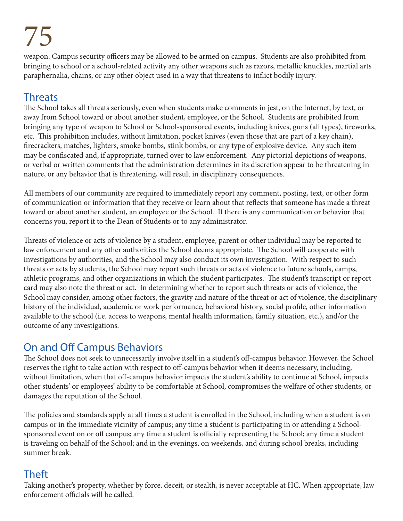weapon. Campus security officers may be allowed to be armed on campus. Students are also prohibited from bringing to school or a school-related activity any other weapons such as razors, metallic knuckles, martial arts paraphernalia, chains, or any other object used in a way that threatens to inflict bodily injury.

### **Threats**

The School takes all threats seriously, even when students make comments in jest, on the Internet, by text, or away from School toward or about another student, employee, or the School. Students are prohibited from bringing any type of weapon to School or School-sponsored events, including knives, guns (all types), fireworks, etc. This prohibition includes, without limitation, pocket knives (even those that are part of a key chain), firecrackers, matches, lighters, smoke bombs, stink bombs, or any type of explosive device. Any such item may be confiscated and, if appropriate, turned over to law enforcement. Any pictorial depictions of weapons, or verbal or written comments that the administration determines in its discretion appear to be threatening in nature, or any behavior that is threatening, will result in disciplinary consequences.

All members of our community are required to immediately report any comment, posting, text, or other form of communication or information that they receive or learn about that reflects that someone has made a threat toward or about another student, an employee or the School. If there is any communication or behavior that concerns you, report it to the Dean of Students or to any administrator.

Threats of violence or acts of violence by a student, employee, parent or other individual may be reported to law enforcement and any other authorities the School deems appropriate. The School will cooperate with investigations by authorities, and the School may also conduct its own investigation. With respect to such threats or acts by students, the School may report such threats or acts of violence to future schools, camps, athletic programs, and other organizations in which the student participates. The student's transcript or report card may also note the threat or act. In determining whether to report such threats or acts of violence, the School may consider, among other factors, the gravity and nature of the threat or act of violence, the disciplinary history of the individual, academic or work performance, behavioral history, social profile, other information available to the school (i.e. access to weapons, mental health information, family situation, etc.), and/or the outcome of any investigations.

#### On and Off Campus Behaviors

The School does not seek to unnecessarily involve itself in a student's off-campus behavior. However, the School reserves the right to take action with respect to off-campus behavior when it deems necessary, including, without limitation, when that off-campus behavior impacts the student's ability to continue at School, impacts other students' or employees' ability to be comfortable at School, compromises the welfare of other students, or damages the reputation of the School.

The policies and standards apply at all times a student is enrolled in the School, including when a student is on campus or in the immediate vicinity of campus; any time a student is participating in or attending a Schoolsponsored event on or off campus; any time a student is officially representing the School; any time a student is traveling on behalf of the School; and in the evenings, on weekends, and during school breaks, including summer break.

## Theft

Taking another's property, whether by force, deceit, or stealth, is never acceptable at HC. When appropriate, law enforcement officials will be called.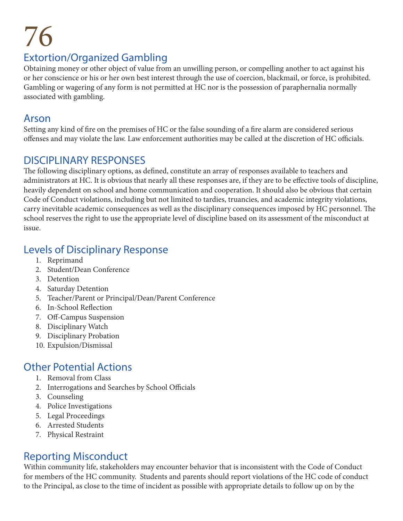#### Extortion/Organized Gambling

Obtaining money or other object of value from an unwilling person, or compelling another to act against his or her conscience or his or her own best interest through the use of coercion, blackmail, or force, is prohibited. Gambling or wagering of any form is not permitted at HC nor is the possession of paraphernalia normally associated with gambling.

#### Arson

Setting any kind of fire on the premises of HC or the false sounding of a fire alarm are considered serious offenses and may violate the law. Law enforcement authorities may be called at the discretion of HC officials.

#### DISCIPLINARY RESPONSES

The following disciplinary options, as defined, constitute an array of responses available to teachers and administrators at HC. It is obvious that nearly all these responses are, if they are to be effective tools of discipline, heavily dependent on school and home communication and cooperation. It should also be obvious that certain Code of Conduct violations, including but not limited to tardies, truancies, and academic integrity violations, carry inevitable academic consequences as well as the disciplinary consequences imposed by HC personnel. The school reserves the right to use the appropriate level of discipline based on its assessment of the misconduct at issue.

#### Levels of Disciplinary Response

- 1. Reprimand
- 2. Student/Dean Conference
- 3. Detention
- 4. Saturday Detention
- 5. Teacher/Parent or Principal/Dean/Parent Conference
- 6. In-School Reflection
- 7. Off-Campus Suspension
- 8. Disciplinary Watch
- 9. Disciplinary Probation
- 10. Expulsion/Dismissal

### Other Potential Actions

- 1. Removal from Class
- 2. Interrogations and Searches by School Officials
- 3. Counseling
- 4. Police Investigations
- 5. Legal Proceedings
- 6. Arrested Students
- 7. Physical Restraint

#### Reporting Misconduct

Within community life, stakeholders may encounter behavior that is inconsistent with the Code of Conduct for members of the HC community. Students and parents should report violations of the HC code of conduct to the Principal, as close to the time of incident as possible with appropriate details to follow up on by the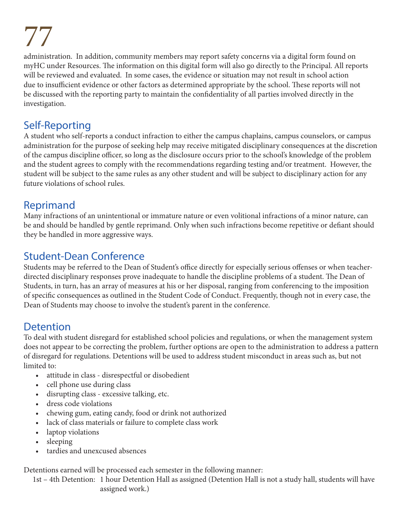administration. In addition, community members may report safety concerns via a digital form found on myHC under Resources. The information on this digital form will also go directly to the Principal. All reports will be reviewed and evaluated. In some cases, the evidence or situation may not result in school action due to insufficient evidence or other factors as determined appropriate by the school. These reports will not be discussed with the reporting party to maintain the confidentiality of all parties involved directly in the investigation.

#### Self-Reporting

A student who self-reports a conduct infraction to either the campus chaplains, campus counselors, or campus administration for the purpose of seeking help may receive mitigated disciplinary consequences at the discretion of the campus discipline officer, so long as the disclosure occurs prior to the school's knowledge of the problem and the student agrees to comply with the recommendations regarding testing and/or treatment. However, the student will be subject to the same rules as any other student and will be subject to disciplinary action for any future violations of school rules.

#### Reprimand

Many infractions of an unintentional or immature nature or even volitional infractions of a minor nature, can be and should be handled by gentle reprimand. Only when such infractions become repetitive or defiant should they be handled in more aggressive ways.

#### Student-Dean Conference

Students may be referred to the Dean of Student's office directly for especially serious offenses or when teacherdirected disciplinary responses prove inadequate to handle the discipline problems of a student. The Dean of Students, in turn, has an array of measures at his or her disposal, ranging from conferencing to the imposition of specific consequences as outlined in the Student Code of Conduct. Frequently, though not in every case, the Dean of Students may choose to involve the student's parent in the conference.

#### Detention

To deal with student disregard for established school policies and regulations, or when the management system does not appear to be correcting the problem, further options are open to the administration to address a pattern of disregard for regulations. Detentions will be used to address student misconduct in areas such as, but not limited to:

- attitude in class disrespectful or disobedient
- cell phone use during class
- disrupting class excessive talking, etc.
- dress code violations
- chewing gum, eating candy, food or drink not authorized
- lack of class materials or failure to complete class work
- laptop violations
- sleeping
- tardies and unexcused absences

Detentions earned will be processed each semester in the following manner:

1st – 4th Detention: 1 hour Detention Hall as assigned (Detention Hall is not a study hall, students will have assigned work.)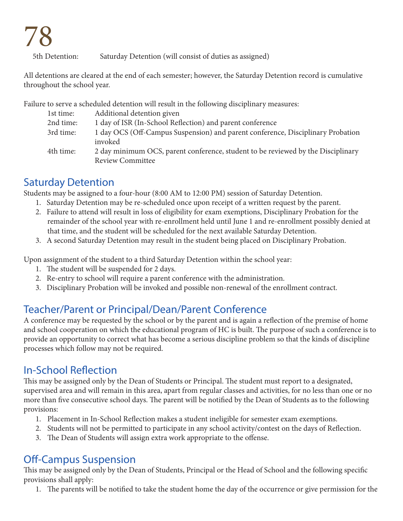5th Detention: Saturday Detention (will consist of duties as assigned)

All detentions are cleared at the end of each semester; however, the Saturday Detention record is cumulative throughout the school year.

Failure to serve a scheduled detention will result in the following disciplinary measures:

| 1st time: | Additional detention given                                                                                  |
|-----------|-------------------------------------------------------------------------------------------------------------|
| 2nd time: | 1 day of ISR (In-School Reflection) and parent conference                                                   |
| 3rd time: | 1 day OCS (Off-Campus Suspension) and parent conference, Disciplinary Probation<br>invoked                  |
| 4th time: | 2 day minimum OCS, parent conference, student to be reviewed by the Disciplinary<br><b>Review Committee</b> |

#### Saturday Detention

Students may be assigned to a four-hour (8:00 AM to 12:00 PM) session of Saturday Detention.

- 1. Saturday Detention may be re-scheduled once upon receipt of a written request by the parent.
- 2. Failure to attend will result in loss of eligibility for exam exemptions, Disciplinary Probation for the remainder of the school year with re-enrollment held until June 1 and re-enrollment possibly denied at that time, and the student will be scheduled for the next available Saturday Detention.
- 3. A second Saturday Detention may result in the student being placed on Disciplinary Probation.

Upon assignment of the student to a third Saturday Detention within the school year:

- 1. The student will be suspended for 2 days.
- 2. Re-entry to school will require a parent conference with the administration.
- 3. Disciplinary Probation will be invoked and possible non-renewal of the enrollment contract.

### Teacher/Parent or Principal/Dean/Parent Conference

A conference may be requested by the school or by the parent and is again a reflection of the premise of home and school cooperation on which the educational program of HC is built. The purpose of such a conference is to provide an opportunity to correct what has become a serious discipline problem so that the kinds of discipline processes which follow may not be required.

#### In-School Reflection

This may be assigned only by the Dean of Students or Principal. The student must report to a designated, supervised area and will remain in this area, apart from regular classes and activities, for no less than one or no more than five consecutive school days. The parent will be notified by the Dean of Students as to the following provisions:

- 1. Placement in In-School Reflection makes a student ineligible for semester exam exemptions.
- 2. Students will not be permitted to participate in any school activity/contest on the days of Reflection.
- 3. The Dean of Students will assign extra work appropriate to the offense.

#### Off-Campus Suspension

This may be assigned only by the Dean of Students, Principal or the Head of School and the following specific provisions shall apply:

1. The parents will be notified to take the student home the day of the occurrence or give permission for the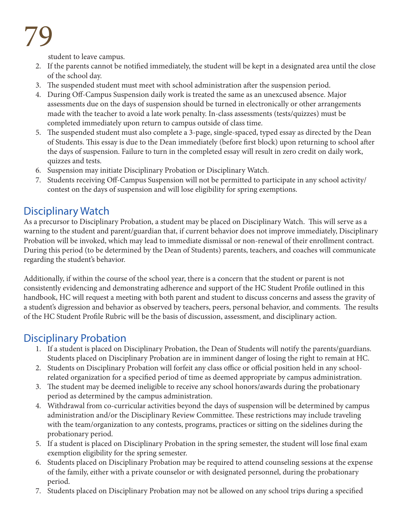student to leave campus.

- 2. If the parents cannot be notified immediately, the student will be kept in a designated area until the close of the school day.
- 3. The suspended student must meet with school administration after the suspension period.
- 4. During Off-Campus Suspension daily work is treated the same as an unexcused absence. Major assessments due on the days of suspension should be turned in electronically or other arrangements made with the teacher to avoid a late work penalty. In-class assessments (tests/quizzes) must be completed immediately upon return to campus outside of class time.
- 5. The suspended student must also complete a 3-page, single-spaced, typed essay as directed by the Dean of Students. This essay is due to the Dean immediately (before first block) upon returning to school after the days of suspension. Failure to turn in the completed essay will result in zero credit on daily work, quizzes and tests.
- 6. Suspension may initiate Disciplinary Probation or Disciplinary Watch.
- 7. Students receiving Off-Campus Suspension will not be permitted to participate in any school activity/ contest on the days of suspension and will lose eligibility for spring exemptions.

### Disciplinary Watch

As a precursor to Disciplinary Probation, a student may be placed on Disciplinary Watch. This will serve as a warning to the student and parent/guardian that, if current behavior does not improve immediately, Disciplinary Probation will be invoked, which may lead to immediate dismissal or non-renewal of their enrollment contract. During this period (to be determined by the Dean of Students) parents, teachers, and coaches will communicate regarding the student's behavior.

Additionally, if within the course of the school year, there is a concern that the student or parent is not consistently evidencing and demonstrating adherence and support of the HC Student Profile outlined in this handbook, HC will request a meeting with both parent and student to discuss concerns and assess the gravity of a student's digression and behavior as observed by teachers, peers, personal behavior, and comments. The results of the HC Student Profile Rubric will be the basis of discussion, assessment, and disciplinary action.

#### Disciplinary Probation

- 1. If a student is placed on Disciplinary Probation, the Dean of Students will notify the parents/guardians. Students placed on Disciplinary Probation are in imminent danger of losing the right to remain at HC.
- 2. Students on Disciplinary Probation will forfeit any class office or official position held in any schoolrelated organization for a specified period of time as deemed appropriate by campus administration.
- 3. The student may be deemed ineligible to receive any school honors/awards during the probationary period as determined by the campus administration.
- 4. Withdrawal from co-curricular activities beyond the days of suspension will be determined by campus administration and/or the Disciplinary Review Committee. These restrictions may include traveling with the team/organization to any contests, programs, practices or sitting on the sidelines during the probationary period.
- 5. If a student is placed on Disciplinary Probation in the spring semester, the student will lose final exam exemption eligibility for the spring semester.
- 6. Students placed on Disciplinary Probation may be required to attend counseling sessions at the expense of the family, either with a private counselor or with designated personnel, during the probationary period.
- 7. Students placed on Disciplinary Probation may not be allowed on any school trips during a specified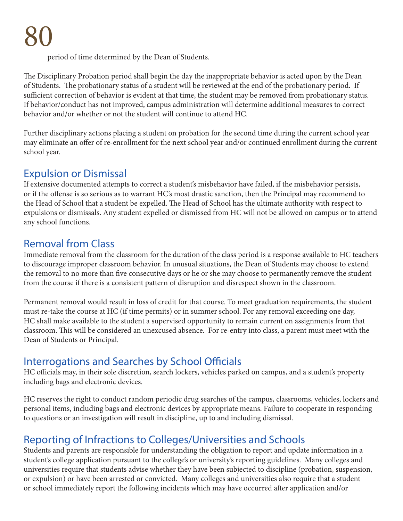period of time determined by the Dean of Students.

The Disciplinary Probation period shall begin the day the inappropriate behavior is acted upon by the Dean of Students. The probationary status of a student will be reviewed at the end of the probationary period. If sufficient correction of behavior is evident at that time, the student may be removed from probationary status. If behavior/conduct has not improved, campus administration will determine additional measures to correct behavior and/or whether or not the student will continue to attend HC.

Further disciplinary actions placing a student on probation for the second time during the current school year may eliminate an offer of re-enrollment for the next school year and/or continued enrollment during the current school year.

#### Expulsion or Dismissal

If extensive documented attempts to correct a student's misbehavior have failed, if the misbehavior persists, or if the offense is so serious as to warrant HC's most drastic sanction, then the Principal may recommend to the Head of School that a student be expelled. The Head of School has the ultimate authority with respect to expulsions or dismissals. Any student expelled or dismissed from HC will not be allowed on campus or to attend any school functions.

### Removal from Class

Immediate removal from the classroom for the duration of the class period is a response available to HC teachers to discourage improper classroom behavior. In unusual situations, the Dean of Students may choose to extend the removal to no more than five consecutive days or he or she may choose to permanently remove the student from the course if there is a consistent pattern of disruption and disrespect shown in the classroom.

Permanent removal would result in loss of credit for that course. To meet graduation requirements, the student must re-take the course at HC (if time permits) or in summer school. For any removal exceeding one day, HC shall make available to the student a supervised opportunity to remain current on assignments from that classroom. This will be considered an unexcused absence. For re-entry into class, a parent must meet with the Dean of Students or Principal.

## Interrogations and Searches by School Officials

HC officials may, in their sole discretion, search lockers, vehicles parked on campus, and a student's property including bags and electronic devices.

HC reserves the right to conduct random periodic drug searches of the campus, classrooms, vehicles, lockers and personal items, including bags and electronic devices by appropriate means. Failure to cooperate in responding to questions or an investigation will result in discipline, up to and including dismissal.

## Reporting of Infractions to Colleges/Universities and Schools

Students and parents are responsible for understanding the obligation to report and update information in a student's college application pursuant to the college's or university's reporting guidelines. Many colleges and universities require that students advise whether they have been subjected to discipline (probation, suspension, or expulsion) or have been arrested or convicted. Many colleges and universities also require that a student or school immediately report the following incidents which may have occurred after application and/or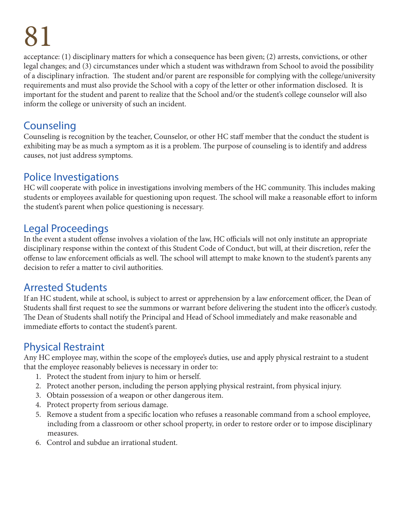acceptance: (1) disciplinary matters for which a consequence has been given; (2) arrests, convictions, or other legal changes; and (3) circumstances under which a student was withdrawn from School to avoid the possibility of a disciplinary infraction. The student and/or parent are responsible for complying with the college/university requirements and must also provide the School with a copy of the letter or other information disclosed. It is important for the student and parent to realize that the School and/or the student's college counselor will also inform the college or university of such an incident.

### Counseling

Counseling is recognition by the teacher, Counselor, or other HC staff member that the conduct the student is exhibiting may be as much a symptom as it is a problem. The purpose of counseling is to identify and address causes, not just address symptoms.

### Police Investigations

HC will cooperate with police in investigations involving members of the HC community. This includes making students or employees available for questioning upon request. The school will make a reasonable effort to inform the student's parent when police questioning is necessary.

### Legal Proceedings

In the event a student offense involves a violation of the law, HC officials will not only institute an appropriate disciplinary response within the context of this Student Code of Conduct, but will, at their discretion, refer the offense to law enforcement officials as well. The school will attempt to make known to the student's parents any decision to refer a matter to civil authorities.

### Arrested Students

If an HC student, while at school, is subject to arrest or apprehension by a law enforcement officer, the Dean of Students shall first request to see the summons or warrant before delivering the student into the officer's custody. The Dean of Students shall notify the Principal and Head of School immediately and make reasonable and immediate efforts to contact the student's parent.

### Physical Restraint

Any HC employee may, within the scope of the employee's duties, use and apply physical restraint to a student that the employee reasonably believes is necessary in order to:

- 1. Protect the student from injury to him or herself.
- 2. Protect another person, including the person applying physical restraint, from physical injury.
- 3. Obtain possession of a weapon or other dangerous item.
- 4. Protect property from serious damage.
- 5. Remove a student from a specific location who refuses a reasonable command from a school employee, including from a classroom or other school property, in order to restore order or to impose disciplinary measures.
- 6. Control and subdue an irrational student.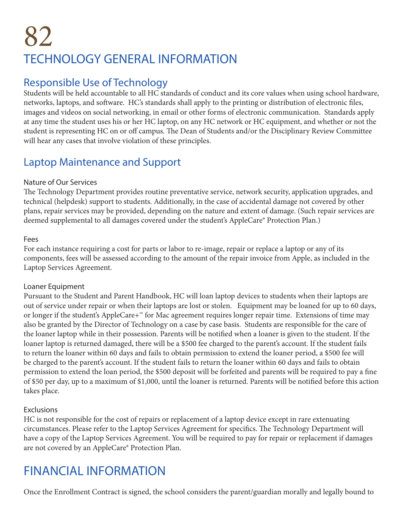## 82 TECHNOLOGY GENERAL INFORMATION

#### Responsible Use of Technology

Students will be held accountable to all HC standards of conduct and its core values when using school hardware, networks, laptops, and software. HC's standards shall apply to the printing or distribution of electronic files, images and videos on social networking, in email or other forms of electronic communication. Standards apply at any time the student uses his or her HC laptop, on any HC network or HC equipment, and whether or not the student is representing HC on or off campus. The Dean of Students and/or the Disciplinary Review Committee will hear any cases that involve violation of these principles.

#### Laptop Maintenance and Support

#### Nature of Our Services

The Technology Department provides routine preventative service, network security, application upgrades, and technical (helpdesk) support to students. Additionally, in the case of accidental damage not covered by other plans, repair services may be provided, depending on the nature and extent of damage. (Such repair services are deemed supplemental to all damages covered under the student's AppleCare® Protection Plan.)

#### Fees

For each instance requiring a cost for parts or labor to re-image, repair or replace a laptop or any of its components, fees will be assessed according to the amount of the repair invoice from Apple, as included in the Laptop Services Agreement.

#### Loaner Equipment

Pursuant to the Student and Parent Handbook, HC will loan laptop devices to students when their laptops are out of service under repair or when their laptops are lost or stolen. Equipment may be loaned for up to 60 days, or longer if the student's AppleCare+™ for Mac agreement requires longer repair time. Extensions of time may also be granted by the Director of Technology on a case by case basis. Students are responsible for the care of the loaner laptop while in their possession. Parents will be notified when a loaner is given to the student. If the loaner laptop is returned damaged, there will be a \$500 fee charged to the parent's account. If the student fails to return the loaner within 60 days and fails to obtain permission to extend the loaner period, a \$500 fee will be charged to the parent's account. If the student fails to return the loaner within 60 days and fails to obtain permission to extend the loan period, the \$500 deposit will be forfeited and parents will be required to pay a fine of \$50 per day, up to a maximum of \$1,000, until the loaner is returned. Parents will be notified before this action takes place.

#### Exclusions

HC is not responsible for the cost of repairs or replacement of a laptop device except in rare extenuating circumstances. Please refer to the Laptop Services Agreement for specifics. The Technology Department will have a copy of the Laptop Services Agreement. You will be required to pay for repair or replacement if damages are not covered by an AppleCare® Protection Plan.

## FINANCIAL INFORMATION

Once the Enrollment Contract is signed, the school considers the parent/guardian morally and legally bound to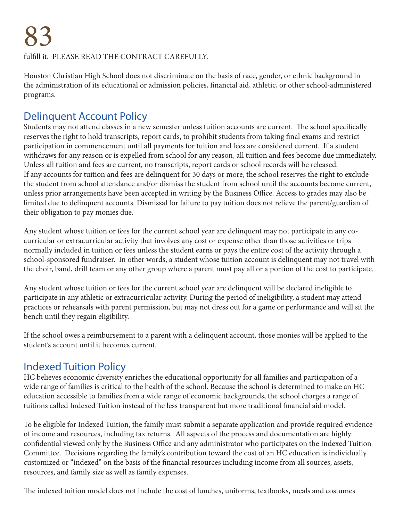fulfill it. PLEASE READ THE CONTRACT CAREFULLY.

Houston Christian High School does not discriminate on the basis of race, gender, or ethnic background in the administration of its educational or admission policies, financial aid, athletic, or other school-administered programs.

#### Delinquent Account Policy

Students may not attend classes in a new semester unless tuition accounts are current. The school specifically reserves the right to hold transcripts, report cards, to prohibit students from taking final exams and restrict participation in commencement until all payments for tuition and fees are considered current. If a student withdraws for any reason or is expelled from school for any reason, all tuition and fees become due immediately. Unless all tuition and fees are current, no transcripts, report cards or school records will be released. If any accounts for tuition and fees are delinquent for 30 days or more, the school reserves the right to exclude the student from school attendance and/or dismiss the student from school until the accounts become current, unless prior arrangements have been accepted in writing by the Business Office. Access to grades may also be limited due to delinquent accounts. Dismissal for failure to pay tuition does not relieve the parent/guardian of their obligation to pay monies due.

Any student whose tuition or fees for the current school year are delinquent may not participate in any cocurricular or extracurricular activity that involves any cost or expense other than those activities or trips normally included in tuition or fees unless the student earns or pays the entire cost of the activity through a school-sponsored fundraiser. In other words, a student whose tuition account is delinquent may not travel with the choir, band, drill team or any other group where a parent must pay all or a portion of the cost to participate.

Any student whose tuition or fees for the current school year are delinquent will be declared ineligible to participate in any athletic or extracurricular activity. During the period of ineligibility, a student may attend practices or rehearsals with parent permission, but may not dress out for a game or performance and will sit the bench until they regain eligibility.

If the school owes a reimbursement to a parent with a delinquent account, those monies will be applied to the student's account until it becomes current.

### Indexed Tuition Policy

HC believes economic diversity enriches the educational opportunity for all families and participation of a wide range of families is critical to the health of the school. Because the school is determined to make an HC education accessible to families from a wide range of economic backgrounds, the school charges a range of tuitions called Indexed Tuition instead of the less transparent but more traditional financial aid model.

To be eligible for Indexed Tuition, the family must submit a separate application and provide required evidence of income and resources, including tax returns. All aspects of the process and documentation are highly confidential viewed only by the Business Office and any administrator who participates on the Indexed Tuition Committee. Decisions regarding the family's contribution toward the cost of an HC education is individually customized or "indexed" on the basis of the financial resources including income from all sources, assets, resources, and family size as well as family expenses.

The indexed tuition model does not include the cost of lunches, uniforms, textbooks, meals and costumes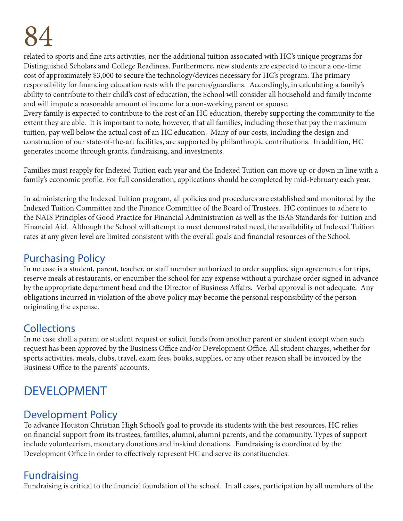related to sports and fine arts activities, nor the additional tuition associated with HC's unique programs for Distinguished Scholars and College Readiness. Furthermore, new students are expected to incur a one-time cost of approximately \$3,000 to secure the technology/devices necessary for HC's program. The primary responsibility for financing education rests with the parents/guardians. Accordingly, in calculating a family's ability to contribute to their child's cost of education, the School will consider all household and family income and will impute a reasonable amount of income for a non-working parent or spouse.

Every family is expected to contribute to the cost of an HC education, thereby supporting the community to the extent they are able. It is important to note, however, that all families, including those that pay the maximum tuition, pay well below the actual cost of an HC education. Many of our costs, including the design and construction of our state-of-the-art facilities, are supported by philanthropic contributions. In addition, HC generates income through grants, fundraising, and investments.

Families must reapply for Indexed Tuition each year and the Indexed Tuition can move up or down in line with a family's economic profile. For full consideration, applications should be completed by mid-February each year.

In administering the Indexed Tuition program, all policies and procedures are established and monitored by the Indexed Tuition Committee and the Finance Committee of the Board of Trustees. HC continues to adhere to the NAIS Principles of Good Practice for Financial Administration as well as the ISAS Standards for Tuition and Financial Aid. Although the School will attempt to meet demonstrated need, the availability of Indexed Tuition rates at any given level are limited consistent with the overall goals and financial resources of the School.

#### Purchasing Policy

In no case is a student, parent, teacher, or staff member authorized to order supplies, sign agreements for trips, reserve meals at restaurants, or encumber the school for any expense without a purchase order signed in advance by the appropriate department head and the Director of Business Affairs. Verbal approval is not adequate. Any obligations incurred in violation of the above policy may become the personal responsibility of the person originating the expense.

### **Collections**

In no case shall a parent or student request or solicit funds from another parent or student except when such request has been approved by the Business Office and/or Development Office. All student charges, whether for sports activities, meals, clubs, travel, exam fees, books, supplies, or any other reason shall be invoiced by the Business Office to the parents' accounts.

## DEVELOPMENT

#### Development Policy

To advance Houston Christian High School's goal to provide its students with the best resources, HC relies on financial support from its trustees, families, alumni, alumni parents, and the community. Types of support include volunteerism, monetary donations and in-kind donations. Fundraising is coordinated by the Development Office in order to effectively represent HC and serve its constituencies.

### **Fundraising**

Fundraising is critical to the financial foundation of the school. In all cases, participation by all members of the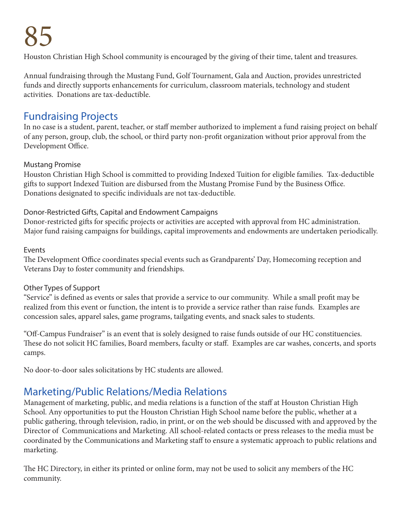Houston Christian High School community is encouraged by the giving of their time, talent and treasures.

Annual fundraising through the Mustang Fund, Golf Tournament, Gala and Auction, provides unrestricted funds and directly supports enhancements for curriculum, classroom materials, technology and student activities. Donations are tax-deductible.

#### Fundraising Projects

In no case is a student, parent, teacher, or staff member authorized to implement a fund raising project on behalf of any person, group, club, the school, or third party non-profit organization without prior approval from the Development Office.

#### Mustang Promise

Houston Christian High School is committed to providing Indexed Tuition for eligible families. Tax-deductible gifts to support Indexed Tuition are disbursed from the Mustang Promise Fund by the Business Office. Donations designated to specific individuals are not tax-deductible.

#### Donor-Restricted Gifts, Capital and Endowment Campaigns

Donor-restricted gifts for specific projects or activities are accepted with approval from HC administration. Major fund raising campaigns for buildings, capital improvements and endowments are undertaken periodically.

#### Events

The Development Office coordinates special events such as Grandparents' Day, Homecoming reception and Veterans Day to foster community and friendships.

#### Other Types of Support

"Service" is defined as events or sales that provide a service to our community. While a small profit may be realized from this event or function, the intent is to provide a service rather than raise funds. Examples are concession sales, apparel sales, game programs, tailgating events, and snack sales to students.

"Off-Campus Fundraiser" is an event that is solely designed to raise funds outside of our HC constituencies. These do not solicit HC families, Board members, faculty or staff. Examples are car washes, concerts, and sports camps.

No door-to-door sales solicitations by HC students are allowed.

## Marketing/Public Relations/Media Relations

Management of marketing, public, and media relations is a function of the staff at Houston Christian High School. Any opportunities to put the Houston Christian High School name before the public, whether at a public gathering, through television, radio, in print, or on the web should be discussed with and approved by the Director of Communications and Marketing. All school-related contacts or press releases to the media must be coordinated by the Communications and Marketing staff to ensure a systematic approach to public relations and marketing.

The HC Directory, in either its printed or online form, may not be used to solicit any members of the HC community.